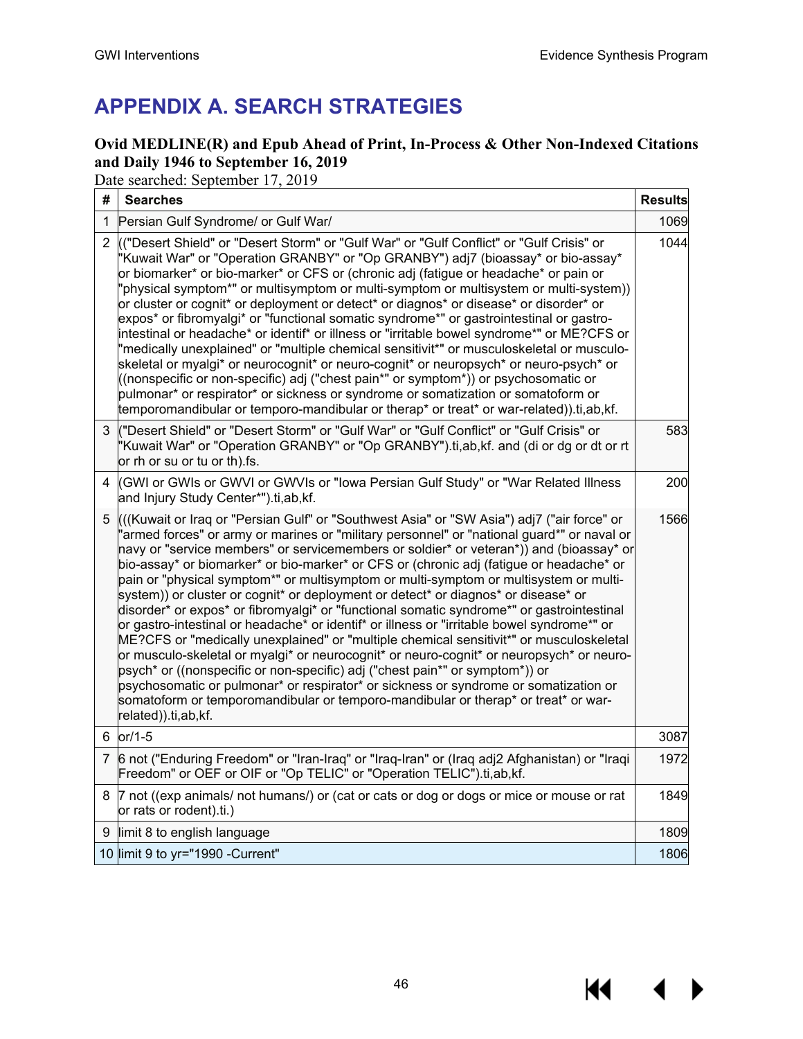KI I

▶

# **APPENDIX A. SEARCH STRATEGIES**

# **Ovid MEDLINE(R) and Epub Ahead of Print, In-Process & Other Non-Indexed Citations and Daily 1946 to September 16, 2019**

Date searched: September 17, 2019

| # | <b>Searches</b>                                                                                                                                                                                                                                                                                                                                                                                                                                                                                                                                                                                                                                                                                                                                                                                                                                                                                                                                                                                                                                                                                                                                                                                                                                    | <b>Results</b> |
|---|----------------------------------------------------------------------------------------------------------------------------------------------------------------------------------------------------------------------------------------------------------------------------------------------------------------------------------------------------------------------------------------------------------------------------------------------------------------------------------------------------------------------------------------------------------------------------------------------------------------------------------------------------------------------------------------------------------------------------------------------------------------------------------------------------------------------------------------------------------------------------------------------------------------------------------------------------------------------------------------------------------------------------------------------------------------------------------------------------------------------------------------------------------------------------------------------------------------------------------------------------|----------------|
|   | 1 Persian Gulf Syndrome/ or Gulf War/                                                                                                                                                                                                                                                                                                                                                                                                                                                                                                                                                                                                                                                                                                                                                                                                                                                                                                                                                                                                                                                                                                                                                                                                              | 1069           |
|   | 2 (("Desert Shield" or "Desert Storm" or "Gulf War" or "Gulf Conflict" or "Gulf Crisis" or<br>"Kuwait War" or "Operation GRANBY" or "Op GRANBY") adj7 (bioassay* or bio-assay*<br>or biomarker* or bio-marker* or CFS or (chronic adj (fatigue or headache* or pain or<br>'physical symptom*" or multisymptom or multi-symptom or multisystem or multi-system))<br>or cluster or cognit* or deployment or detect* or diagnos* or disease* or disorder* or<br>expos* or fibromyalgi* or "functional somatic syndrome*" or gastrointestinal or gastro-<br>intestinal or headache* or identif* or illness or "irritable bowel syndrome*" or ME?CFS or<br>"medically unexplained" or "multiple chemical sensitivit*" or musculoskeletal or musculo-<br>skeletal or myalgi* or neurocognit* or neuro-cognit* or neuropsych* or neuro-psych* or<br>((nonspecific or non-specific) adj ("chest pain*" or symptom*)) or psychosomatic or<br>pulmonar* or respirator* or sickness or syndrome or somatization or somatoform or<br>temporomandibular or temporo-mandibular or therap* or treat* or war-related)).ti,ab,kf.                                                                                                                                   | 1044           |
|   | 3 ("Desert Shield" or "Desert Storm" or "Gulf War" or "Gulf Conflict" or "Gulf Crisis" or<br>'Kuwait War" or "Operation GRANBY" or "Op GRANBY").ti,ab,kf. and (di or dg or dt or rt<br>or rh or su or tu or th).fs.                                                                                                                                                                                                                                                                                                                                                                                                                                                                                                                                                                                                                                                                                                                                                                                                                                                                                                                                                                                                                                | 583            |
| 4 | (GWI or GWIs or GWVI or GWVIs or "lowa Persian Gulf Study" or "War Related Illness<br>and Injury Study Center*").ti,ab,kf.                                                                                                                                                                                                                                                                                                                                                                                                                                                                                                                                                                                                                                                                                                                                                                                                                                                                                                                                                                                                                                                                                                                         | 200            |
|   | 5 (((Kuwait or Iraq or "Persian Gulf" or "Southwest Asia" or "SW Asia") adj7 ("air force" or<br>'armed forces" or army or marines or "military personnel" or "national guard*" or naval or<br>navy or "service members" or servicemembers or soldier* or veteran*)) and (bioassay* or<br>bio-assay* or biomarker* or bio-marker* or CFS or (chronic adj (fatigue or headache* or<br>pain or "physical symptom*" or multisymptom or multi-symptom or multisystem or multi-<br>system)) or cluster or cognit* or deployment or detect* or diagnos* or disease* or<br>disorder* or expos* or fibromyalgi* or "functional somatic syndrome*" or gastrointestinal<br>or gastro-intestinal or headache <sup>*</sup> or identif* or illness or "irritable bowel syndrome*" or<br>ME?CFS or "medically unexplained" or "multiple chemical sensitivit*" or musculoskeletal<br>or musculo-skeletal or myalgi* or neurocognit* or neuro-cognit* or neuropsych* or neuro-<br>psych* or ((nonspecific or non-specific) adj ("chest pain*" or symptom*)) or<br>psychosomatic or pulmonar* or respirator* or sickness or syndrome or somatization or<br>somatoform or temporomandibular or temporo-mandibular or therap* or treat* or war-<br>related)).ti,ab,kf. | 1566           |
|   | 6 or/1-5                                                                                                                                                                                                                                                                                                                                                                                                                                                                                                                                                                                                                                                                                                                                                                                                                                                                                                                                                                                                                                                                                                                                                                                                                                           | 3087           |
|   | 7 6 not ("Enduring Freedom" or "Iran-Iraq" or "Iraq-Iran" or (Iraq adj2 Afghanistan) or "Iraqi<br>Freedom" or OEF or OIF or "Op TELIC" or "Operation TELIC").ti,ab,kf.                                                                                                                                                                                                                                                                                                                                                                                                                                                                                                                                                                                                                                                                                                                                                                                                                                                                                                                                                                                                                                                                             | 1972           |
| 8 | 7 not ((exp animals/ not humans/) or (cat or cats or dog or dogs or mice or mouse or rat<br>or rats or rodent).ti.)                                                                                                                                                                                                                                                                                                                                                                                                                                                                                                                                                                                                                                                                                                                                                                                                                                                                                                                                                                                                                                                                                                                                | 1849           |
|   | 9 limit 8 to english language                                                                                                                                                                                                                                                                                                                                                                                                                                                                                                                                                                                                                                                                                                                                                                                                                                                                                                                                                                                                                                                                                                                                                                                                                      | 1809           |
|   | 10 limit 9 to yr="1990 -Current"                                                                                                                                                                                                                                                                                                                                                                                                                                                                                                                                                                                                                                                                                                                                                                                                                                                                                                                                                                                                                                                                                                                                                                                                                   | 1806           |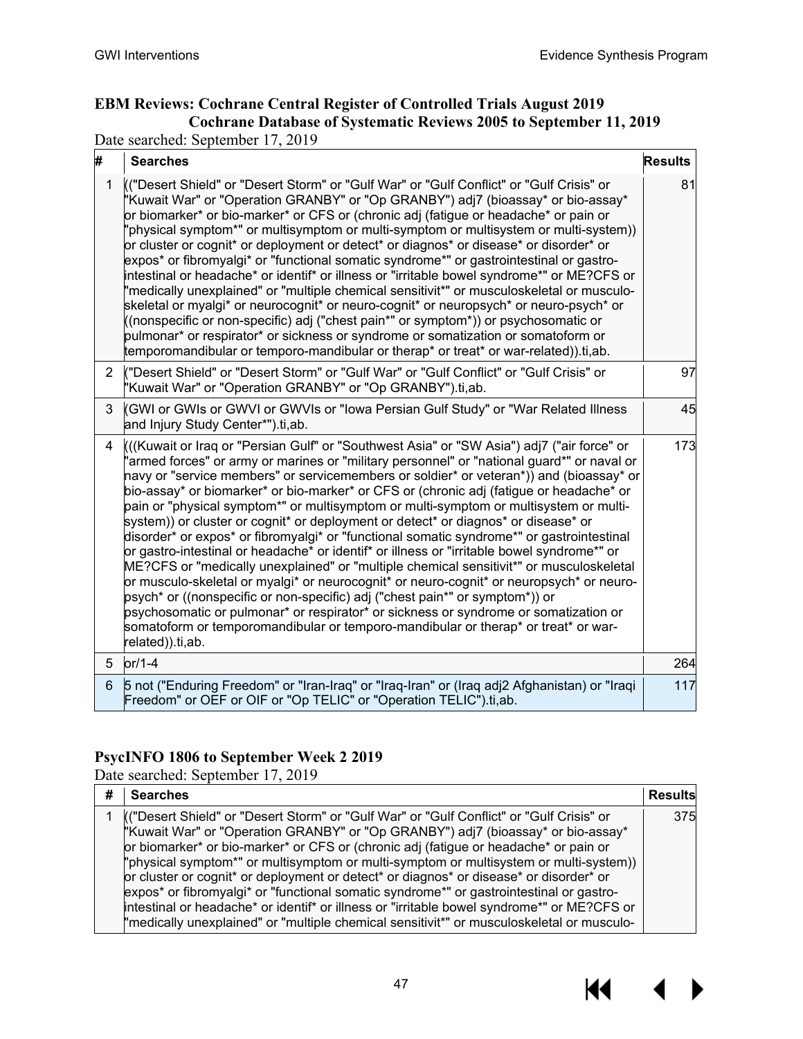$\overline{a}$ 

# **EBM Reviews: Cochrane Central Register of Controlled Trials August 2019 Cochrane Database of Systematic Reviews 2005 to September 11, 2019**

Date searched: September 17, 2019

| #            | <b>Searches</b>                                                                                                                                                                                                                                                                                                                                                                                                                                                                                                                                                                                                                                                                                                                                                                                                                                                                                                                                                                                                                                                                                                                                                                                                                  | <b>Results</b> |
|--------------|----------------------------------------------------------------------------------------------------------------------------------------------------------------------------------------------------------------------------------------------------------------------------------------------------------------------------------------------------------------------------------------------------------------------------------------------------------------------------------------------------------------------------------------------------------------------------------------------------------------------------------------------------------------------------------------------------------------------------------------------------------------------------------------------------------------------------------------------------------------------------------------------------------------------------------------------------------------------------------------------------------------------------------------------------------------------------------------------------------------------------------------------------------------------------------------------------------------------------------|----------------|
| $\mathbf{1}$ | (("Desert Shield" or "Desert Storm" or "Gulf War" or "Gulf Conflict" or "Gulf Crisis" or<br>"Kuwait War" or "Operation GRANBY" or "Op GRANBY") adj7 (bioassay* or bio-assay*<br>or biomarker* or bio-marker* or CFS or (chronic adj (fatigue or headache* or pain or<br>'physical symptom*" or multisymptom or multi-symptom or multisystem or multi-system))<br>or cluster or cognit* or deployment or detect* or diagnos* or disease* or disorder* or<br>expos* or fibromyalgi* or "functional somatic syndrome*" or gastrointestinal or gastro-<br>intestinal or headache* or identif* or illness or "irritable bowel syndrome*" or ME?CFS or<br>"medically unexplained" or "multiple chemical sensitivit*" or musculoskeletal or musculo-<br>skeletal or myalgi* or neurocognit* or neuro-cognit* or neuropsych* or neuro-psych* or<br>((nonspecific or non-specific) adj ("chest pain*" or symptom*)) or psychosomatic or<br>pulmonar* or respirator* or sickness or syndrome or somatization or somatoform or<br>temporomandibular or temporo-mandibular or therap* or treat* or war-related)).ti,ab.                                                                                                                      | 81             |
| 2            | ("Desert Shield" or "Desert Storm" or "Gulf War" or "Gulf Conflict" or "Gulf Crisis" or<br>"Kuwait War" or "Operation GRANBY" or "Op GRANBY").ti,ab.                                                                                                                                                                                                                                                                                                                                                                                                                                                                                                                                                                                                                                                                                                                                                                                                                                                                                                                                                                                                                                                                             | 97             |
| 3            | (GWI or GWIs or GWVI or GWVIs or "lowa Persian Gulf Study" or "War Related Illness<br>and Injury Study Center*").ti,ab.                                                                                                                                                                                                                                                                                                                                                                                                                                                                                                                                                                                                                                                                                                                                                                                                                                                                                                                                                                                                                                                                                                          | 45             |
| 4            | ((Kuwait or Iraq or "Persian Gulf" or "Southwest Asia" or "SW Asia") adj7 ("air force" or<br>'armed forces" or army or marines or "military personnel" or "national guard*" or naval or<br>havy or "service members" or servicemembers or soldier* or veteran*)) and (bioassay* or<br>bio-assay* or biomarker* or bio-marker* or CFS or (chronic adj (fatigue or headache* or<br>pain or "physical symptom*" or multisymptom or multi-symptom or multisystem or multi-<br>system)) or cluster or cognit* or deployment or detect* or diagnos* or disease* or<br>disorder* or expos* or fibromyalgi* or "functional somatic syndrome*" or gastrointestinal<br>or gastro-intestinal or headache* or identif* or illness or "irritable bowel syndrome*" or<br>ME?CFS or "medically unexplained" or "multiple chemical sensitivit*" or musculoskeletal<br>or musculo-skeletal or myalgi* or neurocognit* or neuro-cognit* or neuropsych* or neuro-<br>psych* or ((nonspecific or non-specific) adj ("chest pain*" or symptom*)) or<br>psychosomatic or pulmonar* or respirator* or sickness or syndrome or somatization or<br>somatoform or temporomandibular or temporo-mandibular or therap* or treat* or war-<br>related)).ti,ab. | 173            |
| 5            | $or/1-4$                                                                                                                                                                                                                                                                                                                                                                                                                                                                                                                                                                                                                                                                                                                                                                                                                                                                                                                                                                                                                                                                                                                                                                                                                         | 264            |
| 6            | 5 not ("Enduring Freedom" or "Iran-Iraq" or "Iraq-Iran" or (Iraq adj2 Afghanistan) or "Iraqi<br>Freedom" or OEF or OIF or "Op TELIC" or "Operation TELIC").ti,ab.                                                                                                                                                                                                                                                                                                                                                                                                                                                                                                                                                                                                                                                                                                                                                                                                                                                                                                                                                                                                                                                                | 117            |

### **PsycINFO 1806 to September Week 2 2019**

Date searched: September 17, 2019

| <b>Searches</b>                                                                                                                                                                                                                                                                                                                                                                                                                                                                                                                                                                                                                                                                                                                               | <b>Results</b> |
|-----------------------------------------------------------------------------------------------------------------------------------------------------------------------------------------------------------------------------------------------------------------------------------------------------------------------------------------------------------------------------------------------------------------------------------------------------------------------------------------------------------------------------------------------------------------------------------------------------------------------------------------------------------------------------------------------------------------------------------------------|----------------|
| (("Desert Shield" or "Desert Storm" or "Gulf War" or "Gulf Conflict" or "Gulf Crisis" or<br>"Kuwait War" or "Operation GRANBY" or "Op GRANBY") adj7 (bioassay* or bio-assay*<br>or biomarker* or bio-marker* or CFS or (chronic adj (fatigue or headache* or pain or<br>"physical symptom*" or multisymptom or multi-symptom or multisystem or multi-system))<br>or cluster or cognit* or deployment or detect* or diagnos* or disease* or disorder* or<br>expos* or fibromyalgi* or "functional somatic syndrome*" or gastrointestinal or gastro-<br>intestinal or headache* or identif* or illness or "irritable bowel syndrome*" or ME?CFS or<br>"medically unexplained" or "multiple chemical sensitivit*" or musculoskeletal or musculo- | 375            |

 $\blacktriangleright$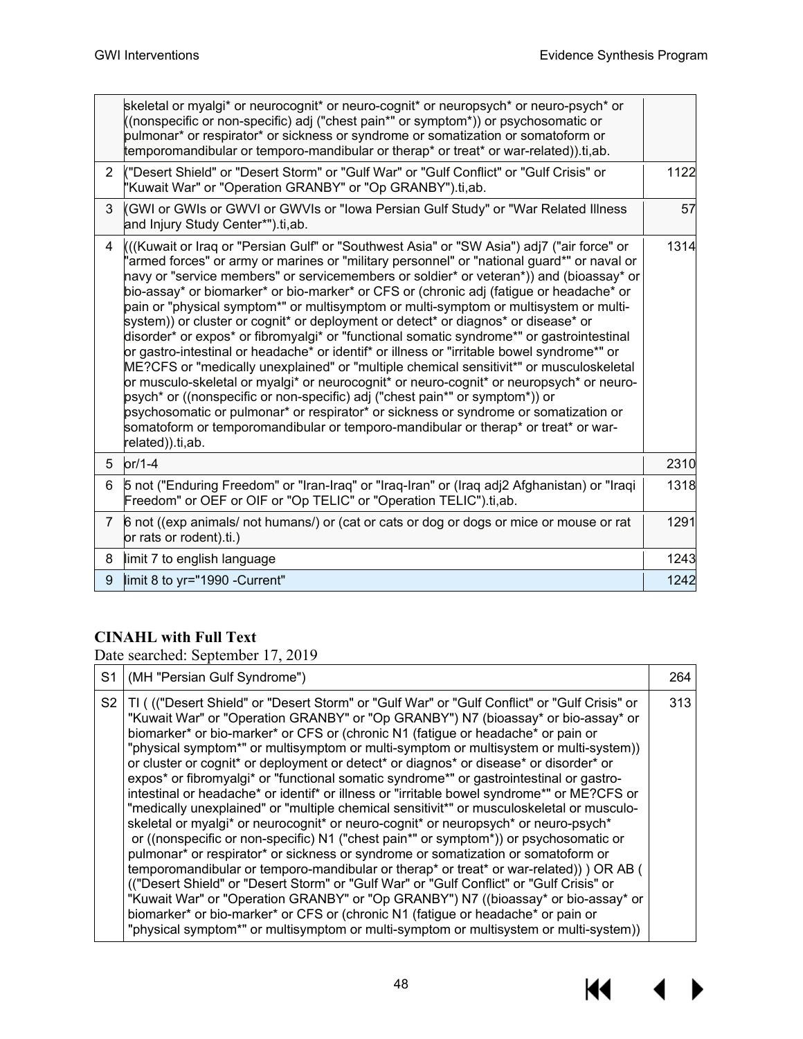$M \rightarrow$ 

|                | skeletal or myalgi* or neurocognit* or neuro-cognit* or neuropsych* or neuro-psych* or<br>((nonspecific or non-specific) adj ("chest pain*" or symptom*)) or psychosomatic or<br>pulmonar* or respirator* or sickness or syndrome or somatization or somatoform or<br>temporomandibular or temporo-mandibular or therap* or treat* or war-related)).ti,ab.                                                                                                                                                                                                                                                                                                                                                                                                                                                                                                                                                                                                                                                                                                                                                                                                                                                                       |      |
|----------------|----------------------------------------------------------------------------------------------------------------------------------------------------------------------------------------------------------------------------------------------------------------------------------------------------------------------------------------------------------------------------------------------------------------------------------------------------------------------------------------------------------------------------------------------------------------------------------------------------------------------------------------------------------------------------------------------------------------------------------------------------------------------------------------------------------------------------------------------------------------------------------------------------------------------------------------------------------------------------------------------------------------------------------------------------------------------------------------------------------------------------------------------------------------------------------------------------------------------------------|------|
| $\overline{2}$ | ("Desert Shield" or "Desert Storm" or "Gulf War" or "Gulf Conflict" or "Gulf Crisis" or<br>"Kuwait War" or "Operation GRANBY" or "Op GRANBY").ti,ab.                                                                                                                                                                                                                                                                                                                                                                                                                                                                                                                                                                                                                                                                                                                                                                                                                                                                                                                                                                                                                                                                             | 1122 |
| 3              | (GWI or GWIs or GWVI or GWVIs or "Iowa Persian Gulf Study" or "War Related Illness<br>and Injury Study Center*").ti,ab.                                                                                                                                                                                                                                                                                                                                                                                                                                                                                                                                                                                                                                                                                                                                                                                                                                                                                                                                                                                                                                                                                                          | 57   |
| 4              | ((Kuwait or Iraq or "Persian Gulf" or "Southwest Asia" or "SW Asia") adj7 ("air force" or<br>'armed forces" or army or marines or "military personnel" or "national guard*" or naval or<br>navy or "service members" or servicemembers or soldier* or veteran*)) and (bioassay* or<br>bio-assay* or biomarker* or bio-marker* or CFS or (chronic adj (fatigue or headache* or<br>pain or "physical symptom*" or multisymptom or multi-symptom or multisystem or multi-<br>system)) or cluster or cognit* or deployment or detect* or diagnos* or disease* or<br>disorder* or expos* or fibromyalgi* or "functional somatic syndrome*" or gastrointestinal<br>or gastro-intestinal or headache* or identif* or illness or "irritable bowel syndrome*" or<br>ME?CFS or "medically unexplained" or "multiple chemical sensitivit*" or musculoskeletal<br>or musculo-skeletal or myalgi* or neurocognit* or neuro-cognit* or neuropsych* or neuro-<br>psych* or ((nonspecific or non-specific) adj ("chest pain*" or symptom*)) or<br>psychosomatic or pulmonar* or respirator* or sickness or syndrome or somatization or<br>somatoform or temporomandibular or temporo-mandibular or therap* or treat* or war-<br>related)).ti,ab. | 1314 |
| 5 <sup>5</sup> | $or/1-4$                                                                                                                                                                                                                                                                                                                                                                                                                                                                                                                                                                                                                                                                                                                                                                                                                                                                                                                                                                                                                                                                                                                                                                                                                         | 2310 |
| 6              | 5 not ("Enduring Freedom" or "Iran-Iraq" or "Iraq-Iran" or (Iraq adj2 Afghanistan) or "Iraqi<br>Freedom" or OEF or OIF or "Op TELIC" or "Operation TELIC").ti,ab.                                                                                                                                                                                                                                                                                                                                                                                                                                                                                                                                                                                                                                                                                                                                                                                                                                                                                                                                                                                                                                                                | 1318 |
| $\overline{7}$ | 6 not ((exp animals/ not humans/) or (cat or cats or dog or dogs or mice or mouse or rat<br>or rats or rodent).ti.)                                                                                                                                                                                                                                                                                                                                                                                                                                                                                                                                                                                                                                                                                                                                                                                                                                                                                                                                                                                                                                                                                                              | 1291 |
| 8              | limit 7 to english language                                                                                                                                                                                                                                                                                                                                                                                                                                                                                                                                                                                                                                                                                                                                                                                                                                                                                                                                                                                                                                                                                                                                                                                                      | 1243 |
| $9^{\circ}$    | limit 8 to yr="1990 -Current"                                                                                                                                                                                                                                                                                                                                                                                                                                                                                                                                                                                                                                                                                                                                                                                                                                                                                                                                                                                                                                                                                                                                                                                                    | 1242 |

## **CINAHL with Full Text**

Date searched: September 17, 2019

| S1 | (MH "Persian Gulf Syndrome")                                                                                                                                                                                                                                                                                                                                                                                                                                                                                                                                                                                                                                                                                                                                                                                                                                                                                                                                                                                                                                                                                                                                                                                                                                                                                                                                                                                                                                                        | 264 |
|----|-------------------------------------------------------------------------------------------------------------------------------------------------------------------------------------------------------------------------------------------------------------------------------------------------------------------------------------------------------------------------------------------------------------------------------------------------------------------------------------------------------------------------------------------------------------------------------------------------------------------------------------------------------------------------------------------------------------------------------------------------------------------------------------------------------------------------------------------------------------------------------------------------------------------------------------------------------------------------------------------------------------------------------------------------------------------------------------------------------------------------------------------------------------------------------------------------------------------------------------------------------------------------------------------------------------------------------------------------------------------------------------------------------------------------------------------------------------------------------------|-----|
|    | S2   TI ( (("Desert Shield" or "Desert Storm" or "Gulf War" or "Gulf Conflict" or "Gulf Crisis" or<br>"Kuwait War" or "Operation GRANBY" or "Op GRANBY") N7 (bioassay* or bio-assay* or<br>biomarker* or bio-marker* or CFS or (chronic N1 (fatigue or headache* or pain or<br>"physical symptom*" or multisymptom or multi-symptom or multisystem or multi-system))<br>or cluster or cognit* or deployment or detect* or diagnos* or disease* or disorder* or<br>expos* or fibromyalgi* or "functional somatic syndrome*" or gastrointestinal or gastro-<br>intestinal or headache* or identif* or illness or "irritable bowel syndrome*" or ME?CFS or<br>"medically unexplained" or "multiple chemical sensitivit*" or musculoskeletal or musculo-<br>skeletal or myalgi* or neurocognit* or neuro-cognit* or neuropsych* or neuro-psych*<br>or ((nonspecific or non-specific) N1 ("chest pain*" or symptom*)) or psychosomatic or<br>pulmonar* or respirator* or sickness or syndrome or somatization or somatoform or<br>temporomandibular or temporo-mandibular or therap* or treat* or war-related)) ) OR AB (<br>(("Desert Shield" or "Desert Storm" or "Gulf War" or "Gulf Conflict" or "Gulf Crisis" or<br>"Kuwait War" or "Operation GRANBY" or "Op GRANBY") N7 ((bioassay* or bio-assay* or<br>biomarker* or bio-marker* or CFS or (chronic N1 (fatigue or headache* or pain or<br>"physical symptom*" or multisymptom or multi-symptom or multisystem or multi-system)) | 313 |

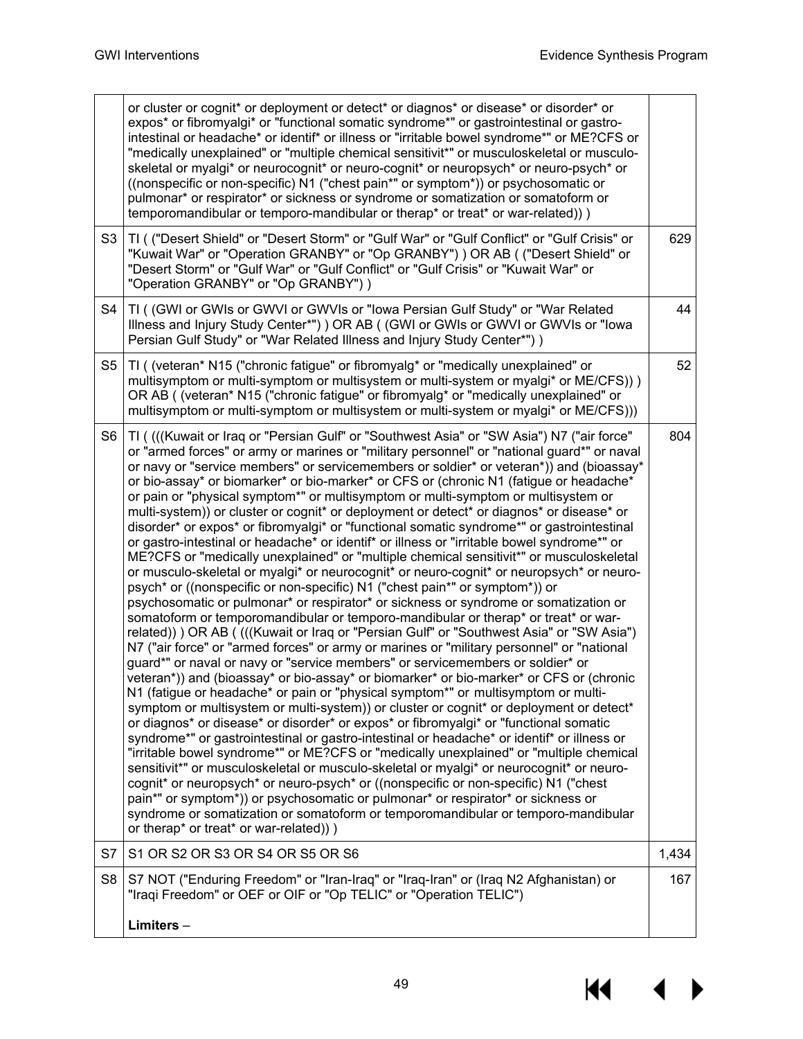$\overline{\mathbf{A}}$ 

 $\blacktriangleright$ 

K

|                | or cluster or cognit* or deployment or detect* or diagnos* or disease* or disorder* or<br>expos* or fibromyalgi* or "functional somatic syndrome*" or gastrointestinal or gastro-<br>intestinal or headache* or identif* or illness or "irritable bowel syndrome*" or ME?CFS or<br>"medically unexplained" or "multiple chemical sensitivit*" or musculoskeletal or musculo-<br>skeletal or myalgi* or neurocognit* or neuro-cognit* or neuropsych* or neuro-psych* or<br>((nonspecific or non-specific) N1 ("chest pain*" or symptom*)) or psychosomatic or<br>pulmonar* or respirator* or sickness or syndrome or somatization or somatoform or<br>temporomandibular or temporo-mandibular or therap* or treat* or war-related)))                                                                                                                                                                                                                                                                                                                                                                                                                                                                                                                                                                                                                                                                                                                                                                                                                                                                                                                                                                                                                                                                                                                                                                                                                                                                                                                                                                                                                                                                                                                                                                                                                                                                                                                       |       |
|----------------|-----------------------------------------------------------------------------------------------------------------------------------------------------------------------------------------------------------------------------------------------------------------------------------------------------------------------------------------------------------------------------------------------------------------------------------------------------------------------------------------------------------------------------------------------------------------------------------------------------------------------------------------------------------------------------------------------------------------------------------------------------------------------------------------------------------------------------------------------------------------------------------------------------------------------------------------------------------------------------------------------------------------------------------------------------------------------------------------------------------------------------------------------------------------------------------------------------------------------------------------------------------------------------------------------------------------------------------------------------------------------------------------------------------------------------------------------------------------------------------------------------------------------------------------------------------------------------------------------------------------------------------------------------------------------------------------------------------------------------------------------------------------------------------------------------------------------------------------------------------------------------------------------------------------------------------------------------------------------------------------------------------------------------------------------------------------------------------------------------------------------------------------------------------------------------------------------------------------------------------------------------------------------------------------------------------------------------------------------------------------------------------------------------------------------------------------------------------|-------|
| S <sub>3</sub> | TI ( ("Desert Shield" or "Desert Storm" or "Gulf War" or "Gulf Conflict" or "Gulf Crisis" or<br>"Kuwait War" or "Operation GRANBY" or "Op GRANBY") ) OR AB ( ("Desert Shield" or<br>"Desert Storm" or "Gulf War" or "Gulf Conflict" or "Gulf Crisis" or "Kuwait War" or<br>"Operation GRANBY" or "Op GRANBY"))                                                                                                                                                                                                                                                                                                                                                                                                                                                                                                                                                                                                                                                                                                                                                                                                                                                                                                                                                                                                                                                                                                                                                                                                                                                                                                                                                                                                                                                                                                                                                                                                                                                                                                                                                                                                                                                                                                                                                                                                                                                                                                                                            | 629   |
| S4             | TI ( (GWI or GWIs or GWVI or GWVIs or "Iowa Persian Gulf Study" or "War Related<br>Illness and Injury Study Center*") ) OR AB ( (GWI or GWIs or GWVI or GWVIs or "Iowa<br>Persian Gulf Study" or "War Related Illness and Injury Study Center*") )                                                                                                                                                                                                                                                                                                                                                                                                                                                                                                                                                                                                                                                                                                                                                                                                                                                                                                                                                                                                                                                                                                                                                                                                                                                                                                                                                                                                                                                                                                                                                                                                                                                                                                                                                                                                                                                                                                                                                                                                                                                                                                                                                                                                        | 44    |
| S <sub>5</sub> | TI ((veteran* N15 ("chronic fatigue" or fibromyalg* or "medically unexplained" or<br>multisymptom or multi-symptom or multisystem or multi-system or myalgi* or ME/CFS)) )<br>OR AB ((veteran* N15 ("chronic fatigue" or fibromyalg* or "medically unexplained" or<br>multisymptom or multi-symptom or multisystem or multi-system or myalgi* or ME/CFS)))                                                                                                                                                                                                                                                                                                                                                                                                                                                                                                                                                                                                                                                                                                                                                                                                                                                                                                                                                                                                                                                                                                                                                                                                                                                                                                                                                                                                                                                                                                                                                                                                                                                                                                                                                                                                                                                                                                                                                                                                                                                                                                | 52    |
| S <sub>6</sub> | TI ( (((Kuwait or Iraq or "Persian Gulf" or "Southwest Asia" or "SW Asia") N7 ("air force"<br>or "armed forces" or army or marines or "military personnel" or "national guard*" or naval<br>or navy or "service members" or servicemembers or soldier* or veteran*)) and (bioassay*<br>or bio-assay* or biomarker* or bio-marker* or CFS or (chronic N1 (fatigue or headache*<br>or pain or "physical symptom*" or multisymptom or multi-symptom or multisystem or<br>multi-system)) or cluster or cognit* or deployment or detect* or diagnos* or disease* or<br>disorder* or expos* or fibromyalgi* or "functional somatic syndrome*" or gastrointestinal<br>or gastro-intestinal or headache* or identif* or illness or "irritable bowel syndrome*" or<br>ME?CFS or "medically unexplained" or "multiple chemical sensitivit*" or musculoskeletal<br>or musculo-skeletal or myalgi* or neurocognit* or neuro-cognit* or neuropsych* or neuro-<br>psych* or ((nonspecific or non-specific) N1 ("chest pain*" or symptom*)) or<br>psychosomatic or pulmonar* or respirator* or sickness or syndrome or somatization or<br>somatoform or temporomandibular or temporo-mandibular or therap* or treat* or war-<br>related)) OR AB ( (((Kuwait or Iraq or "Persian Gulf" or "Southwest Asia" or "SW Asia")<br>N7 ("air force" or "armed forces" or army or marines or "military personnel" or "national<br>guard*" or naval or navy or "service members" or servicemembers or soldier* or<br>veteran*)) and (bioassay* or bio-assay* or biomarker* or bio-marker* or CFS or (chronic<br>N1 (fatigue or headache* or pain or "physical symptom*" or multisymptom or multi-<br>symptom or multisystem or multi-system)) or cluster or cognit* or deployment or detect*<br>or diagnos* or disease* or disorder* or expos* or fibromyalgi* or "functional somatic<br>syndrome*" or gastrointestinal or gastro-intestinal or headache* or identif* or illness or<br>"irritable bowel syndrome*" or ME?CFS or "medically unexplained" or "multiple chemical<br>sensitivit*" or musculoskeletal or musculo-skeletal or myalgi* or neurocognit* or neuro-<br>cognit* or neuropsych* or neuro-psych* or ((nonspecific or non-specific) N1 ("chest<br>pain*" or symptom*)) or psychosomatic or pulmonar* or respirator* or sickness or<br>syndrome or somatization or somatoform or temporomandibular or temporo-mandibular<br>or therap* or treat* or war-related))) | 804   |
| S7             | S1 OR S2 OR S3 OR S4 OR S5 OR S6                                                                                                                                                                                                                                                                                                                                                                                                                                                                                                                                                                                                                                                                                                                                                                                                                                                                                                                                                                                                                                                                                                                                                                                                                                                                                                                                                                                                                                                                                                                                                                                                                                                                                                                                                                                                                                                                                                                                                                                                                                                                                                                                                                                                                                                                                                                                                                                                                          | 1,434 |
| S <sub>8</sub> | S7 NOT ("Enduring Freedom" or "Iran-Iraq" or "Iraq-Iran" or (Iraq N2 Afghanistan) or<br>"Iraqi Freedom" or OEF or OIF or "Op TELIC" or "Operation TELIC")                                                                                                                                                                                                                                                                                                                                                                                                                                                                                                                                                                                                                                                                                                                                                                                                                                                                                                                                                                                                                                                                                                                                                                                                                                                                                                                                                                                                                                                                                                                                                                                                                                                                                                                                                                                                                                                                                                                                                                                                                                                                                                                                                                                                                                                                                                 | 167   |
|                | Limiters-                                                                                                                                                                                                                                                                                                                                                                                                                                                                                                                                                                                                                                                                                                                                                                                                                                                                                                                                                                                                                                                                                                                                                                                                                                                                                                                                                                                                                                                                                                                                                                                                                                                                                                                                                                                                                                                                                                                                                                                                                                                                                                                                                                                                                                                                                                                                                                                                                                                 |       |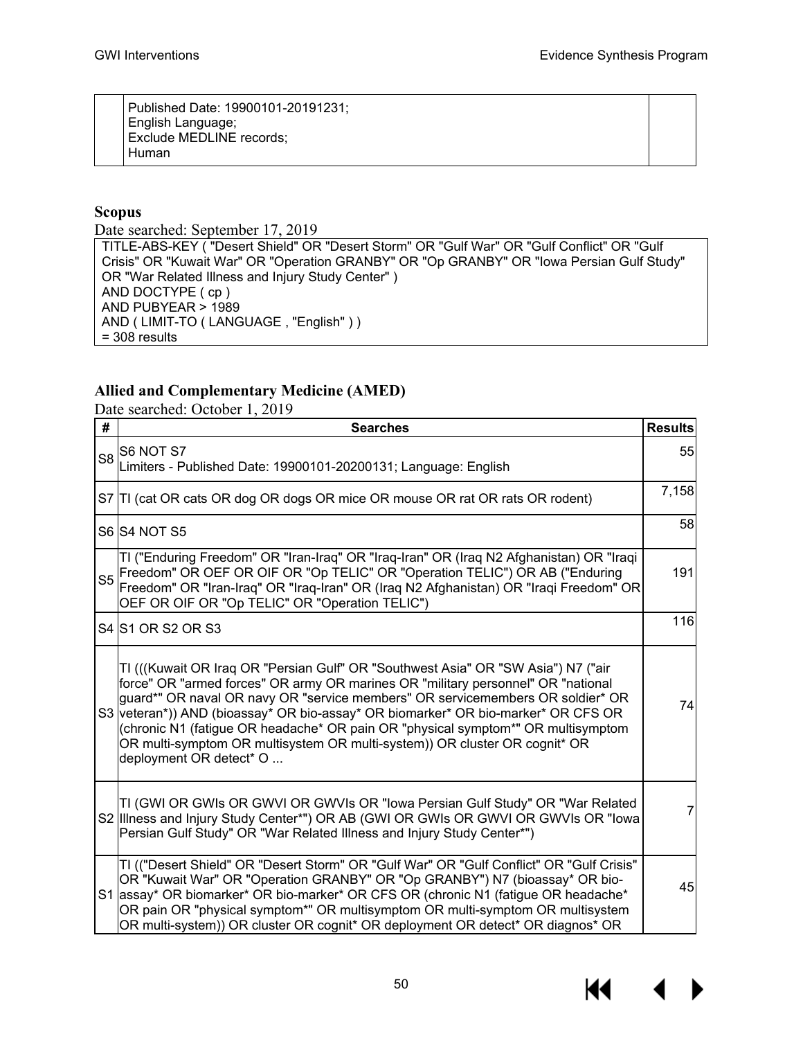Published Date: 19900101-20191231; English Language; Exclude MEDLINE records; Human

### **Scopus**

Date searched: September 17, 2019

TITLE-ABS-KEY ( "Desert Shield" OR "Desert Storm" OR "Gulf War" OR "Gulf Conflict" OR "Gulf Crisis" OR "Kuwait War" OR "Operation GRANBY" OR "Op GRANBY" OR "Iowa Persian Gulf Study" OR "War Related Illness and Injury Study Center" ) AND DOCTYPE ( cp ) AND PUBYEAR  $> 1989$ AND ( LIMIT-TO ( LANGUAGE , "English" ) ) = 308 results

### **Allied and Complementary Medicine (AMED)**

Date searched: October 1, 2019

| #              | <b>Searches</b>                                                                                                                                                                                                                                                                                                                                                                                                                                                                                                                           | <b>Results</b> |  |  |  |  |
|----------------|-------------------------------------------------------------------------------------------------------------------------------------------------------------------------------------------------------------------------------------------------------------------------------------------------------------------------------------------------------------------------------------------------------------------------------------------------------------------------------------------------------------------------------------------|----------------|--|--|--|--|
| S <sub>8</sub> | S6 NOT S7<br>Limiters - Published Date: 19900101-20200131; Language: English                                                                                                                                                                                                                                                                                                                                                                                                                                                              |                |  |  |  |  |
|                | S7 TI (cat OR cats OR dog OR dogs OR mice OR mouse OR rat OR rats OR rodent)                                                                                                                                                                                                                                                                                                                                                                                                                                                              | 7,158          |  |  |  |  |
|                | S6 S4 NOT S5                                                                                                                                                                                                                                                                                                                                                                                                                                                                                                                              | 58             |  |  |  |  |
|                | TI ("Enduring Freedom" OR "Iran-Iraq" OR "Iraq-Iran" OR (Iraq N2 Afghanistan) OR "Iraqi<br>S5 Freedom" OR OEF OR OIF OR "Op TELIC" OR "Operation TELIC") OR AB ("Enduring<br>Freedom" OR "Iran-Iraq" OR "Iraq-Iran" OR (Iraq N2 Afghanistan) OR "Iraqi Freedom" OR<br>OEF OR OIF OR "Op TELIC" OR "Operation TELIC")                                                                                                                                                                                                                      | 191            |  |  |  |  |
|                | S4 S1 OR S2 OR S3                                                                                                                                                                                                                                                                                                                                                                                                                                                                                                                         | 116            |  |  |  |  |
|                | TI (((Kuwait OR Iraq OR "Persian Gulf" OR "Southwest Asia" OR "SW Asia") N7 ("air<br>force" OR "armed forces" OR army OR marines OR "military personnel" OR "national<br>guard*" OR naval OR navy OR "service members" OR servicemembers OR soldier* OR<br>S3 veteran*)) AND (bioassay* OR bio-assay* OR biomarker* OR bio-marker* OR CFS OR<br>(chronic N1 (fatigue OR headache* OR pain OR "physical symptom*" OR multisymptom<br>OR multi-symptom OR multisystem OR multi-system)) OR cluster OR cognit* OR<br>deployment OR detect* O | 74             |  |  |  |  |
|                | TI (GWI OR GWIs OR GWVI OR GWVIs OR "Iowa Persian Gulf Study" OR "War Related<br>S2 Illness and Injury Study Center*") OR AB (GWI OR GWIs OR GWVI OR GWVIs OR "lowa<br>Persian Gulf Study" OR "War Related Illness and Injury Study Center*")                                                                                                                                                                                                                                                                                             | 7              |  |  |  |  |
|                | TI (("Desert Shield" OR "Desert Storm" OR "Gulf War" OR "Gulf Conflict" OR "Gulf Crisis"<br>OR "Kuwait War" OR "Operation GRANBY" OR "Op GRANBY") N7 (bioassay* OR bio-<br>S1 assay* OR biomarker* OR bio-marker* OR CFS OR (chronic N1 (fatigue OR headache*<br>OR pain OR "physical symptom*" OR multisymptom OR multi-symptom OR multisystem<br>OR multi-system)) OR cluster OR cognit* OR deployment OR detect* OR diagnos* OR                                                                                                        | 45             |  |  |  |  |

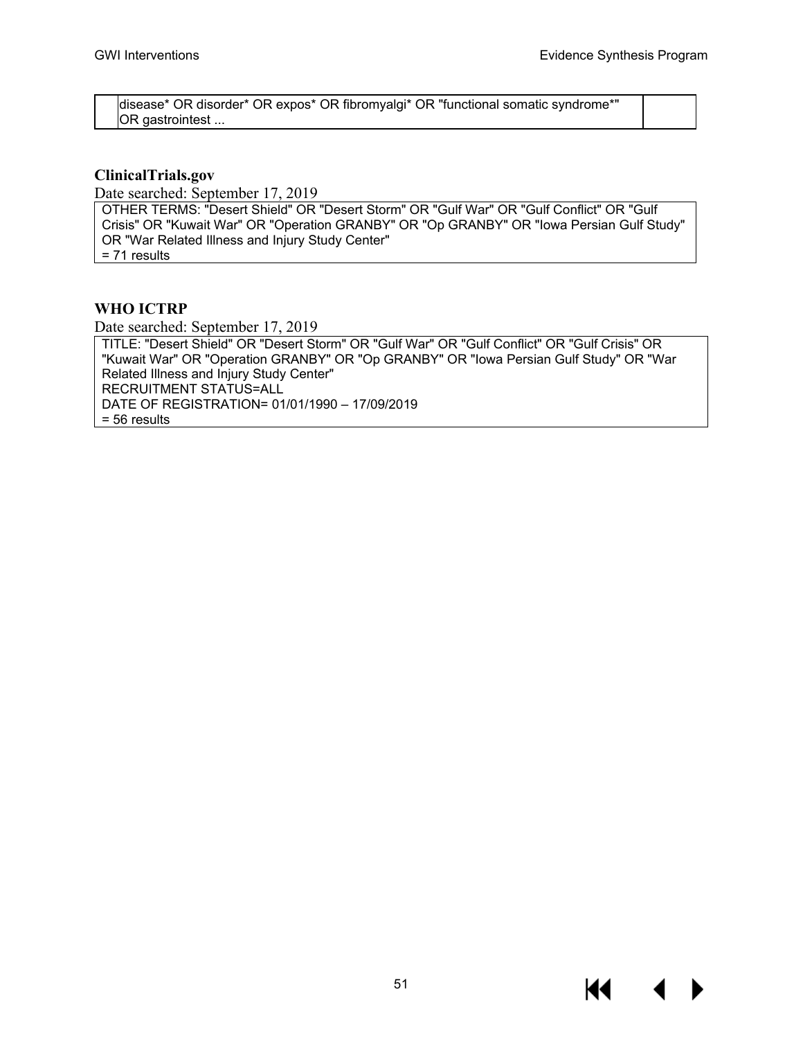disease\* OR disorder\* OR expos\* OR fibromyalgi\* OR "functional somatic syndrome\*" OR gastrointest ...

### **ClinicalTrials.gov**

Date searched: September 17, 2019

OTHER TERMS: "Desert Shield" OR "Desert Storm" OR "Gulf War" OR "Gulf Conflict" OR "Gulf Crisis" OR "Kuwait War" OR "Operation GRANBY" OR "Op GRANBY" OR "Iowa Persian Gulf Study" OR "War Related Illness and Injury Study Center" = 71 results

### **WHO ICTRP**

Date searched: September 17, 2019

TITLE: "Desert Shield" OR "Desert Storm" OR "Gulf War" OR "Gulf Conflict" OR "Gulf Crisis" OR "Kuwait War" OR "Operation GRANBY" OR "Op GRANBY" OR "Iowa Persian Gulf Study" OR "War Related Illness and Injury Study Center" RECRUITMENT STATUS=ALL DATE OF REGISTRATION= 01/01/1990 – 17/09/2019 = 56 results

К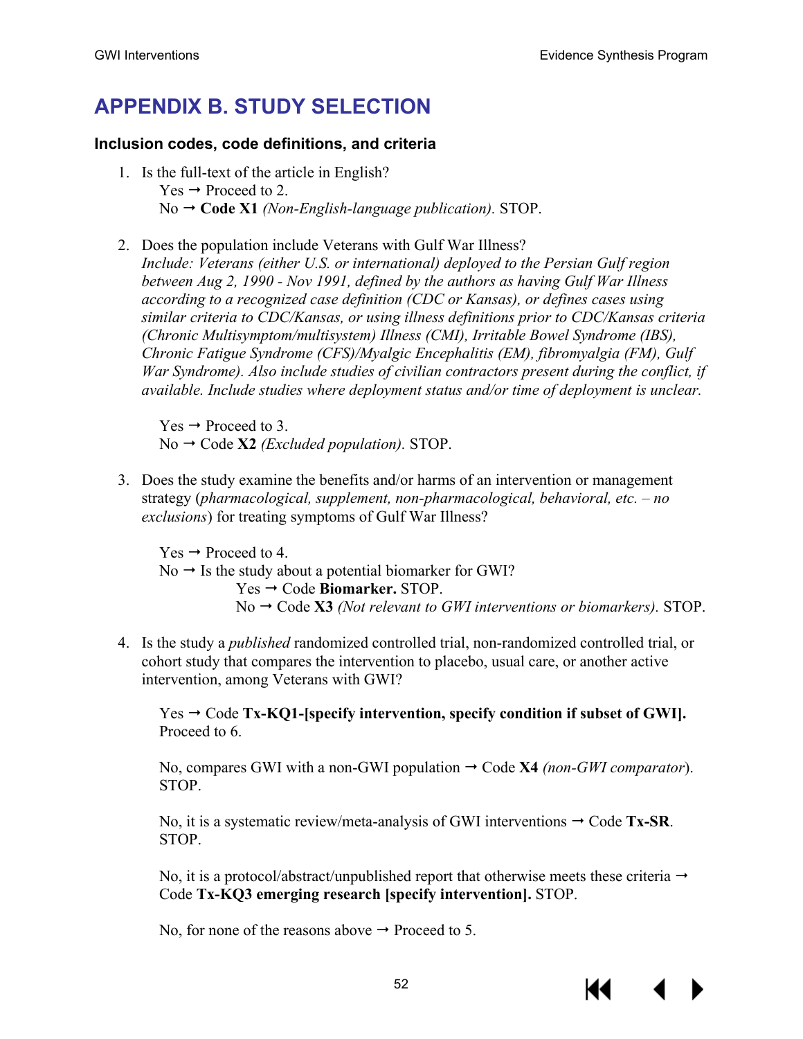# **APPENDIX B. STUDY SELECTION**

### **Inclusion codes, code definitions, and criteria**

- 1. Is the full-text of the article in English?  $Yes \rightarrow Proceed to 2.$ No **Code X1** *(Non-English-language publication).* STOP.
- 2. Does the population include Veterans with Gulf War Illness? *Include: Veterans (either U.S. or international) deployed to the Persian Gulf region between Aug 2, 1990 - Nov 1991, defined by the authors as having Gulf War Illness according to a recognized case definition (CDC or Kansas), or defines cases using similar criteria to CDC/Kansas, or using illness definitions prior to CDC/Kansas criteria (Chronic Multisymptom/multisystem) Illness (CMI), Irritable Bowel Syndrome (IBS), Chronic Fatigue Syndrome (CFS)/Myalgic Encephalitis (EM), fibromyalgia (FM), Gulf War Syndrome). Also include studies of civilian contractors present during the conflict, if available. Include studies where deployment status and/or time of deployment is unclear.*

 $Yes \rightarrow Proceed to 3.$  $No \rightarrow Code X2$  *(Excluded population).* STOP.

3. Does the study examine the benefits and/or harms of an intervention or management strategy (*pharmacological, supplement, non-pharmacological, behavioral, etc. – no exclusions*) for treating symptoms of Gulf War Illness?

 $Yes \rightarrow Proceed to 4.$  $No \rightarrow Is$  the study about a potential biomarker for GWI? Yes → Code **Biomarker.** STOP.  $No \rightarrow Code X3$  *(Not relevant to GWI interventions or biomarkers).* STOP.

4. Is the study a *published* randomized controlled trial, non-randomized controlled trial, or cohort study that compares the intervention to placebo, usual care, or another active intervention, among Veterans with GWI?

 $Yes \rightarrow Code Tx-KQ1-Ispecificy\text{ intervention}, specify\text{condition if subset of GWI}.$ Proceed to 6.

No, compares GWI with a non-GWI population  $\rightarrow$  Code **X4** *(non-GWI comparator*). STOP.

No, it is a systematic review/meta-analysis of GWI interventions  $\rightarrow$  Code **Tx-SR**. STOP.

No, it is a protocol/abstract/unpublished report that otherwise meets these criteria  $\rightarrow$ Code **Tx-KQ3 emerging research [specify intervention].** STOP.

No, for none of the reasons above  $\rightarrow$  Proceed to 5.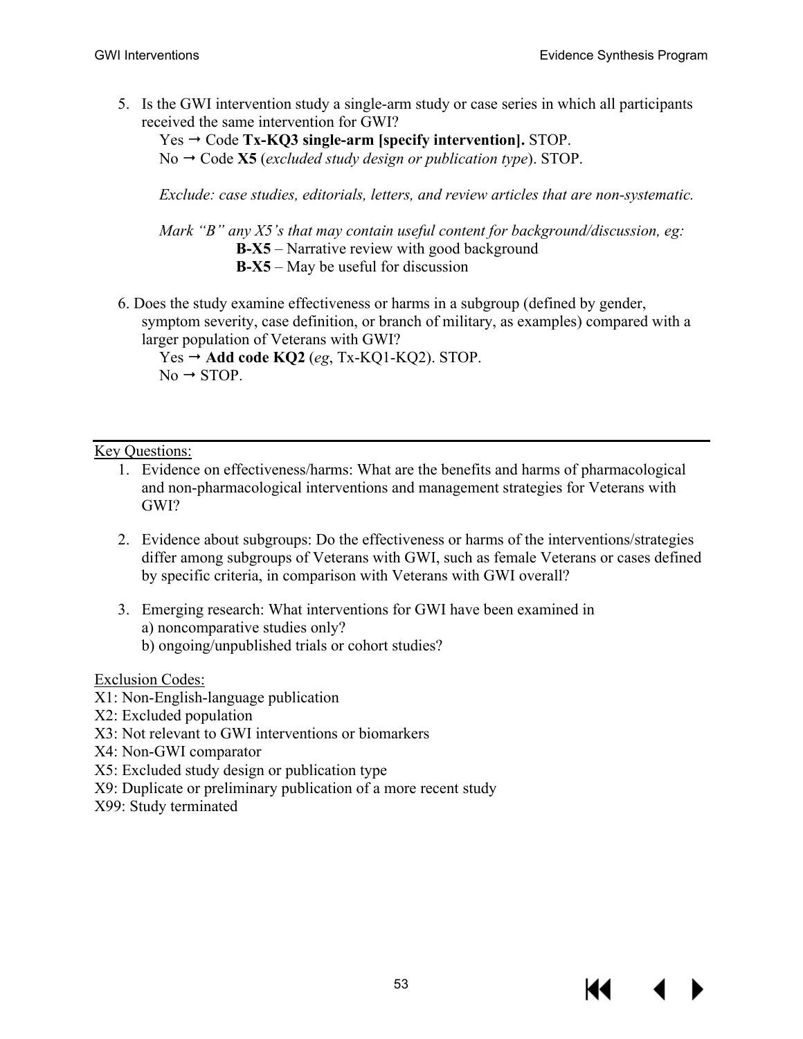5. Is the GWI intervention study a single-arm study or case series in which all participants received the same intervention for GWI?

Yes → Code **Tx-KQ3** single-arm [specify intervention]. STOP.

No  $\rightarrow$  Code **X5** (*excluded study design or publication type*). STOP.

*Exclude: case studies, editorials, letters, and review articles that are non-systematic.*

*Mark "B" any X5's that may contain useful content for background/discussion, eg:*  **B-X5** – Narrative review with good background **B-X5** – May be useful for discussion

6. Does the study examine effectiveness or harms in a subgroup (defined by gender, symptom severity, case definition, or branch of military, as examples) compared with a larger population of Veterans with GWI?

 $Yes \rightarrow Add code KQ2 (eg, Tx-KQ1-KQ2). STOP.$  $No \rightarrow STOP$ .

### Key Questions:

- 1. Evidence on effectiveness/harms: What are the benefits and harms of pharmacological and non-pharmacological interventions and management strategies for Veterans with GWI?
- 2. Evidence about subgroups: Do the effectiveness or harms of the interventions/strategies differ among subgroups of Veterans with GWI, such as female Veterans or cases defined by specific criteria, in comparison with Veterans with GWI overall?
- 3. Emerging research: What interventions for GWI have been examined in a) noncomparative studies only? b) ongoing/unpublished trials or cohort studies?

Exclusion Codes:

- X1: Non-English-language publication
- X2: Excluded population
- X3: Not relevant to GWI interventions or biomarkers
- X4: Non-GWI comparator
- X5: Excluded study design or publication type
- X9: Duplicate or preliminary publication of a more recent study
- X99: Study terminated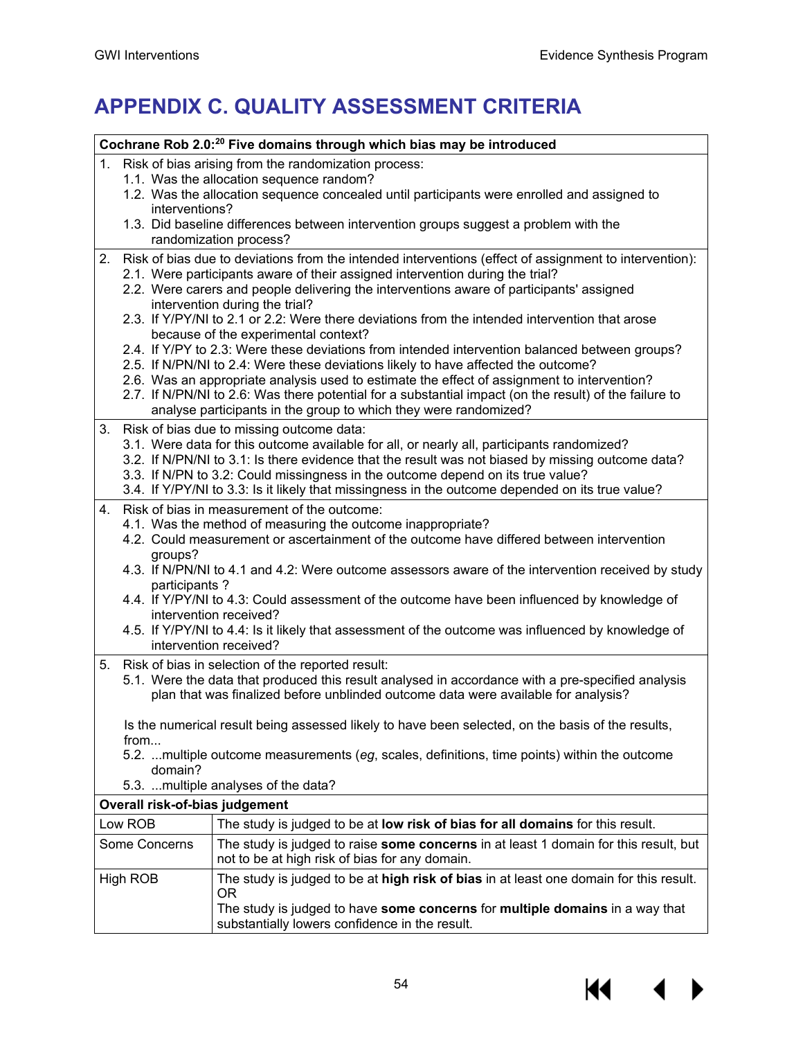# **APPENDIX C. QUALITY ASSESSMENT CRITERIA**

|                                                         | Cochrane Rob 2.0: <sup>20</sup> Five domains through which bias may be introduced                                                                                                                                                                                                   |  |  |  |  |  |  |
|---------------------------------------------------------|-------------------------------------------------------------------------------------------------------------------------------------------------------------------------------------------------------------------------------------------------------------------------------------|--|--|--|--|--|--|
| 1. Risk of bias arising from the randomization process: |                                                                                                                                                                                                                                                                                     |  |  |  |  |  |  |
|                                                         | 1.1. Was the allocation sequence random?<br>1.2. Was the allocation sequence concealed until participants were enrolled and assigned to                                                                                                                                             |  |  |  |  |  |  |
| interventions?                                          |                                                                                                                                                                                                                                                                                     |  |  |  |  |  |  |
|                                                         | 1.3. Did baseline differences between intervention groups suggest a problem with the<br>randomization process?                                                                                                                                                                      |  |  |  |  |  |  |
| 2.                                                      | Risk of bias due to deviations from the intended interventions (effect of assignment to intervention):<br>2.1. Were participants aware of their assigned intervention during the trial?<br>2.2. Were carers and people delivering the interventions aware of participants' assigned |  |  |  |  |  |  |
|                                                         | intervention during the trial?<br>2.3. If Y/PY/NI to 2.1 or 2.2: Were there deviations from the intended intervention that arose                                                                                                                                                    |  |  |  |  |  |  |
|                                                         | because of the experimental context?                                                                                                                                                                                                                                                |  |  |  |  |  |  |
|                                                         | 2.4. If Y/PY to 2.3: Were these deviations from intended intervention balanced between groups?                                                                                                                                                                                      |  |  |  |  |  |  |
|                                                         | 2.5. If N/PN/NI to 2.4: Were these deviations likely to have affected the outcome?<br>2.6. Was an appropriate analysis used to estimate the effect of assignment to intervention?                                                                                                   |  |  |  |  |  |  |
|                                                         | 2.7. If N/PN/NI to 2.6: Was there potential for a substantial impact (on the result) of the failure to<br>analyse participants in the group to which they were randomized?                                                                                                          |  |  |  |  |  |  |
|                                                         | 3. Risk of bias due to missing outcome data:                                                                                                                                                                                                                                        |  |  |  |  |  |  |
|                                                         | 3.1. Were data for this outcome available for all, or nearly all, participants randomized?                                                                                                                                                                                          |  |  |  |  |  |  |
|                                                         | 3.2. If N/PN/NI to 3.1: Is there evidence that the result was not biased by missing outcome data?                                                                                                                                                                                   |  |  |  |  |  |  |
|                                                         | 3.3. If N/PN to 3.2: Could missingness in the outcome depend on its true value?<br>3.4. If Y/PY/NI to 3.3: Is it likely that missingness in the outcome depended on its true value?                                                                                                 |  |  |  |  |  |  |
|                                                         |                                                                                                                                                                                                                                                                                     |  |  |  |  |  |  |
| 4.                                                      | Risk of bias in measurement of the outcome:<br>4.1. Was the method of measuring the outcome inappropriate?                                                                                                                                                                          |  |  |  |  |  |  |
|                                                         | 4.2. Could measurement or ascertainment of the outcome have differed between intervention                                                                                                                                                                                           |  |  |  |  |  |  |
| groups?                                                 |                                                                                                                                                                                                                                                                                     |  |  |  |  |  |  |
|                                                         | 4.3. If N/PN/NI to 4.1 and 4.2: Were outcome assessors aware of the intervention received by study                                                                                                                                                                                  |  |  |  |  |  |  |
| participants?                                           | 4.4. If Y/PY/NI to 4.3: Could assessment of the outcome have been influenced by knowledge of                                                                                                                                                                                        |  |  |  |  |  |  |
|                                                         | intervention received?                                                                                                                                                                                                                                                              |  |  |  |  |  |  |
|                                                         | 4.5. If Y/PY/NI to 4.4: Is it likely that assessment of the outcome was influenced by knowledge of<br>intervention received?                                                                                                                                                        |  |  |  |  |  |  |
|                                                         | 5. Risk of bias in selection of the reported result:                                                                                                                                                                                                                                |  |  |  |  |  |  |
|                                                         | 5.1. Were the data that produced this result analysed in accordance with a pre-specified analysis<br>plan that was finalized before unblinded outcome data were available for analysis?                                                                                             |  |  |  |  |  |  |
| from                                                    | Is the numerical result being assessed likely to have been selected, on the basis of the results,                                                                                                                                                                                   |  |  |  |  |  |  |
| domain?                                                 | 5.2. multiple outcome measurements (eg, scales, definitions, time points) within the outcome                                                                                                                                                                                        |  |  |  |  |  |  |
|                                                         | 5.3. multiple analyses of the data?                                                                                                                                                                                                                                                 |  |  |  |  |  |  |
| Overall risk-of-bias judgement                          |                                                                                                                                                                                                                                                                                     |  |  |  |  |  |  |
| Low ROB                                                 | The study is judged to be at low risk of bias for all domains for this result.                                                                                                                                                                                                      |  |  |  |  |  |  |
| Some Concerns                                           | The study is judged to raise some concerns in at least 1 domain for this result, but<br>not to be at high risk of bias for any domain.                                                                                                                                              |  |  |  |  |  |  |
| High ROB                                                | The study is judged to be at high risk of bias in at least one domain for this result.<br>0R                                                                                                                                                                                        |  |  |  |  |  |  |
|                                                         | The study is judged to have some concerns for multiple domains in a way that<br>substantially lowers confidence in the result.                                                                                                                                                      |  |  |  |  |  |  |

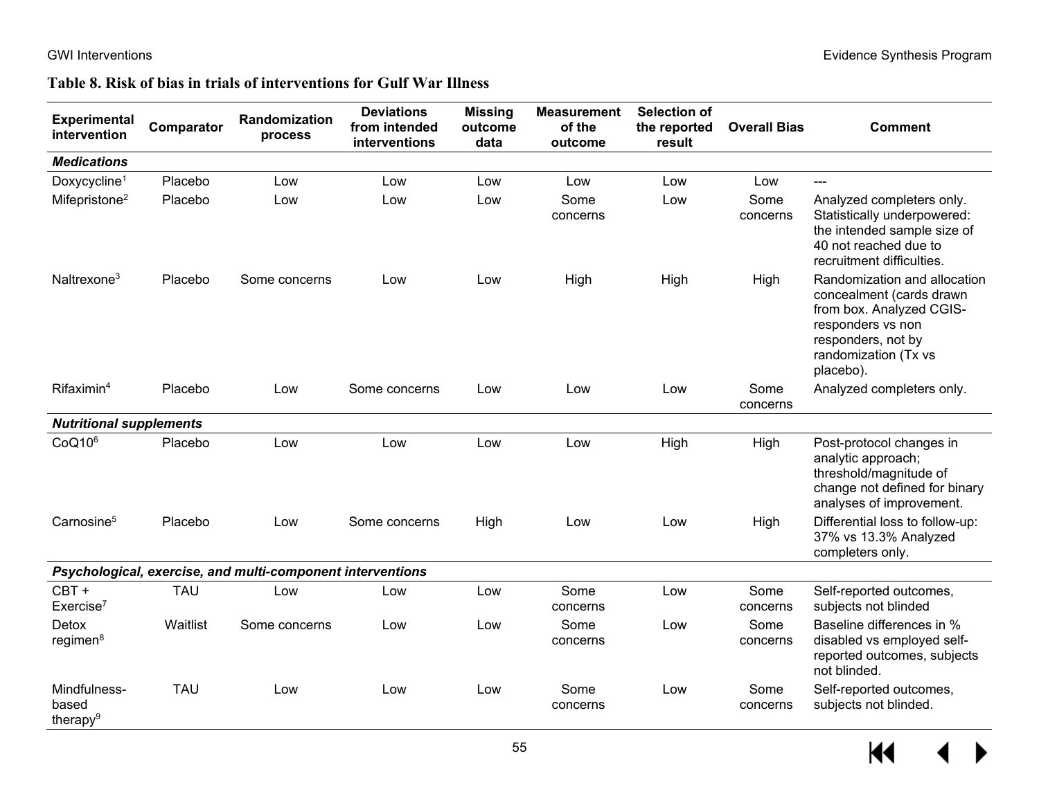### **Table 8. Risk of bias in trials of interventions for Gulf War Illness**

| <b>Experimental</b><br>intervention           | Comparator | Randomization<br>process                                   | <b>Deviations</b><br>from intended<br>interventions | <b>Missing</b><br>outcome<br>data | <b>Measurement</b><br>of the<br>outcome | <b>Selection of</b><br>the reported<br>result | <b>Overall Bias</b> | <b>Comment</b>                                                                                                                                                       |
|-----------------------------------------------|------------|------------------------------------------------------------|-----------------------------------------------------|-----------------------------------|-----------------------------------------|-----------------------------------------------|---------------------|----------------------------------------------------------------------------------------------------------------------------------------------------------------------|
| <b>Medications</b>                            |            |                                                            |                                                     |                                   |                                         |                                               |                     |                                                                                                                                                                      |
| Doxycycline <sup>1</sup>                      | Placebo    | Low                                                        | Low                                                 | Low                               | Low                                     | Low                                           | Low                 | $---$                                                                                                                                                                |
| Mifepristone <sup>2</sup>                     | Placebo    | Low                                                        | Low                                                 | Low                               | Some<br>concerns                        | Low                                           | Some<br>concerns    | Analyzed completers only.<br>Statistically underpowered:<br>the intended sample size of<br>40 not reached due to<br>recruitment difficulties.                        |
| Naltrexone <sup>3</sup>                       | Placebo    | Some concerns                                              | Low                                                 | Low                               | High                                    | High                                          | High                | Randomization and allocation<br>concealment (cards drawn<br>from box. Analyzed CGIS-<br>responders vs non<br>responders, not by<br>randomization (Tx vs<br>placebo). |
| Rifaximin <sup>4</sup>                        | Placebo    | Low                                                        | Some concerns                                       | Low                               | Low                                     | Low                                           | Some<br>concerns    | Analyzed completers only.                                                                                                                                            |
| <b>Nutritional supplements</b>                |            |                                                            |                                                     |                                   |                                         |                                               |                     |                                                                                                                                                                      |
| CoQ10 <sup>6</sup>                            | Placebo    | Low                                                        | Low                                                 | Low                               | Low                                     | High                                          | High                | Post-protocol changes in<br>analytic approach;<br>threshold/magnitude of<br>change not defined for binary<br>analyses of improvement.                                |
| Carnosine <sup>5</sup>                        | Placebo    | Low                                                        | Some concerns                                       | High                              | Low                                     | Low                                           | High                | Differential loss to follow-up:<br>37% vs 13.3% Analyzed<br>completers only.                                                                                         |
|                                               |            | Psychological, exercise, and multi-component interventions |                                                     |                                   |                                         |                                               |                     |                                                                                                                                                                      |
| CBT+<br>Exercise <sup>7</sup>                 | <b>TAU</b> | Low                                                        | Low                                                 | Low                               | Some<br>concerns                        | Low                                           | Some<br>concerns    | Self-reported outcomes,<br>subjects not blinded                                                                                                                      |
| Detox<br>regimen <sup>8</sup>                 | Waitlist   | Some concerns                                              | Low                                                 | Low                               | Some<br>concerns                        | Low                                           | Some<br>concerns    | Baseline differences in %<br>disabled vs employed self-<br>reported outcomes, subjects<br>not blinded.                                                               |
| Mindfulness-<br>based<br>therapy <sup>9</sup> | <b>TAU</b> | Low                                                        | Low                                                 | Low                               | Some<br>concerns                        | Low                                           | Some<br>concerns    | Self-reported outcomes,<br>subjects not blinded.                                                                                                                     |

 $M \rightarrow$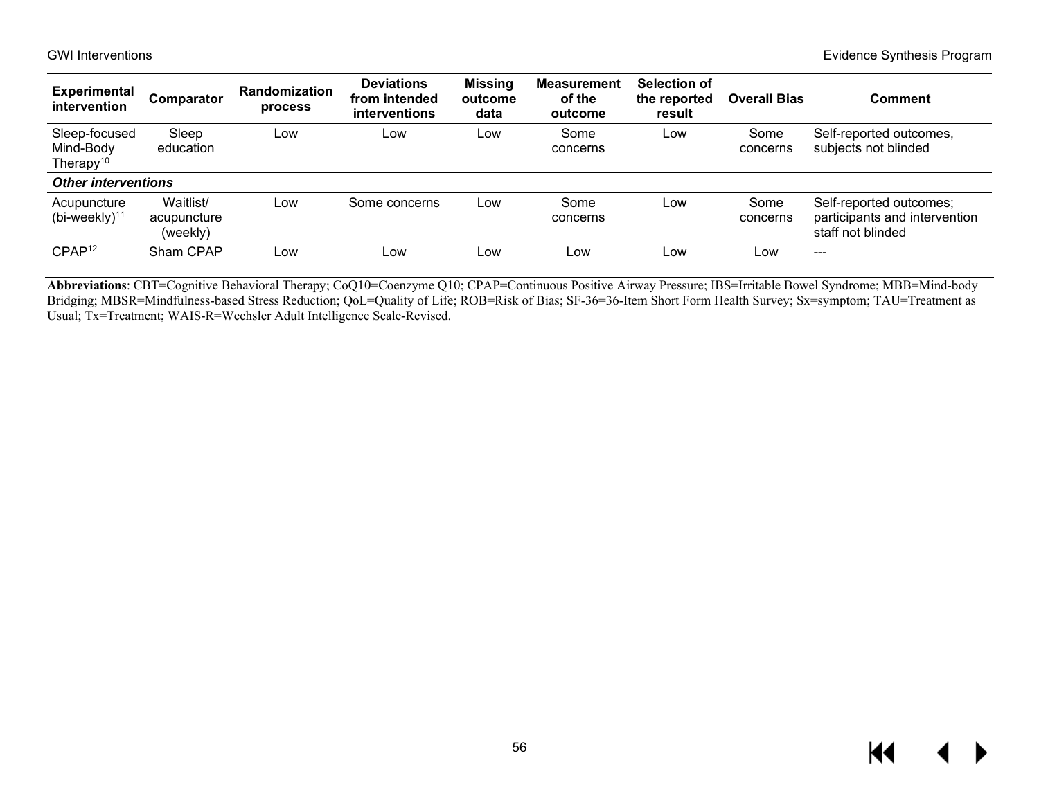| <b>Experimental</b><br>intervention        | Comparator                           | Randomization<br>process | <b>Deviations</b><br>from intended<br><i>interventions</i> | <b>Missing</b><br>outcome<br>data | <b>Measurement</b><br>of the<br>outcome | Selection of<br>the reported<br>result | <b>Overall Bias</b> | <b>Comment</b>                                                                |
|--------------------------------------------|--------------------------------------|--------------------------|------------------------------------------------------------|-----------------------------------|-----------------------------------------|----------------------------------------|---------------------|-------------------------------------------------------------------------------|
| Sleep-focused<br>Mind-Body<br>Therapy $10$ | Sleep<br>education                   | LOW                      | LOW                                                        | LOW                               | Some<br>concerns                        | Low                                    | Some<br>concerns    | Self-reported outcomes,<br>subjects not blinded                               |
| <b>Other interventions</b>                 |                                      |                          |                                                            |                                   |                                         |                                        |                     |                                                                               |
| Acupuncture<br>$(bi$ -weekly $)^{11}$      | Waitlist/<br>acupuncture<br>(weekly) | LOW                      | Some concerns                                              | Low                               | Some<br>concerns                        | Low                                    | Some<br>concerns    | Self-reported outcomes;<br>participants and intervention<br>staff not blinded |
| CPAP <sup>12</sup>                         | Sham CPAP                            | Low                      | Low                                                        | Low                               | Low                                     | Low                                    | Low                 | $- - -$                                                                       |

**Abbreviations**: CBT=Cognitive Behavioral Therapy; CoQ10=Coenzyme Q10; CPAP=Continuous Positive Airway Pressure; IBS=Irritable Bowel Syndrome; MBB=Mind-body Bridging; MBSR=Mindfulness-based Stress Reduction; QoL=Quality of Life; ROB=Risk of Bias; SF-36=36-Item Short Form Health Survey; Sx=symptom; TAU=Treatment as Usual; Tx=Treatment; WAIS-R=Wechsler Adult Intelligence Scale-Revised.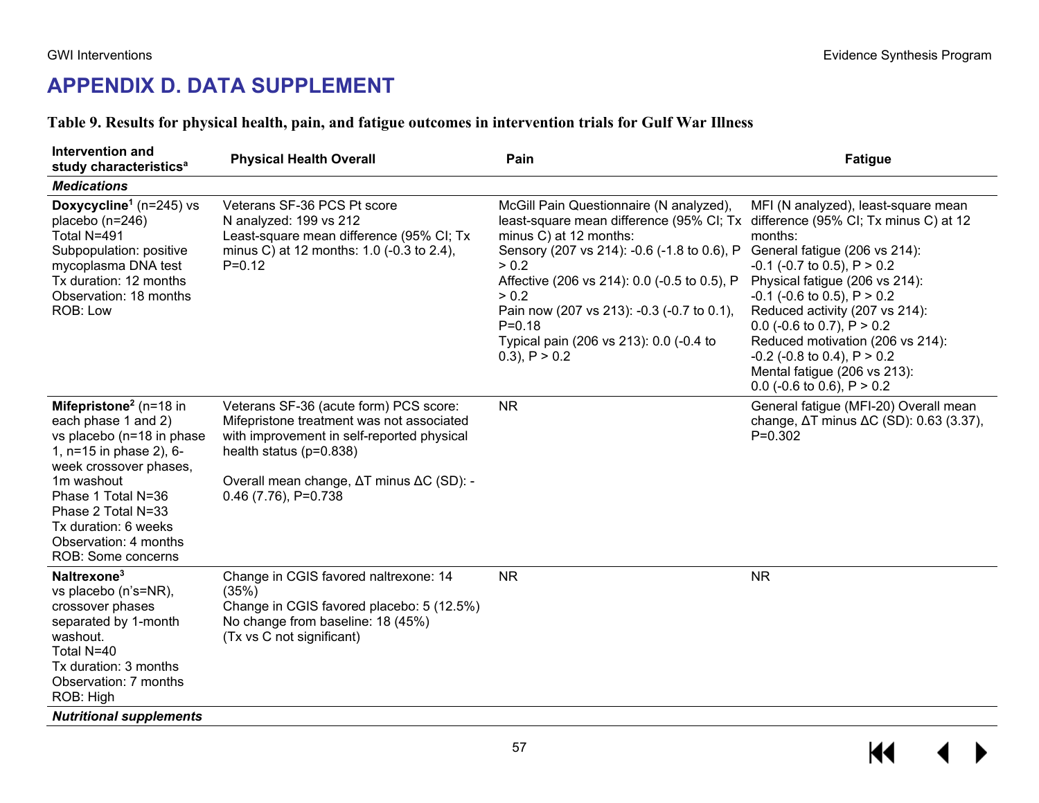# **APPENDIX D. DATA SUPPLEMENT**

### **Table 9. Results for physical health, pain, and fatigue outcomes in intervention trials for Gulf War Illness**

| Intervention and<br>study characteristics <sup>a</sup>                                                                                                                                                                                                                          | <b>Physical Health Overall</b>                                                                                                                                                                                                         | Pain                                                                                                                                                                                                                                                                                                                                                                                               | <b>Fatigue</b>                                                                                                                                                                                                                                                                                                                                                                                            |
|---------------------------------------------------------------------------------------------------------------------------------------------------------------------------------------------------------------------------------------------------------------------------------|----------------------------------------------------------------------------------------------------------------------------------------------------------------------------------------------------------------------------------------|----------------------------------------------------------------------------------------------------------------------------------------------------------------------------------------------------------------------------------------------------------------------------------------------------------------------------------------------------------------------------------------------------|-----------------------------------------------------------------------------------------------------------------------------------------------------------------------------------------------------------------------------------------------------------------------------------------------------------------------------------------------------------------------------------------------------------|
| <b>Medications</b>                                                                                                                                                                                                                                                              |                                                                                                                                                                                                                                        |                                                                                                                                                                                                                                                                                                                                                                                                    |                                                                                                                                                                                                                                                                                                                                                                                                           |
| Doxycycline <sup>1</sup> ( $n=245$ ) vs<br>placebo (n=246)<br>Total N=491<br>Subpopulation: positive<br>mycoplasma DNA test<br>Tx duration: 12 months<br>Observation: 18 months<br>ROB: Low                                                                                     | Veterans SF-36 PCS Pt score<br>N analyzed: 199 vs 212<br>Least-square mean difference (95% CI; Tx<br>minus C) at 12 months: 1.0 (-0.3 to 2.4),<br>$P=0.12$                                                                             | McGill Pain Questionnaire (N analyzed),<br>least-square mean difference (95% CI; Tx difference (95% CI; Tx minus C) at 12<br>minus C) at 12 months:<br>Sensory (207 vs 214): -0.6 (-1.8 to 0.6), P<br>> 0.2<br>Affective (206 vs 214): 0.0 (-0.5 to 0.5), P<br>> 0.2<br>Pain now (207 vs 213): -0.3 (-0.7 to 0.1),<br>$P = 0.18$<br>Typical pain (206 vs 213): 0.0 (-0.4 to<br>$(0.3)$ , P $> 0.2$ | MFI (N analyzed), least-square mean<br>months:<br>General fatigue (206 vs 214):<br>$-0.1$ ( $-0.7$ to 0.5), P $> 0.2$<br>Physical fatigue (206 vs 214):<br>$-0.1$ ( $-0.6$ to 0.5), P $> 0.2$<br>Reduced activity (207 vs 214):<br>0.0 (-0.6 to 0.7), $P > 0.2$<br>Reduced motivation (206 vs 214):<br>$-0.2$ ( $-0.8$ to 0.4), P $> 0.2$<br>Mental fatigue (206 vs 213):<br>0.0 (-0.6 to 0.6), $P > 0.2$ |
| Mifepristone <sup>2</sup> ( $n=18$ in<br>each phase 1 and 2)<br>vs placebo (n=18 in phase<br>1, n=15 in phase 2), 6-<br>week crossover phases,<br>1m washout<br>Phase 1 Total N=36<br>Phase 2 Total N=33<br>Tx duration: 6 weeks<br>Observation: 4 months<br>ROB: Some concerns | Veterans SF-36 (acute form) PCS score:<br>Mifepristone treatment was not associated<br>with improvement in self-reported physical<br>health status ( $p=0.838$ )<br>Overall mean change, ΔT minus ΔC (SD): -<br>$0.46$ (7.76), P=0.738 | <b>NR</b>                                                                                                                                                                                                                                                                                                                                                                                          | General fatigue (MFI-20) Overall mean<br>change, $\Delta T$ minus $\Delta C$ (SD): 0.63 (3.37),<br>$P=0.302$                                                                                                                                                                                                                                                                                              |
| Naltrexone <sup>3</sup><br>vs placebo (n's=NR),<br>crossover phases<br>separated by 1-month<br>washout.<br>Total N=40<br>Tx duration: 3 months<br>Observation: 7 months<br>ROB: High                                                                                            | Change in CGIS favored naltrexone: 14<br>(35%)<br>Change in CGIS favored placebo: 5 (12.5%)<br>No change from baseline: 18 (45%)<br>(Tx vs C not significant)                                                                          | <b>NR</b>                                                                                                                                                                                                                                                                                                                                                                                          | <b>NR</b>                                                                                                                                                                                                                                                                                                                                                                                                 |
| <b>Nutritional supplements</b>                                                                                                                                                                                                                                                  |                                                                                                                                                                                                                                        |                                                                                                                                                                                                                                                                                                                                                                                                    |                                                                                                                                                                                                                                                                                                                                                                                                           |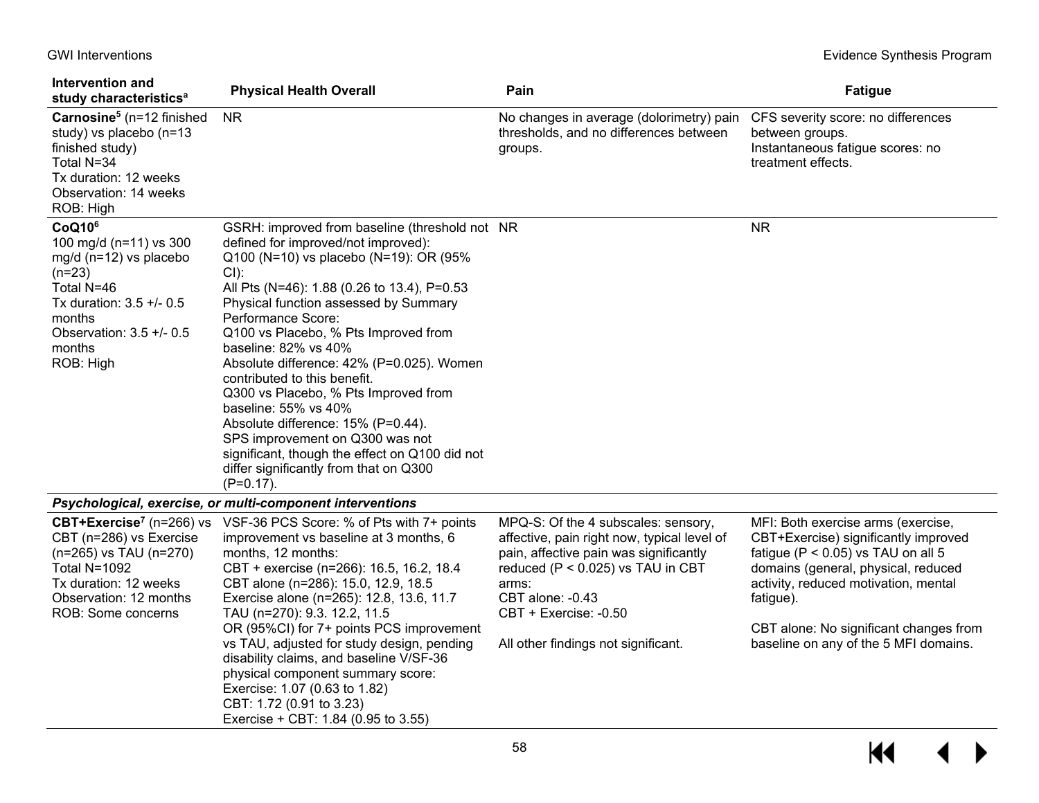| Intervention and<br>study characteristics <sup>a</sup>                                                                                                                                      | <b>Physical Health Overall</b>                                                                                                                                                                                                                                                                                                                                                                                                                                                                                                                                                                                                                          | Pain                                                                                                                                                                                                                                                           | <b>Fatigue</b>                                                                                                                                                                                                                                                                                      |
|---------------------------------------------------------------------------------------------------------------------------------------------------------------------------------------------|---------------------------------------------------------------------------------------------------------------------------------------------------------------------------------------------------------------------------------------------------------------------------------------------------------------------------------------------------------------------------------------------------------------------------------------------------------------------------------------------------------------------------------------------------------------------------------------------------------------------------------------------------------|----------------------------------------------------------------------------------------------------------------------------------------------------------------------------------------------------------------------------------------------------------------|-----------------------------------------------------------------------------------------------------------------------------------------------------------------------------------------------------------------------------------------------------------------------------------------------------|
| Carnosine <sup>5</sup> ( $n=12$ finished<br>study) vs placebo (n=13<br>finished study)<br>Total N=34<br>Tx duration: 12 weeks<br>Observation: 14 weeks<br>ROB: High                         | <b>NR</b>                                                                                                                                                                                                                                                                                                                                                                                                                                                                                                                                                                                                                                               | No changes in average (dolorimetry) pain<br>thresholds, and no differences between<br>groups.                                                                                                                                                                  | CFS severity score: no differences<br>between groups.<br>Instantaneous fatigue scores: no<br>treatment effects.                                                                                                                                                                                     |
| CoQ10 <sup>6</sup><br>100 mg/d (n=11) vs 300<br>$mg/d$ (n=12) vs placebo<br>$(n=23)$<br>Total N=46<br>Tx duration: 3.5 +/- 0.5<br>months<br>Observation: 3.5 +/- 0.5<br>months<br>ROB: High | GSRH: improved from baseline (threshold not NR<br>defined for improved/not improved):<br>Q100 (N=10) vs placebo (N=19): OR (95%<br>CI):<br>All Pts (N=46): 1.88 (0.26 to 13.4), P=0.53<br>Physical function assessed by Summary<br>Performance Score:<br>Q100 vs Placebo, % Pts Improved from<br>baseline: 82% vs 40%<br>Absolute difference: 42% (P=0.025). Women<br>contributed to this benefit.<br>Q300 vs Placebo, % Pts Improved from<br>baseline: 55% vs 40%<br>Absolute difference: 15% (P=0.44).<br>SPS improvement on Q300 was not<br>significant, though the effect on Q100 did not<br>differ significantly from that on Q300<br>$(P=0.17)$ . |                                                                                                                                                                                                                                                                | <b>NR</b>                                                                                                                                                                                                                                                                                           |
|                                                                                                                                                                                             | Psychological, exercise, or multi-component interventions                                                                                                                                                                                                                                                                                                                                                                                                                                                                                                                                                                                               |                                                                                                                                                                                                                                                                |                                                                                                                                                                                                                                                                                                     |
| CBT+Exercise <sup>7</sup> (n=266) vs<br>CBT (n=286) vs Exercise<br>(n=265) vs TAU (n=270)<br>Total N=1092<br>Tx duration: 12 weeks<br>Observation: 12 months<br>ROB: Some concerns          | VSF-36 PCS Score: % of Pts with 7+ points<br>improvement vs baseline at 3 months, 6<br>months, 12 months:<br>CBT + exercise (n=266): 16.5, 16.2, 18.4<br>CBT alone (n=286): 15.0, 12.9, 18.5<br>Exercise alone (n=265): 12.8, 13.6, 11.7<br>TAU (n=270): 9.3. 12.2, 11.5<br>OR (95%CI) for 7+ points PCS improvement<br>vs TAU, adjusted for study design, pending<br>disability claims, and baseline V/SF-36<br>physical component summary score:<br>Exercise: 1.07 (0.63 to 1.82)<br>CBT: 1.72 (0.91 to 3.23)<br>Exercise + CBT: 1.84 (0.95 to 3.55)                                                                                                  | MPQ-S: Of the 4 subscales: sensory,<br>affective, pain right now, typical level of<br>pain, affective pain was significantly<br>reduced (P < 0.025) vs TAU in CBT<br>arms:<br>CBT alone: -0.43<br>CBT + Exercise: -0.50<br>All other findings not significant. | MFI: Both exercise arms (exercise,<br>CBT+Exercise) significantly improved<br>fatigue ( $P < 0.05$ ) vs TAU on all 5<br>domains (general, physical, reduced<br>activity, reduced motivation, mental<br>fatigue).<br>CBT alone: No significant changes from<br>baseline on any of the 5 MFI domains. |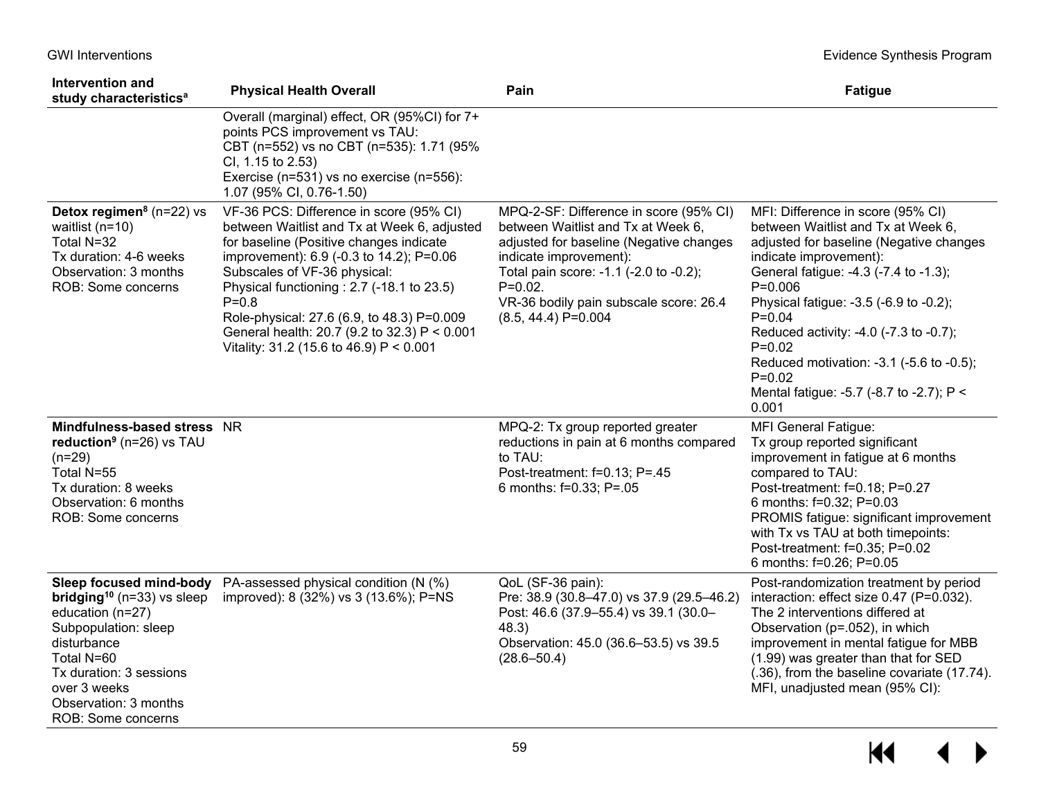| Intervention and<br>study characteristics <sup>a</sup>                                                                                                                                                                                          | <b>Physical Health Overall</b>                                                                                                                                                                                                                                                                                                                                                                                    | Pain                                                                                                                                                                                                                                                                         | <b>Fatigue</b>                                                                                                                                                                                                                                                                                                                                                                                                                    |
|-------------------------------------------------------------------------------------------------------------------------------------------------------------------------------------------------------------------------------------------------|-------------------------------------------------------------------------------------------------------------------------------------------------------------------------------------------------------------------------------------------------------------------------------------------------------------------------------------------------------------------------------------------------------------------|------------------------------------------------------------------------------------------------------------------------------------------------------------------------------------------------------------------------------------------------------------------------------|-----------------------------------------------------------------------------------------------------------------------------------------------------------------------------------------------------------------------------------------------------------------------------------------------------------------------------------------------------------------------------------------------------------------------------------|
|                                                                                                                                                                                                                                                 | Overall (marginal) effect, OR (95%CI) for 7+<br>points PCS improvement vs TAU:<br>CBT (n=552) vs no CBT (n=535): 1.71 (95%<br>CI, 1.15 to 2.53)<br>Exercise (n=531) vs no exercise (n=556):<br>1.07 (95% CI, 0.76-1.50)                                                                                                                                                                                           |                                                                                                                                                                                                                                                                              |                                                                                                                                                                                                                                                                                                                                                                                                                                   |
| Detox regimen <sup>8</sup> ( $n=22$ ) vs<br>waitlist ( $n=10$ )<br>Total N=32<br>Tx duration: 4-6 weeks<br>Observation: 3 months<br>ROB: Some concerns                                                                                          | VF-36 PCS: Difference in score (95% CI)<br>between Waitlist and Tx at Week 6, adjusted<br>for baseline (Positive changes indicate<br>improvement): 6.9 (-0.3 to 14.2); P=0.06<br>Subscales of VF-36 physical:<br>Physical functioning : 2.7 (-18.1 to 23.5)<br>$P = 0.8$<br>Role-physical: 27.6 (6.9, to 48.3) P=0.009<br>General health: 20.7 (9.2 to 32.3) P < 0.001<br>Vitality: 31.2 (15.6 to 46.9) P < 0.001 | MPQ-2-SF: Difference in score (95% CI)<br>between Waitlist and Tx at Week 6,<br>adjusted for baseline (Negative changes<br>indicate improvement):<br>Total pain score: -1.1 (-2.0 to -0.2);<br>$P=0.02$ .<br>VR-36 bodily pain subscale score: 26.4<br>$(8.5, 44.4)$ P=0.004 | MFI: Difference in score (95% CI)<br>between Waitlist and Tx at Week 6,<br>adjusted for baseline (Negative changes<br>indicate improvement):<br>General fatigue: -4.3 (-7.4 to -1.3);<br>$P=0.006$<br>Physical fatigue: -3.5 (-6.9 to -0.2);<br>$P = 0.04$<br>Reduced activity: -4.0 (-7.3 to -0.7);<br>$P = 0.02$<br>Reduced motivation: -3.1 (-5.6 to -0.5);<br>$P = 0.02$<br>Mental fatigue: -5.7 (-8.7 to -2.7); P <<br>0.001 |
| Mindfulness-based stress NR<br>reduction <sup>9</sup> ( $n=26$ ) vs TAU<br>$(n=29)$<br>Total N=55<br>Tx duration: 8 weeks<br>Observation: 6 months<br>ROB: Some concerns                                                                        |                                                                                                                                                                                                                                                                                                                                                                                                                   | MPQ-2: Tx group reported greater<br>reductions in pain at 6 months compared<br>to TAU:<br>Post-treatment: f=0.13; P=.45<br>6 months: f=0.33; P=.05                                                                                                                           | <b>MFI General Fatigue:</b><br>Tx group reported significant<br>improvement in fatigue at 6 months<br>compared to TAU:<br>Post-treatment: f=0.18; P=0.27<br>6 months: f=0.32; P=0.03<br>PROMIS fatigue: significant improvement<br>with Tx vs TAU at both timepoints:<br>Post-treatment: f=0.35; P=0.02<br>6 months: f=0.26; P=0.05                                                                                               |
| Sleep focused mind-body<br><b>bridging</b> <sup>10</sup> ( $n=33$ ) vs sleep<br>education (n=27)<br>Subpopulation: sleep<br>disturbance<br>Total N=60<br>Tx duration: 3 sessions<br>over 3 weeks<br>Observation: 3 months<br>ROB: Some concerns | PA-assessed physical condition (N (%)<br>improved): 8 (32%) vs 3 (13.6%); P=NS                                                                                                                                                                                                                                                                                                                                    | QoL (SF-36 pain):<br>Pre: 38.9 (30.8-47.0) vs 37.9 (29.5-46.2)<br>Post: 46.6 (37.9-55.4) vs 39.1 (30.0-<br>48.3)<br>Observation: 45.0 (36.6-53.5) vs 39.5<br>$(28.6 - 50.4)$                                                                                                 | Post-randomization treatment by period<br>interaction: effect size 0.47 (P=0.032).<br>The 2 interventions differed at<br>Observation (p=.052), in which<br>improvement in mental fatigue for MBB<br>(1.99) was greater than that for SED<br>(.36), from the baseline covariate (17.74).<br>MFI, unadjusted mean (95% CI):                                                                                                         |

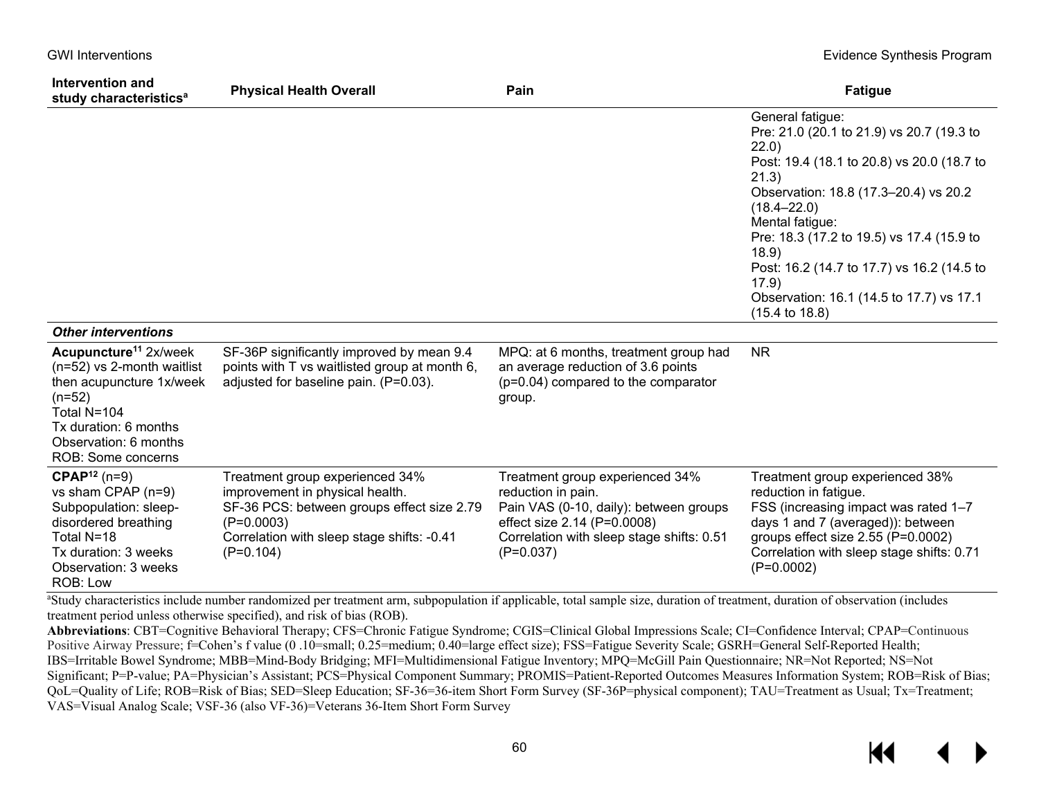| Intervention and<br>study characteristics <sup>a</sup>                                                                                                                                         | <b>Physical Health Overall</b>                                                                                                                                                                | Pain                                                                                                                                                                                       | <b>Fatigue</b>                                                                                                                                                                                                                                                                                                                                                                                     |
|------------------------------------------------------------------------------------------------------------------------------------------------------------------------------------------------|-----------------------------------------------------------------------------------------------------------------------------------------------------------------------------------------------|--------------------------------------------------------------------------------------------------------------------------------------------------------------------------------------------|----------------------------------------------------------------------------------------------------------------------------------------------------------------------------------------------------------------------------------------------------------------------------------------------------------------------------------------------------------------------------------------------------|
|                                                                                                                                                                                                |                                                                                                                                                                                               |                                                                                                                                                                                            | General fatigue:<br>Pre: 21.0 (20.1 to 21.9) vs 20.7 (19.3 to<br>22.0)<br>Post: 19.4 (18.1 to 20.8) vs 20.0 (18.7 to<br>21.3)<br>Observation: 18.8 (17.3-20.4) vs 20.2<br>$(18.4 - 22.0)$<br>Mental fatigue:<br>Pre: 18.3 (17.2 to 19.5) vs 17.4 (15.9 to<br>18.9)<br>Post: 16.2 (14.7 to 17.7) vs 16.2 (14.5 to<br>17.9)<br>Observation: 16.1 (14.5 to 17.7) vs 17.1<br>$(15.4 \text{ to } 18.8)$ |
| <b>Other interventions</b>                                                                                                                                                                     |                                                                                                                                                                                               |                                                                                                                                                                                            |                                                                                                                                                                                                                                                                                                                                                                                                    |
| Acupuncture <sup>11</sup> 2x/week<br>(n=52) vs 2-month waitlist<br>then acupuncture 1x/week<br>$(n=52)$<br>Total N=104<br>Tx duration: 6 months<br>Observation: 6 months<br>ROB: Some concerns | SF-36P significantly improved by mean 9.4<br>points with T vs waitlisted group at month 6,<br>adjusted for baseline pain. (P=0.03).                                                           | MPQ: at 6 months, treatment group had<br>an average reduction of 3.6 points<br>(p=0.04) compared to the comparator<br>group.                                                               | <b>NR</b>                                                                                                                                                                                                                                                                                                                                                                                          |
| $\text{CPAP}^{12}$ (n=9)<br>vs sham CPAP (n=9)<br>Subpopulation: sleep-<br>disordered breathing<br>Total N=18<br>Tx duration: 3 weeks<br>Observation: 3 weeks<br>ROB: Low                      | Treatment group experienced 34%<br>improvement in physical health.<br>SF-36 PCS: between groups effect size 2.79<br>$(P=0.0003)$<br>Correlation with sleep stage shifts: -0.41<br>$(P=0.104)$ | Treatment group experienced 34%<br>reduction in pain.<br>Pain VAS (0-10, daily): between groups<br>effect size 2.14 (P=0.0008)<br>Correlation with sleep stage shifts: 0.51<br>$(P=0.037)$ | Treatment group experienced 38%<br>reduction in fatigue.<br>FSS (increasing impact was rated 1-7<br>days 1 and 7 (averaged)): between<br>groups effect size 2.55 (P=0.0002)<br>Correlation with sleep stage shifts: 0.71<br>$(P=0.0002)$                                                                                                                                                           |

<sup>a</sup>Study characteristics include number randomized per treatment arm, subpopulation if applicable, total sample size, duration of treatment, duration of observation (includes treatment period unless otherwise specified), and risk of bias (ROB).

**Abbreviations**: CBT=Cognitive Behavioral Therapy; CFS=Chronic Fatigue Syndrome; CGIS=Clinical Global Impressions Scale; CI=Confidence Interval; CPAP=Continuous Positive Airway Pressure; f=Cohen's f value (0 .10=small; 0.25=medium; 0.40=large effect size); FSS=Fatigue Severity Scale; GSRH=General Self-Reported Health; IBS=Irritable Bowel Syndrome; MBB=Mind-Body Bridging; MFI=Multidimensional Fatigue Inventory; MPQ=McGill Pain Questionnaire; NR=Not Reported; NS=Not Significant; P=P-value; PA=Physician's Assistant; PCS=Physical Component Summary; PROMIS=Patient-Reported Outcomes Measures Information System; ROB=Risk of Bias; QoL=Quality of Life; ROB=Risk of Bias; SED=Sleep Education; SF-36=36-item Short Form Survey (SF-36P=physical component); TAU=Treatment as Usual; Tx=Treatment; VAS=Visual Analog Scale; VSF-36 (also VF-36)=Veterans 36-Item Short Form Survey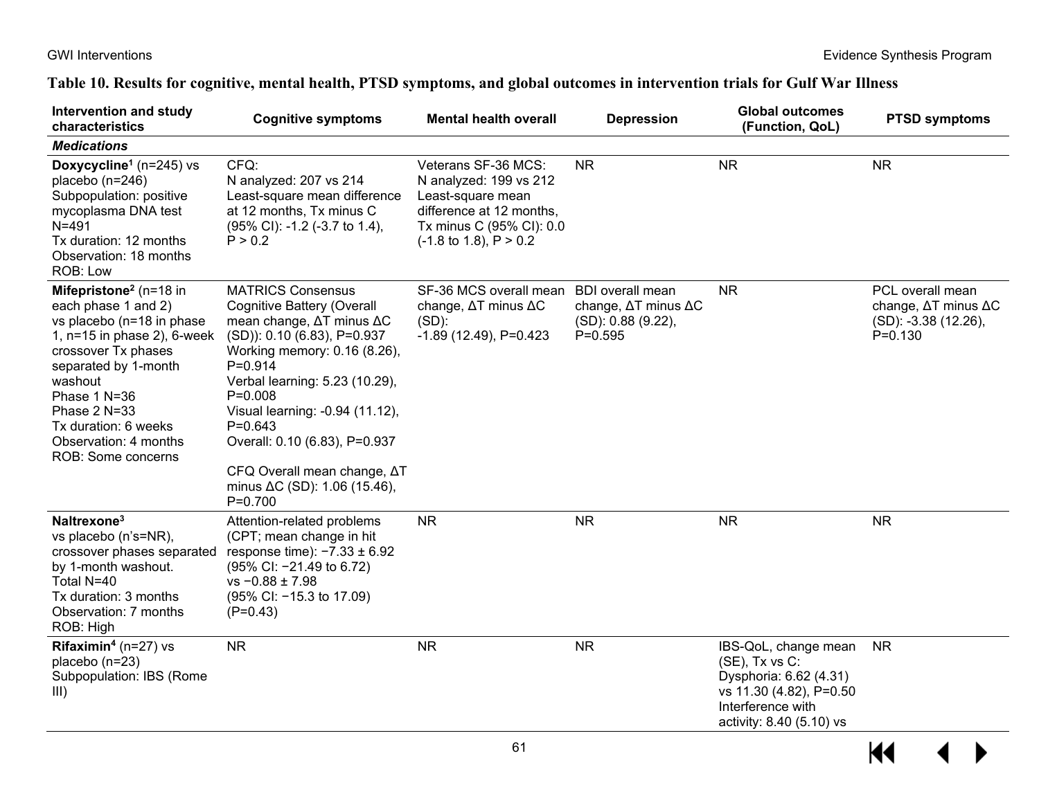### GWI Interventions **Evidence Synthesis Program**

# **Table 10. Results for cognitive, mental health, PTSD symptoms, and global outcomes in intervention trials for Gulf War Illness**

| Intervention and study<br>characteristics                                                                                                                                                                                                                                                   | <b>Cognitive symptoms</b><br><b>Mental health overall</b>                                                                                                                                                                                                                                                                                                                                                 |                                                                                                                                                                 | <b>Depression</b>                                                                 | <b>Global outcomes</b><br>(Function, QoL)                                                                                                    | <b>PTSD symptoms</b>                                                           |  |
|---------------------------------------------------------------------------------------------------------------------------------------------------------------------------------------------------------------------------------------------------------------------------------------------|-----------------------------------------------------------------------------------------------------------------------------------------------------------------------------------------------------------------------------------------------------------------------------------------------------------------------------------------------------------------------------------------------------------|-----------------------------------------------------------------------------------------------------------------------------------------------------------------|-----------------------------------------------------------------------------------|----------------------------------------------------------------------------------------------------------------------------------------------|--------------------------------------------------------------------------------|--|
| <b>Medications</b>                                                                                                                                                                                                                                                                          |                                                                                                                                                                                                                                                                                                                                                                                                           |                                                                                                                                                                 |                                                                                   |                                                                                                                                              |                                                                                |  |
| Doxycycline <sup>1</sup> ( $n=245$ ) vs<br>placebo $(n=246)$<br>Subpopulation: positive<br>mycoplasma DNA test<br>$N = 491$<br>Tx duration: 12 months<br>Observation: 18 months<br>ROB: Low                                                                                                 | CFQ:<br>N analyzed: 207 vs 214<br>Least-square mean difference<br>at 12 months, Tx minus C<br>(95% CI): -1.2 (-3.7 to 1.4),<br>P > 0.2                                                                                                                                                                                                                                                                    | Veterans SF-36 MCS:<br>N analyzed: 199 vs 212<br>Least-square mean<br>difference at 12 months,<br>Tx minus C (95% CI): 0.0<br>$(-1.8 \text{ to } 1.8), P > 0.2$ | <b>NR</b>                                                                         | <b>NR</b>                                                                                                                                    | <b>NR</b>                                                                      |  |
| Mifepristone <sup>2</sup> ( $n=18$ in<br>each phase 1 and 2)<br>vs placebo (n=18 in phase<br>1, $n=15$ in phase 2), 6-week<br>crossover Tx phases<br>separated by 1-month<br>washout<br>Phase 1 N=36<br>Phase 2 N=33<br>Tx duration: 6 weeks<br>Observation: 4 months<br>ROB: Some concerns | <b>MATRICS Consensus</b><br><b>Cognitive Battery (Overall</b><br>mean change, $\Delta T$ minus $\Delta C$<br>(SD)): 0.10 (6.83), P=0.937<br>Working memory: 0.16 (8.26),<br>$P=0.914$<br>Verbal learning: 5.23 (10.29),<br>$P=0.008$<br>Visual learning: -0.94 (11.12),<br>$P=0.643$<br>Overall: 0.10 (6.83), P=0.937<br>CFQ Overall mean change, AT<br>minus $\Delta C$ (SD): 1.06 (15.46),<br>$P=0.700$ | SF-36 MCS overall mean<br>change, ΔT minus ΔC<br>$(SD)$ :<br>$-1.89$ (12.49), P=0.423                                                                           | <b>BDI</b> overall mean<br>change, ∆T minus ∆C<br>(SD): 0.88 (9.22),<br>$P=0.595$ | <b>NR</b>                                                                                                                                    | PCL overall mean<br>change, ΔT minus ΔC<br>(SD): -3.38 (12.26),<br>$P = 0.130$ |  |
| Naltrexone <sup>3</sup><br>vs placebo (n's=NR),<br>crossover phases separated<br>by 1-month washout.<br>Total N=40<br>Tx duration: 3 months<br>Observation: 7 months<br>ROB: High                                                                                                           | Attention-related problems<br>(CPT; mean change in hit<br>response time): $-7.33 \pm 6.92$<br>(95% Cl: -21.49 to 6.72)<br>$vs - 0.88 \pm 7.98$<br>(95% CI: -15.3 to 17.09)<br>$(P=0.43)$                                                                                                                                                                                                                  | <b>NR</b>                                                                                                                                                       | <b>NR</b>                                                                         | <b>NR</b>                                                                                                                                    | <b>NR</b>                                                                      |  |
| <b>Rifaximin<sup>4</sup></b> ( $n=27$ ) vs<br>placebo (n=23)<br>Subpopulation: IBS (Rome<br>III)                                                                                                                                                                                            | <b>NR</b>                                                                                                                                                                                                                                                                                                                                                                                                 | <b>NR</b>                                                                                                                                                       | <b>NR</b>                                                                         | IBS-QoL, change mean<br>(SE), Tx vs C:<br>Dysphoria: 6.62 (4.31)<br>vs 11.30 (4.82), P=0.50<br>Interference with<br>activity: 8.40 (5.10) vs | <b>NR</b>                                                                      |  |

 $M \rightarrow$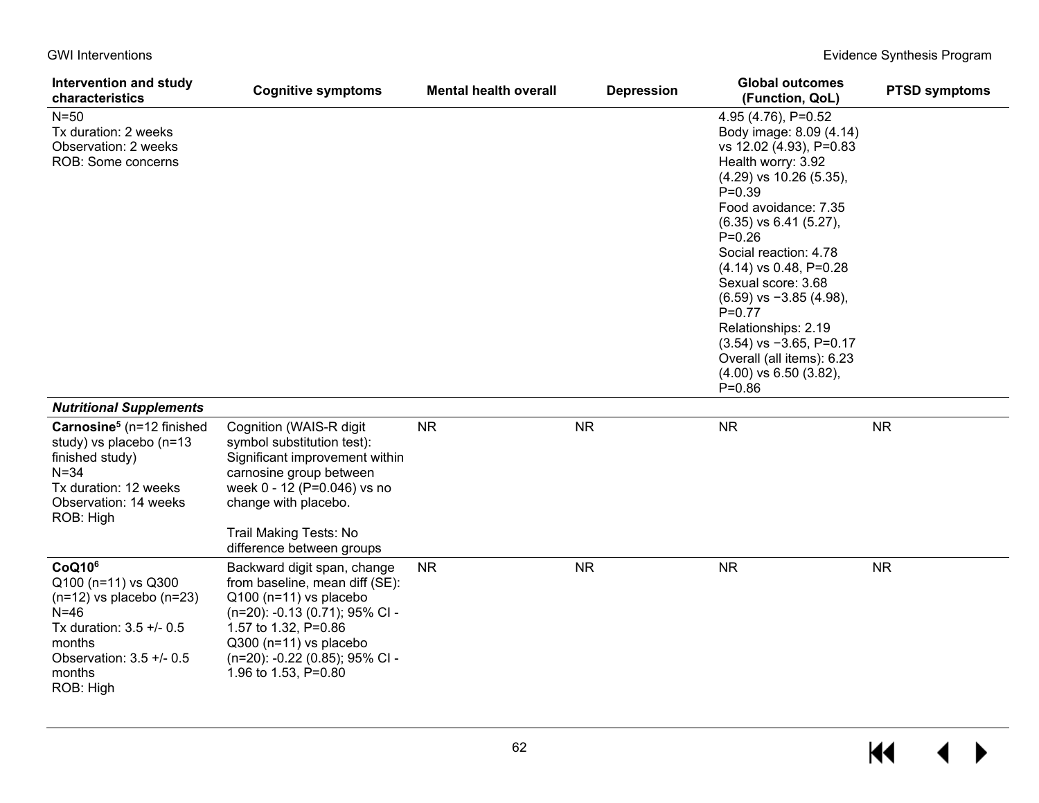| Intervention and study<br>characteristics                                                                                                                                    | <b>Cognitive symptoms</b>                                                                                                                                                                                                               | <b>Mental health overall</b> | <b>Depression</b> | <b>Global outcomes</b><br>(Function, QoL)                                                                                                                                                                                                                                                                                                                                                                                                                                   | <b>PTSD symptoms</b> |
|------------------------------------------------------------------------------------------------------------------------------------------------------------------------------|-----------------------------------------------------------------------------------------------------------------------------------------------------------------------------------------------------------------------------------------|------------------------------|-------------------|-----------------------------------------------------------------------------------------------------------------------------------------------------------------------------------------------------------------------------------------------------------------------------------------------------------------------------------------------------------------------------------------------------------------------------------------------------------------------------|----------------------|
| $N=50$<br>Tx duration: 2 weeks<br>Observation: 2 weeks<br>ROB: Some concerns                                                                                                 |                                                                                                                                                                                                                                         |                              |                   | 4.95 (4.76), P=0.52<br>Body image: 8.09 (4.14)<br>vs 12.02 (4.93), P=0.83<br>Health worry: 3.92<br>$(4.29)$ vs 10.26 $(5.35)$ ,<br>$P = 0.39$<br>Food avoidance: 7.35<br>$(6.35)$ vs $6.41$ $(5.27)$ ,<br>$P = 0.26$<br>Social reaction: 4.78<br>$(4.14)$ vs 0.48, P=0.28<br>Sexual score: 3.68<br>$(6.59)$ vs $-3.85$ (4.98),<br>$P=0.77$<br>Relationships: 2.19<br>$(3.54)$ vs $-3.65$ , P=0.17<br>Overall (all items): 6.23<br>$(4.00)$ vs 6.50 $(3.82)$ ,<br>$P = 0.86$ |                      |
| <b>Nutritional Supplements</b>                                                                                                                                               |                                                                                                                                                                                                                                         |                              |                   |                                                                                                                                                                                                                                                                                                                                                                                                                                                                             |                      |
| Carnosine <sup>5</sup> ( $n=12$ finished<br>study) vs placebo (n=13<br>finished study)<br>$N = 34$<br>Tx duration: 12 weeks<br>Observation: 14 weeks<br>ROB: High            | Cognition (WAIS-R digit<br>symbol substitution test):<br>Significant improvement within<br>carnosine group between<br>week 0 - 12 (P=0.046) vs no<br>change with placebo.<br>Trail Making Tests: No                                     | <b>NR</b>                    | <b>NR</b>         | <b>NR</b>                                                                                                                                                                                                                                                                                                                                                                                                                                                                   | <b>NR</b>            |
|                                                                                                                                                                              | difference between groups                                                                                                                                                                                                               |                              |                   |                                                                                                                                                                                                                                                                                                                                                                                                                                                                             |                      |
| CoQ10 <sup>6</sup><br>Q100 (n=11) vs Q300<br>$(n=12)$ vs placebo $(n=23)$<br>$N=46$<br>Tx duration: 3.5 +/- 0.5<br>months<br>Observation: 3.5 +/- 0.5<br>months<br>ROB: High | Backward digit span, change<br>from baseline, mean diff (SE):<br>$Q100$ (n=11) vs placebo<br>(n=20): -0.13 (0.71); 95% CI -<br>1.57 to 1.32, P=0.86<br>Q300 (n=11) vs placebo<br>(n=20): -0.22 (0.85); 95% CI -<br>1.96 to 1.53, P=0.80 | <b>NR</b>                    | <b>NR</b>         | <b>NR</b>                                                                                                                                                                                                                                                                                                                                                                                                                                                                   | <b>NR</b>            |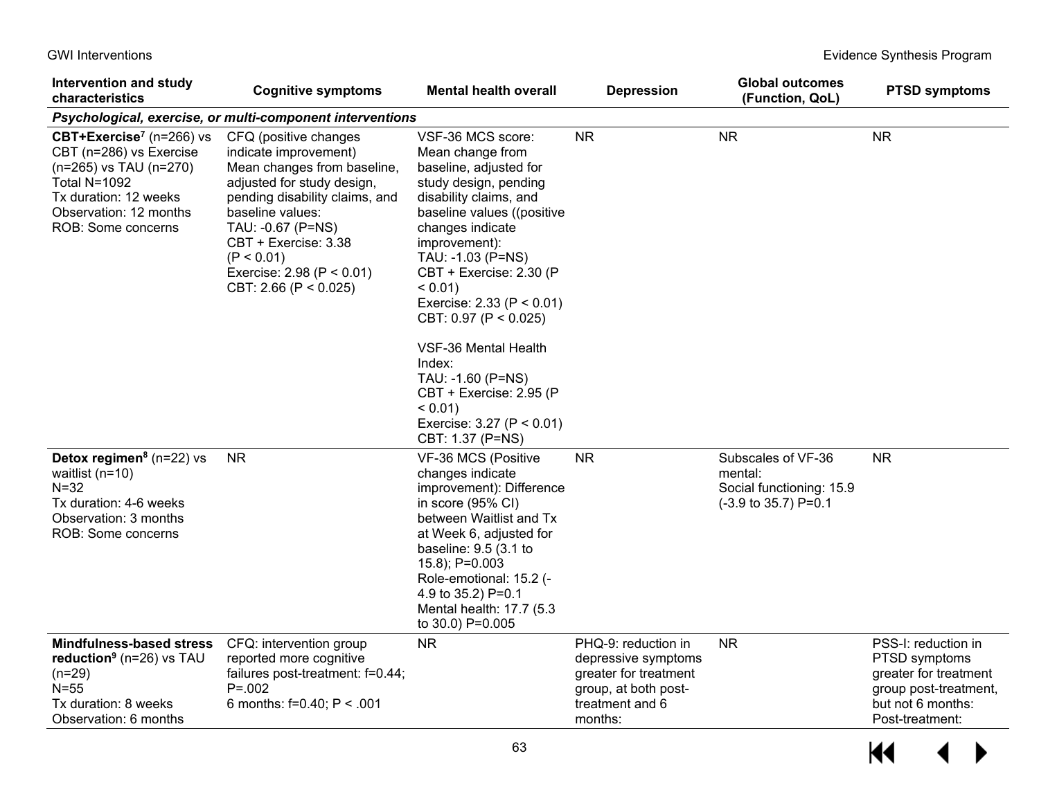GWI Interventions **Evidence Synthesis Program** 

| Intervention and study<br>characteristics                                                                                                                                          | <b>Cognitive symptoms</b>                                                                                                                                                                                                                                                               | <b>Mental health overall</b>                                                                                                                                                                                                                                                                                                                                                                                                                                   | <b>Depression</b>                                                                                                         | <b>Global outcomes</b><br>(Function, QoL)                                                            | <b>PTSD symptoms</b>                                                                                                           |
|------------------------------------------------------------------------------------------------------------------------------------------------------------------------------------|-----------------------------------------------------------------------------------------------------------------------------------------------------------------------------------------------------------------------------------------------------------------------------------------|----------------------------------------------------------------------------------------------------------------------------------------------------------------------------------------------------------------------------------------------------------------------------------------------------------------------------------------------------------------------------------------------------------------------------------------------------------------|---------------------------------------------------------------------------------------------------------------------------|------------------------------------------------------------------------------------------------------|--------------------------------------------------------------------------------------------------------------------------------|
|                                                                                                                                                                                    | Psychological, exercise, or multi-component interventions                                                                                                                                                                                                                               |                                                                                                                                                                                                                                                                                                                                                                                                                                                                |                                                                                                                           |                                                                                                      |                                                                                                                                |
| CBT+Exercise <sup>7</sup> (n=266) vs<br>CBT (n=286) vs Exercise<br>(n=265) vs TAU (n=270)<br>Total N=1092<br>Tx duration: 12 weeks<br>Observation: 12 months<br>ROB: Some concerns | CFQ (positive changes<br>indicate improvement)<br>Mean changes from baseline,<br>adjusted for study design,<br>pending disability claims, and<br>baseline values:<br>TAU: -0.67 (P=NS)<br>CBT + Exercise: 3.38<br>(P < 0.01)<br>Exercise: $2.98$ (P < 0.01)<br>CBT: 2.66 (P < $0.025$ ) | VSF-36 MCS score:<br>Mean change from<br>baseline, adjusted for<br>study design, pending<br>disability claims, and<br>baseline values ((positive<br>changes indicate<br>improvement):<br>TAU: -1.03 (P=NS)<br>CBT + Exercise: 2.30 (P<br>$< 0.01$ )<br>Exercise: $2.33$ (P < 0.01)<br>CBT: 0.97 (P < 0.025)<br>VSF-36 Mental Health<br>Index:<br>TAU: -1.60 (P=NS)<br>CBT + Exercise: 2.95 (P<br>$< 0.01$ )<br>Exercise: $3.27 (P < 0.01)$<br>CBT: 1.37 (P=NS) | <b>NR</b>                                                                                                                 | <b>NR</b>                                                                                            | <b>NR</b>                                                                                                                      |
| <b>Detox regimen</b> <sup>8</sup> ( $n=22$ ) vs<br>waitlist ( $n=10$ )<br>$N=32$<br>Tx duration: 4-6 weeks<br>Observation: 3 months<br>ROB: Some concerns                          | <b>NR</b>                                                                                                                                                                                                                                                                               | VF-36 MCS (Positive<br>changes indicate<br>improvement): Difference<br>in score (95% CI)<br>between Waitlist and Tx<br>at Week 6, adjusted for<br>baseline: 9.5 (3.1 to<br>15.8); P=0.003<br>Role-emotional: 15.2 (-<br>4.9 to 35.2) P=0.1<br>Mental health: 17.7 (5.3<br>to 30.0) P=0.005                                                                                                                                                                     | <b>NR</b>                                                                                                                 | Subscales of VF-36<br>mental:<br>Social functioning: 15.9<br>$(-3.9 \text{ to } 35.7) \text{ P=0.1}$ | <b>NR</b>                                                                                                                      |
| Mindfulness-based stress<br>reduction <sup>9</sup> ( $n=26$ ) vs TAU<br>$(n=29)$<br>$N=55$<br>Tx duration: 8 weeks<br>Observation: 6 months                                        | CFQ: intervention group<br>reported more cognitive<br>failures post-treatment: f=0.44;<br>$P = 0.002$<br>6 months: $f=0.40$ ; P < .001                                                                                                                                                  | <b>NR</b>                                                                                                                                                                                                                                                                                                                                                                                                                                                      | PHQ-9: reduction in<br>depressive symptoms<br>greater for treatment<br>group, at both post-<br>treatment and 6<br>months: | <b>NR</b>                                                                                            | PSS-I: reduction in<br>PTSD symptoms<br>greater for treatment<br>group post-treatment,<br>but not 6 months:<br>Post-treatment: |

 $P$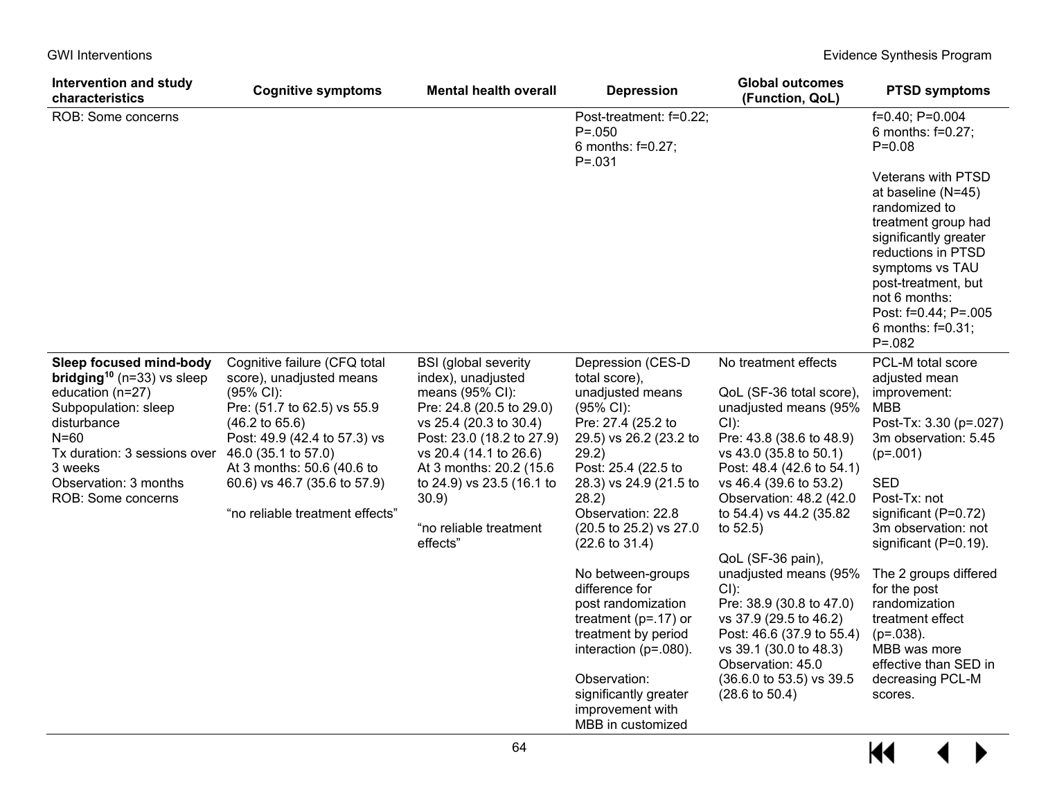| <b>Intervention and study</b><br>characteristics                                                                                                                                                                                     | <b>Cognitive symptoms</b>                                                                                                                                                                                                                                                                             | <b>Mental health overall</b>                                                                                                                                                                                                                                                              | <b>Depression</b>                                                                                                                                                                                                                                                                                                                                                                                                                                                                                              | <b>Global outcomes</b><br>(Function, QoL)                                                                                                                                                                                                                                                                                                                                                                                                                                                                             | <b>PTSD symptoms</b>                                                                                                                                                                                                                                                                                                                                                                                         |
|--------------------------------------------------------------------------------------------------------------------------------------------------------------------------------------------------------------------------------------|-------------------------------------------------------------------------------------------------------------------------------------------------------------------------------------------------------------------------------------------------------------------------------------------------------|-------------------------------------------------------------------------------------------------------------------------------------------------------------------------------------------------------------------------------------------------------------------------------------------|----------------------------------------------------------------------------------------------------------------------------------------------------------------------------------------------------------------------------------------------------------------------------------------------------------------------------------------------------------------------------------------------------------------------------------------------------------------------------------------------------------------|-----------------------------------------------------------------------------------------------------------------------------------------------------------------------------------------------------------------------------------------------------------------------------------------------------------------------------------------------------------------------------------------------------------------------------------------------------------------------------------------------------------------------|--------------------------------------------------------------------------------------------------------------------------------------------------------------------------------------------------------------------------------------------------------------------------------------------------------------------------------------------------------------------------------------------------------------|
| ROB: Some concerns                                                                                                                                                                                                                   |                                                                                                                                                                                                                                                                                                       |                                                                                                                                                                                                                                                                                           | Post-treatment: f=0.22;<br>$P = 0.050$<br>6 months: f=0.27;<br>$P = 0.031$                                                                                                                                                                                                                                                                                                                                                                                                                                     |                                                                                                                                                                                                                                                                                                                                                                                                                                                                                                                       | f=0.40; P=0.004<br>6 months: f=0.27;<br>$P = 0.08$                                                                                                                                                                                                                                                                                                                                                           |
|                                                                                                                                                                                                                                      |                                                                                                                                                                                                                                                                                                       |                                                                                                                                                                                                                                                                                           |                                                                                                                                                                                                                                                                                                                                                                                                                                                                                                                |                                                                                                                                                                                                                                                                                                                                                                                                                                                                                                                       | Veterans with PTSD<br>at baseline (N=45)<br>randomized to<br>treatment group had<br>significantly greater<br>reductions in PTSD<br>symptoms vs TAU<br>post-treatment, but<br>not 6 months:<br>Post: f=0.44; P=.005<br>6 months: $f=0.31$ ;<br>$P = 0.082$                                                                                                                                                    |
| Sleep focused mind-body<br>bridging <sup>10</sup> ( $n=33$ ) vs sleep<br>education (n=27)<br>Subpopulation: sleep<br>disturbance<br>$N=60$<br>Tx duration: 3 sessions over<br>3 weeks<br>Observation: 3 months<br>ROB: Some concerns | Cognitive failure (CFQ total<br>score), unadjusted means<br>$(95\% \text{ Cl})$ :<br>Pre: (51.7 to 62.5) vs 55.9<br>$(46.2 \text{ to } 65.6)$<br>Post: 49.9 (42.4 to 57.3) vs<br>46.0 (35.1 to 57.0)<br>At 3 months: 50.6 (40.6 to<br>60.6) vs 46.7 (35.6 to 57.9)<br>"no reliable treatment effects" | <b>BSI</b> (global severity<br>index), unadjusted<br>means (95% CI):<br>Pre: 24.8 (20.5 to 29.0)<br>vs 25.4 (20.3 to 30.4)<br>Post: 23.0 (18.2 to 27.9)<br>vs 20.4 (14.1 to 26.6)<br>At 3 months: 20.2 (15.6)<br>to 24.9) vs 23.5 (16.1 to<br>30.9)<br>"no reliable treatment<br>effects" | Depression (CES-D<br>total score),<br>unadjusted means<br>$(95\% \text{ Cl})$ :<br>Pre: 27.4 (25.2 to<br>29.5) vs 26.2 (23.2 to<br>29.2)<br>Post: 25.4 (22.5 to<br>28.3) vs 24.9 (21.5 to<br>28.2)<br>Observation: 22.8<br>(20.5 to 25.2) vs 27.0<br>$(22.6 \text{ to } 31.4)$<br>No between-groups<br>difference for<br>post randomization<br>treatment ( $p=17$ ) or<br>treatment by period<br>interaction ( $p = .080$ ).<br>Observation:<br>significantly greater<br>improvement with<br>MBB in customized | No treatment effects<br>QoL (SF-36 total score),<br>unadjusted means (95%<br>CI):<br>Pre: 43.8 (38.6 to 48.9)<br>vs 43.0 (35.8 to 50.1)<br>Post: 48.4 (42.6 to 54.1)<br>vs 46.4 (39.6 to 53.2)<br>Observation: 48.2 (42.0<br>to 54.4) vs 44.2 (35.82)<br>to $52.5$ )<br>QoL (SF-36 pain),<br>unadjusted means (95%<br>CI):<br>Pre: 38.9 (30.8 to 47.0)<br>vs 37.9 (29.5 to 46.2)<br>Post: 46.6 (37.9 to 55.4)<br>vs 39.1 (30.0 to 48.3)<br>Observation: 45.0<br>(36.6.0 to 53.5) vs 39.5<br>$(28.6 \text{ to } 50.4)$ | PCL-M total score<br>adjusted mean<br>improvement:<br><b>MBB</b><br>Post-Tx: 3.30 (p=.027)<br>3m observation: 5.45<br>$(p=.001)$<br><b>SED</b><br>Post-Tx: not<br>significant (P=0.72)<br>3m observation: not<br>significant (P=0.19).<br>The 2 groups differed<br>for the post<br>randomization<br>treatment effect<br>$(p=.038)$ .<br>MBB was more<br>effective than SED in<br>decreasing PCL-M<br>scores. |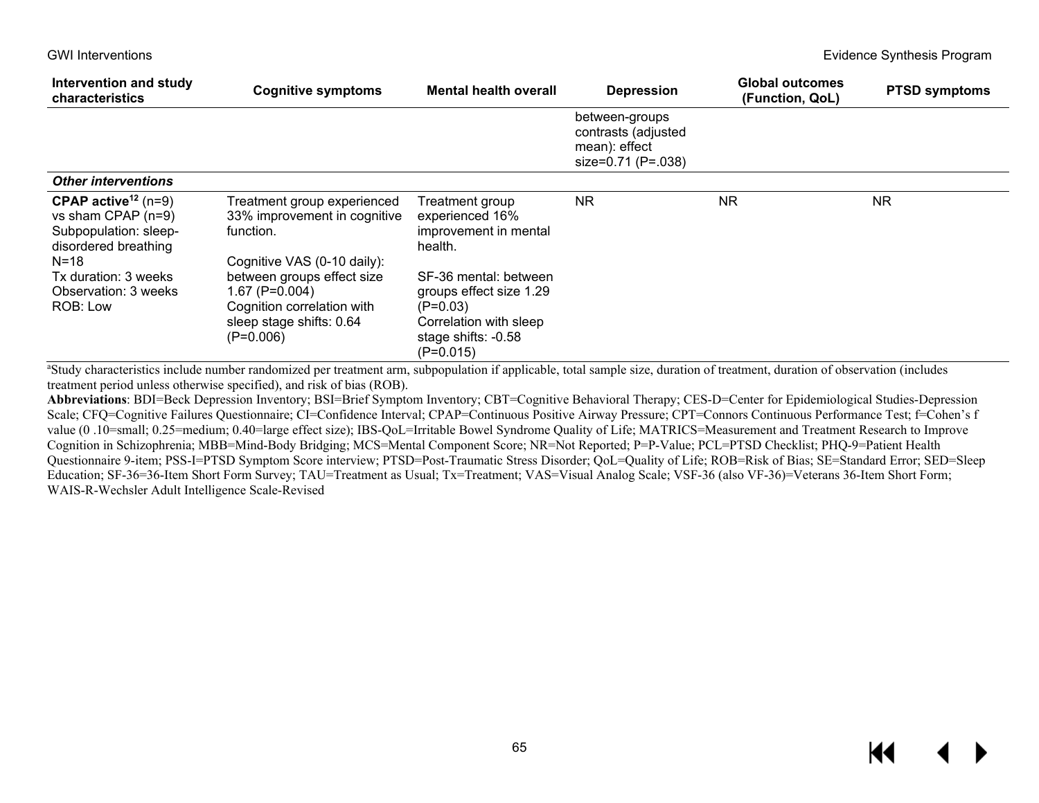| Intervention and study<br><b>characteristics</b>                                                                              | <b>Cognitive symptoms</b>                                                                                               | <b>Mental health overall</b>                                                                                                   | <b>Depression</b>                                                            | <b>Global outcomes</b><br>(Function, QoL) | <b>PTSD symptoms</b> |
|-------------------------------------------------------------------------------------------------------------------------------|-------------------------------------------------------------------------------------------------------------------------|--------------------------------------------------------------------------------------------------------------------------------|------------------------------------------------------------------------------|-------------------------------------------|----------------------|
|                                                                                                                               |                                                                                                                         |                                                                                                                                | between-groups<br>contrasts (adjusted<br>mean): effect<br>size=0.71 (P=.038) |                                           |                      |
| <b>Other interventions</b>                                                                                                    |                                                                                                                         |                                                                                                                                |                                                                              |                                           |                      |
| <b>CPAP active</b> <sup>12</sup> ( $n=9$ )<br>vs sham CPAP (n=9)<br>Subpopulation: sleep-<br>disordered breathing<br>$N = 18$ | Treatment group experienced<br>33% improvement in cognitive<br>function.<br>Cognitive VAS (0-10 daily):                 | Treatment group<br>experienced 16%<br>improvement in mental<br>health.                                                         | NR.                                                                          | <b>NR</b>                                 | <b>NR</b>            |
| Tx duration: 3 weeks<br>Observation: 3 weeks<br>ROB: Low                                                                      | between groups effect size<br>$1.67$ (P=0.004)<br>Cognition correlation with<br>sleep stage shifts: 0.64<br>$(P=0.006)$ | SF-36 mental: between<br>groups effect size 1.29<br>$(P=0.03)$<br>Correlation with sleep<br>stage shifts: -0.58<br>$(P=0.015)$ |                                                                              |                                           |                      |

a Study characteristics include number randomized per treatment arm, subpopulation if applicable, total sample size, duration of treatment, duration of observation (includes treatment period unless otherwise specified), and risk of bias (ROB).

**Abbreviations**: BDI=Beck Depression Inventory; BSI=Brief Symptom Inventory; CBT=Cognitive Behavioral Therapy; CES-D=Center for Epidemiological Studies-Depression Scale; CFQ=Cognitive Failures Questionnaire; CI=Confidence Interval; CPAP=Continuous Positive Airway Pressure; CPT=Connors Continuous Performance Test; f=Cohen's f value (0 .10=small; 0.25=medium; 0.40=large effect size); IBS-QoL=Irritable Bowel Syndrome Quality of Life; MATRICS=Measurement and Treatment Research to Improve Cognition in Schizophrenia; MBB=Mind-Body Bridging; MCS=Mental Component Score; NR=Not Reported; P=P-Value; PCL=PTSD Checklist; PHQ-9=Patient Health Questionnaire 9-item; PSS-I=PTSD Symptom Score interview; PTSD=Post-Traumatic Stress Disorder; QoL=Quality of Life; ROB=Risk of Bias; SE=Standard Error; SED=Sleep Education; SF-36=36-Item Short Form Survey; TAU=Treatment as Usual; Tx=Treatment; VAS=Visual Analog Scale; VSF-36 (also VF-36)=Veterans 36-Item Short Form; WAIS-R-Wechsler Adult Intelligence Scale-Revised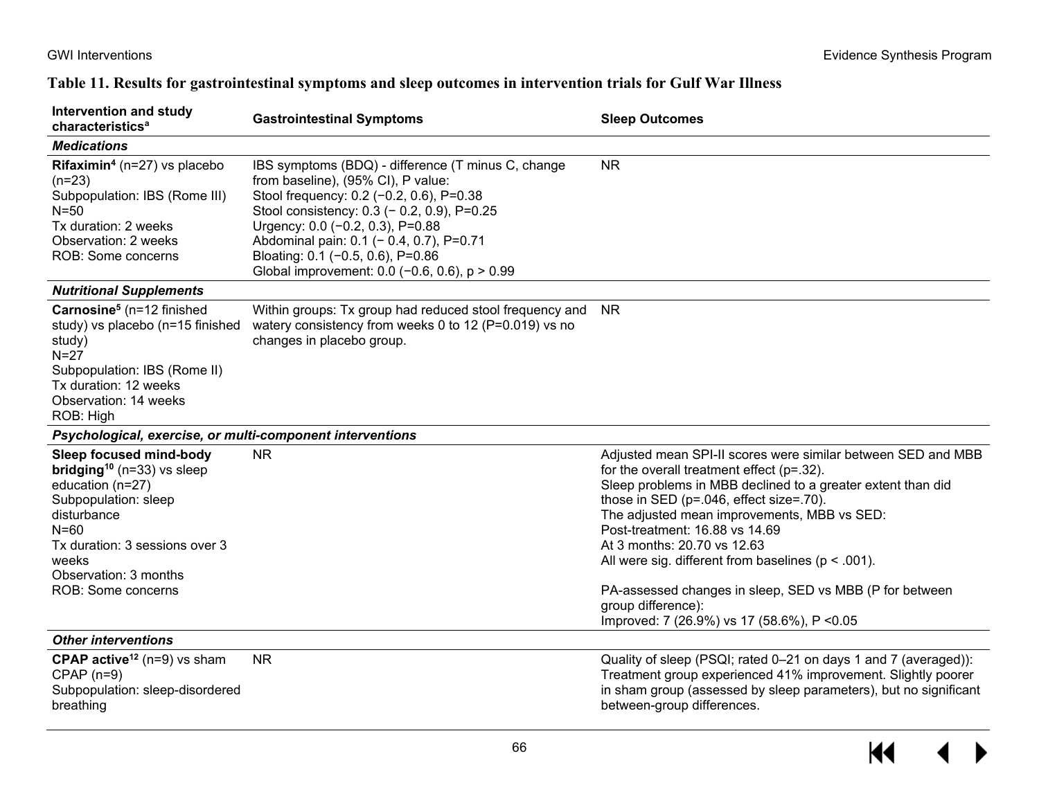$\leftrightarrow$ 

 $H$ 

## **Table 11. Results for gastrointestinal symptoms and sleep outcomes in intervention trials for Gulf War Illness**

| Intervention and study<br>characteristics <sup>a</sup>                                                                                                                                                                                        | <b>Gastrointestinal Symptoms</b>                                                                                                                                                                                                                                                                                                                              | <b>Sleep Outcomes</b>                                                                                                                                                                                                                                                                                                                                                                                                                                                                                                             |
|-----------------------------------------------------------------------------------------------------------------------------------------------------------------------------------------------------------------------------------------------|---------------------------------------------------------------------------------------------------------------------------------------------------------------------------------------------------------------------------------------------------------------------------------------------------------------------------------------------------------------|-----------------------------------------------------------------------------------------------------------------------------------------------------------------------------------------------------------------------------------------------------------------------------------------------------------------------------------------------------------------------------------------------------------------------------------------------------------------------------------------------------------------------------------|
| <b>Medications</b>                                                                                                                                                                                                                            |                                                                                                                                                                                                                                                                                                                                                               |                                                                                                                                                                                                                                                                                                                                                                                                                                                                                                                                   |
| Rifaximin <sup>4</sup> ( $n=27$ ) vs placebo<br>$(n=23)$<br>Subpopulation: IBS (Rome III)<br>N=50<br>Tx duration: 2 weeks<br>Observation: 2 weeks<br>ROB: Some concerns                                                                       | IBS symptoms (BDQ) - difference (T minus C, change<br>from baseline), (95% CI), P value:<br>Stool frequency: 0.2 (-0.2, 0.6), P=0.38<br>Stool consistency: 0.3 (- 0.2, 0.9), P=0.25<br>Urgency: 0.0 (-0.2, 0.3), P=0.88<br>Abdominal pain: 0.1 (- 0.4, 0.7), P=0.71<br>Bloating: 0.1 (-0.5, 0.6), P=0.86<br>Global improvement: $0.0$ (-0.6, 0.6), $p > 0.99$ | <b>NR</b>                                                                                                                                                                                                                                                                                                                                                                                                                                                                                                                         |
| <b>Nutritional Supplements</b>                                                                                                                                                                                                                |                                                                                                                                                                                                                                                                                                                                                               |                                                                                                                                                                                                                                                                                                                                                                                                                                                                                                                                   |
| Carnosine <sup>5</sup> (n=12 finished<br>study) vs placebo (n=15 finished<br>study)<br>$N=27$<br>Subpopulation: IBS (Rome II)<br>Tx duration: 12 weeks<br>Observation: 14 weeks<br>ROB: High                                                  | Within groups: Tx group had reduced stool frequency and<br>watery consistency from weeks 0 to 12 (P=0.019) vs no<br>changes in placebo group.                                                                                                                                                                                                                 | <b>NR</b>                                                                                                                                                                                                                                                                                                                                                                                                                                                                                                                         |
| Psychological, exercise, or multi-component interventions                                                                                                                                                                                     |                                                                                                                                                                                                                                                                                                                                                               |                                                                                                                                                                                                                                                                                                                                                                                                                                                                                                                                   |
| Sleep focused mind-body<br><b>bridging</b> <sup>10</sup> ( $n=33$ ) vs sleep<br>education (n=27)<br>Subpopulation: sleep<br>disturbance<br>$N = 60$<br>Tx duration: 3 sessions over 3<br>weeks<br>Observation: 3 months<br>ROB: Some concerns | <b>NR</b>                                                                                                                                                                                                                                                                                                                                                     | Adjusted mean SPI-II scores were similar between SED and MBB<br>for the overall treatment effect ( $p=.32$ ).<br>Sleep problems in MBB declined to a greater extent than did<br>those in SED (p=.046, effect size=.70).<br>The adjusted mean improvements, MBB vs SED:<br>Post-treatment: 16.88 vs 14.69<br>At 3 months: 20.70 vs 12.63<br>All were sig. different from baselines ( $p < .001$ ).<br>PA-assessed changes in sleep, SED vs MBB (P for between<br>group difference):<br>Improved: 7 (26.9%) vs 17 (58.6%), P < 0.05 |
| <b>Other interventions</b>                                                                                                                                                                                                                    |                                                                                                                                                                                                                                                                                                                                                               |                                                                                                                                                                                                                                                                                                                                                                                                                                                                                                                                   |
| <b>CPAP active</b> <sup>12</sup> ( $n=9$ ) vs sham<br>$CPAP$ (n=9)<br>Subpopulation: sleep-disordered<br>breathing                                                                                                                            | <b>NR</b>                                                                                                                                                                                                                                                                                                                                                     | Quality of sleep (PSQI; rated 0-21 on days 1 and 7 (averaged)):<br>Treatment group experienced 41% improvement. Slightly poorer<br>in sham group (assessed by sleep parameters), but no significant<br>between-group differences.                                                                                                                                                                                                                                                                                                 |

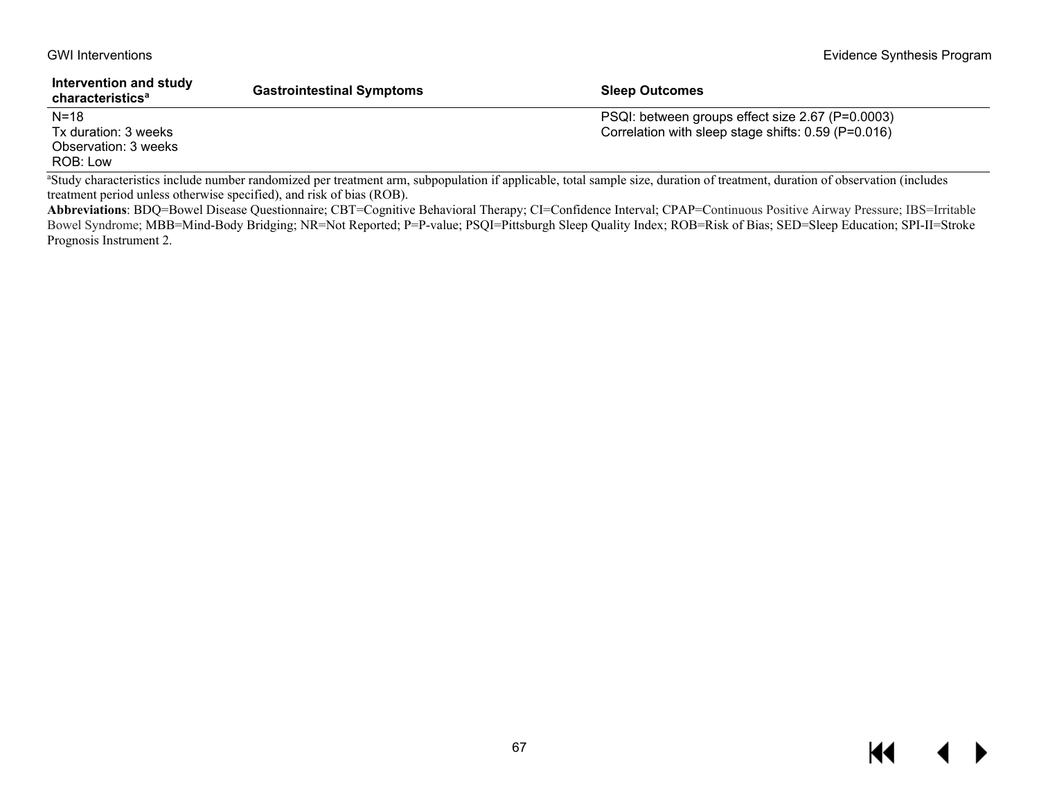| Intervention and study<br>characteristics <sup>a</sup> | <b>Gastrointestinal Symptoms</b> | <b>Sleep Outcomes</b>                               |
|--------------------------------------------------------|----------------------------------|-----------------------------------------------------|
| $N = 18$                                               |                                  | PSQI: between groups effect size 2.67 (P=0.0003)    |
| Tx duration: 3 weeks                                   |                                  | Correlation with sleep stage shifts: 0.59 (P=0.016) |
| Observation: 3 weeks                                   |                                  |                                                     |
| ROB: Low                                               |                                  |                                                     |

a Study characteristics include number randomized per treatment arm, subpopulation if applicable, total sample size, duration of treatment, duration of observation (includes treatment period unless otherwise specified), and risk of bias (ROB).

**Abbreviations**: BDQ=Bowel Disease Questionnaire; CBT=Cognitive Behavioral Therapy; CI=Confidence Interval; CPAP=Continuous Positive Airway Pressure; IBS=Irritable Bowel Syndrome; MBB=Mind-Body Bridging; NR=Not Reported; P=P-value; PSQI=Pittsburgh Sleep Quality Index; ROB=Risk of Bias; SED=Sleep Education; SPI-II=Stroke Prognosis Instrument 2.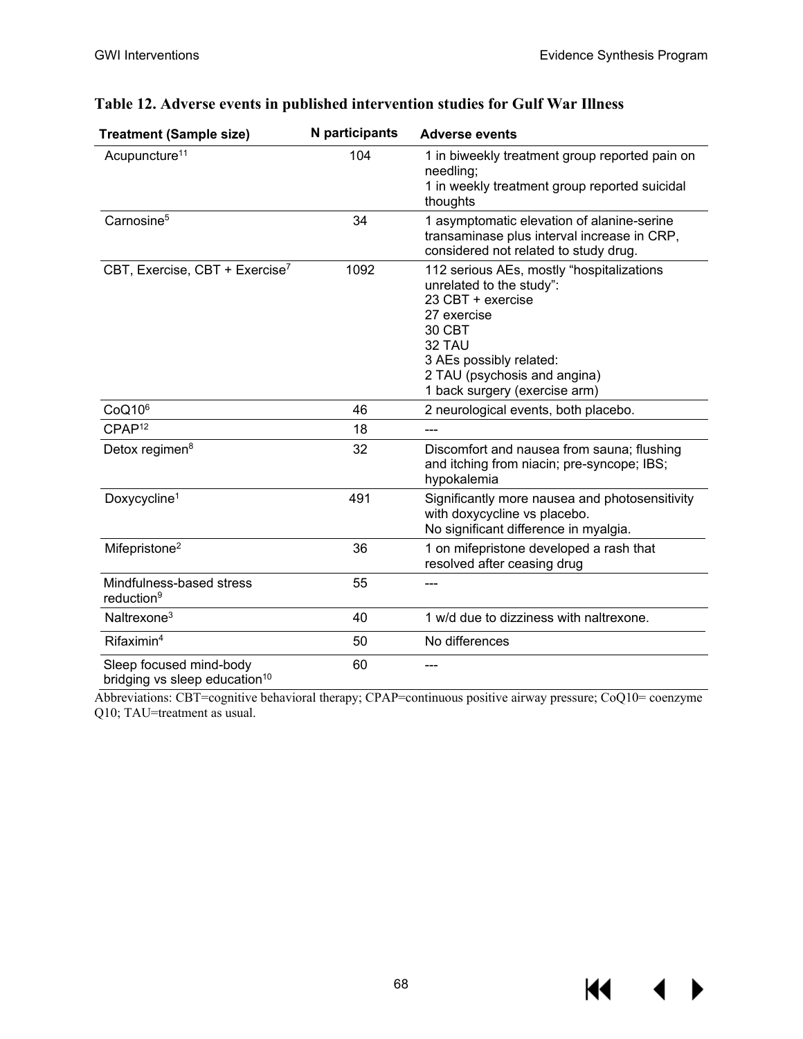$M \rightarrow$ 

| <b>Treatment (Sample size)</b>                                       | N participants | <b>Adverse events</b>                                                                                                                                                                                                     |
|----------------------------------------------------------------------|----------------|---------------------------------------------------------------------------------------------------------------------------------------------------------------------------------------------------------------------------|
| Acupuncture <sup>11</sup>                                            | 104            | 1 in biweekly treatment group reported pain on<br>needling;<br>1 in weekly treatment group reported suicidal<br>thoughts                                                                                                  |
| Carnosine <sup>5</sup>                                               | 34             | 1 asymptomatic elevation of alanine-serine<br>transaminase plus interval increase in CRP,<br>considered not related to study drug.                                                                                        |
| CBT, Exercise, CBT + Exercise <sup>7</sup>                           | 1092           | 112 serious AEs, mostly "hospitalizations<br>unrelated to the study":<br>23 CBT + exercise<br>27 exercise<br>30 CBT<br>32 TAU<br>3 AEs possibly related:<br>2 TAU (psychosis and angina)<br>1 back surgery (exercise arm) |
| CoQ10 <sup>6</sup>                                                   | 46             | 2 neurological events, both placebo.                                                                                                                                                                                      |
| CPAP <sup>12</sup>                                                   | 18             | ---                                                                                                                                                                                                                       |
| Detox regimen <sup>8</sup>                                           | 32             | Discomfort and nausea from sauna; flushing<br>and itching from niacin; pre-syncope; IBS;<br>hypokalemia                                                                                                                   |
| Doxycycline <sup>1</sup>                                             | 491            | Significantly more nausea and photosensitivity<br>with doxycycline vs placebo.<br>No significant difference in myalgia.                                                                                                   |
| Mifepristone <sup>2</sup>                                            | 36             | 1 on mifepristone developed a rash that<br>resolved after ceasing drug                                                                                                                                                    |
| Mindfulness-based stress<br>reduction <sup>9</sup>                   | 55             |                                                                                                                                                                                                                           |
| Naltrexone <sup>3</sup>                                              | 40             | 1 w/d due to dizziness with naltrexone.                                                                                                                                                                                   |
| Rifaximin <sup>4</sup>                                               | 50             | No differences                                                                                                                                                                                                            |
| Sleep focused mind-body<br>bridging vs sleep education <sup>10</sup> | 60             |                                                                                                                                                                                                                           |

## **Table 12. Adverse events in published intervention studies for Gulf War Illness**

Abbreviations: CBT=cognitive behavioral therapy; CPAP=continuous positive airway pressure; CoQ10= coenzyme Q10; TAU=treatment as usual.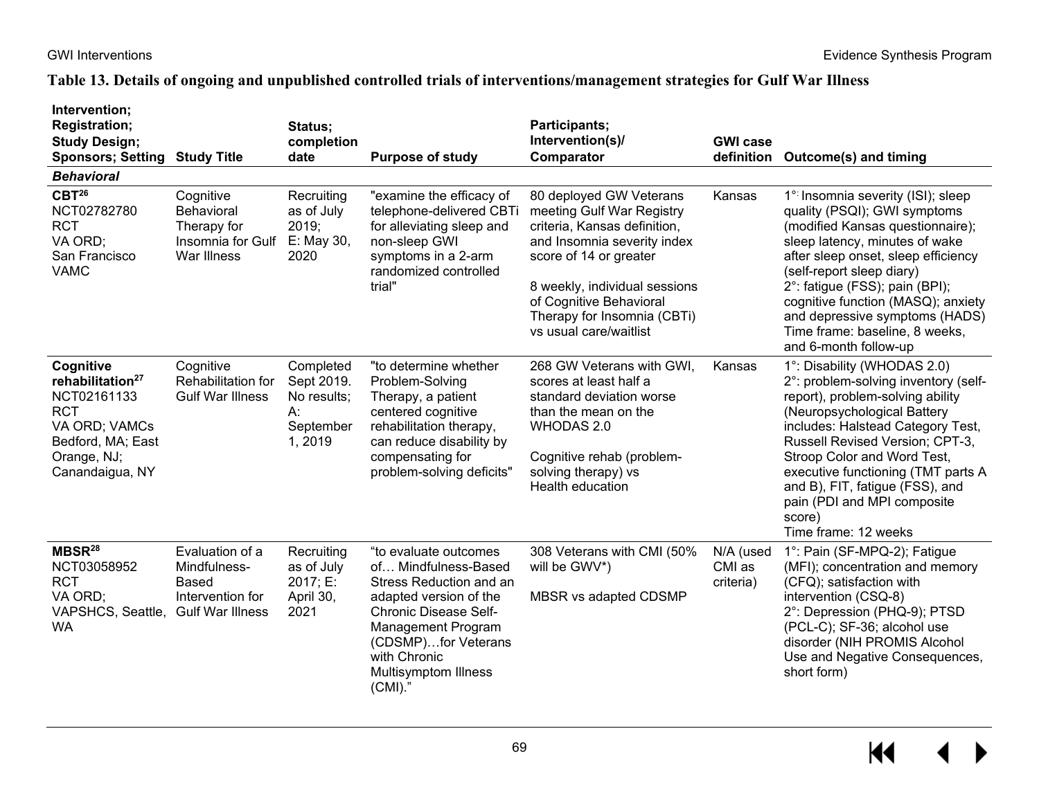# **Table 13. Details of ongoing and unpublished controlled trials of interventions/management strategies for Gulf War Illness**

| Intervention;<br><b>Registration;</b><br><b>Study Design;</b><br><b>Sponsors; Setting</b><br><b>Behavioral</b>                                 | <b>Study Title</b>                                                                             | Status;<br>completion<br>date                                       | <b>Purpose of study</b>                                                                                                                                                                                                                      | Participants;<br>Intervention(s)/<br>Comparator                                                                                                                                                                                                                    | <b>GWI case</b>                  | definition Outcome(s) and timing                                                                                                                                                                                                                                                                                                                                                        |
|------------------------------------------------------------------------------------------------------------------------------------------------|------------------------------------------------------------------------------------------------|---------------------------------------------------------------------|----------------------------------------------------------------------------------------------------------------------------------------------------------------------------------------------------------------------------------------------|--------------------------------------------------------------------------------------------------------------------------------------------------------------------------------------------------------------------------------------------------------------------|----------------------------------|-----------------------------------------------------------------------------------------------------------------------------------------------------------------------------------------------------------------------------------------------------------------------------------------------------------------------------------------------------------------------------------------|
| $CBT^{26}$<br>NCT02782780<br><b>RCT</b><br>VA ORD;<br>San Francisco<br><b>VAMC</b>                                                             | Cognitive<br>Behavioral<br>Therapy for<br>Insomnia for Gulf<br>War Illness                     | Recruiting<br>as of July<br>2019;<br>E: May 30,<br>2020             | "examine the efficacy of<br>telephone-delivered CBTi<br>for alleviating sleep and<br>non-sleep GWI<br>symptoms in a 2-arm<br>randomized controlled<br>trial"                                                                                 | 80 deployed GW Veterans<br>meeting Gulf War Registry<br>criteria, Kansas definition,<br>and Insomnia severity index<br>score of 14 or greater<br>8 weekly, individual sessions<br>of Cognitive Behavioral<br>Therapy for Insomnia (CBTi)<br>vs usual care/waitlist | Kansas                           | 1° Insomnia severity (ISI); sleep<br>quality (PSQI); GWI symptoms<br>(modified Kansas questionnaire);<br>sleep latency, minutes of wake<br>after sleep onset, sleep efficiency<br>(self-report sleep diary)<br>2°: fatigue (FSS); pain (BPI);<br>cognitive function (MASQ); anxiety<br>and depressive symptoms (HADS)<br>Time frame: baseline, 8 weeks,<br>and 6-month follow-up        |
| Cognitive<br>rehabilitation <sup>27</sup><br>NCT02161133<br><b>RCT</b><br>VA ORD; VAMCs<br>Bedford, MA; East<br>Orange, NJ;<br>Canandaigua, NY | Cognitive<br>Rehabilitation for<br><b>Gulf War Illness</b>                                     | Completed<br>Sept 2019.<br>No results;<br>А:<br>September<br>1,2019 | "to determine whether<br>Problem-Solving<br>Therapy, a patient<br>centered cognitive<br>rehabilitation therapy,<br>can reduce disability by<br>compensating for<br>problem-solving deficits"                                                 | 268 GW Veterans with GWI,<br>scores at least half a<br>standard deviation worse<br>than the mean on the<br>WHODAS 2.0<br>Cognitive rehab (problem-<br>solving therapy) vs<br><b>Health education</b>                                                               | Kansas                           | 1°: Disability (WHODAS 2.0)<br>2°: problem-solving inventory (self-<br>report), problem-solving ability<br>(Neuropsychological Battery<br>includes: Halstead Category Test,<br>Russell Revised Version; CPT-3,<br>Stroop Color and Word Test,<br>executive functioning (TMT parts A<br>and B), FIT, fatigue (FSS), and<br>pain (PDI and MPI composite<br>score)<br>Time frame: 12 weeks |
| MBSR <sup>28</sup><br>NCT03058952<br><b>RCT</b><br>VA ORD;<br>VAPSHCS, Seattle,<br><b>WA</b>                                                   | Evaluation of a<br>Mindfulness-<br><b>Based</b><br>Intervention for<br><b>Gulf War Illness</b> | Recruiting<br>as of July<br>2017; E:<br>April 30,<br>2021           | "to evaluate outcomes<br>of Mindfulness-Based<br>Stress Reduction and an<br>adapted version of the<br><b>Chronic Disease Self-</b><br>Management Program<br>(CDSMP)for Veterans<br>with Chronic<br><b>Multisymptom Illness</b><br>$(CMI).$ " | 308 Veterans with CMI (50%<br>will be GWV*)<br>MBSR vs adapted CDSMP                                                                                                                                                                                               | N/A (used<br>CMI as<br>criteria) | 1°: Pain (SF-MPQ-2); Fatigue<br>(MFI); concentration and memory<br>(CFQ); satisfaction with<br>intervention (CSQ-8)<br>2°: Depression (PHQ-9); PTSD<br>(PCL-C); SF-36; alcohol use<br>disorder (NIH PROMIS Alcohol<br>Use and Negative Consequences,<br>short form)                                                                                                                     |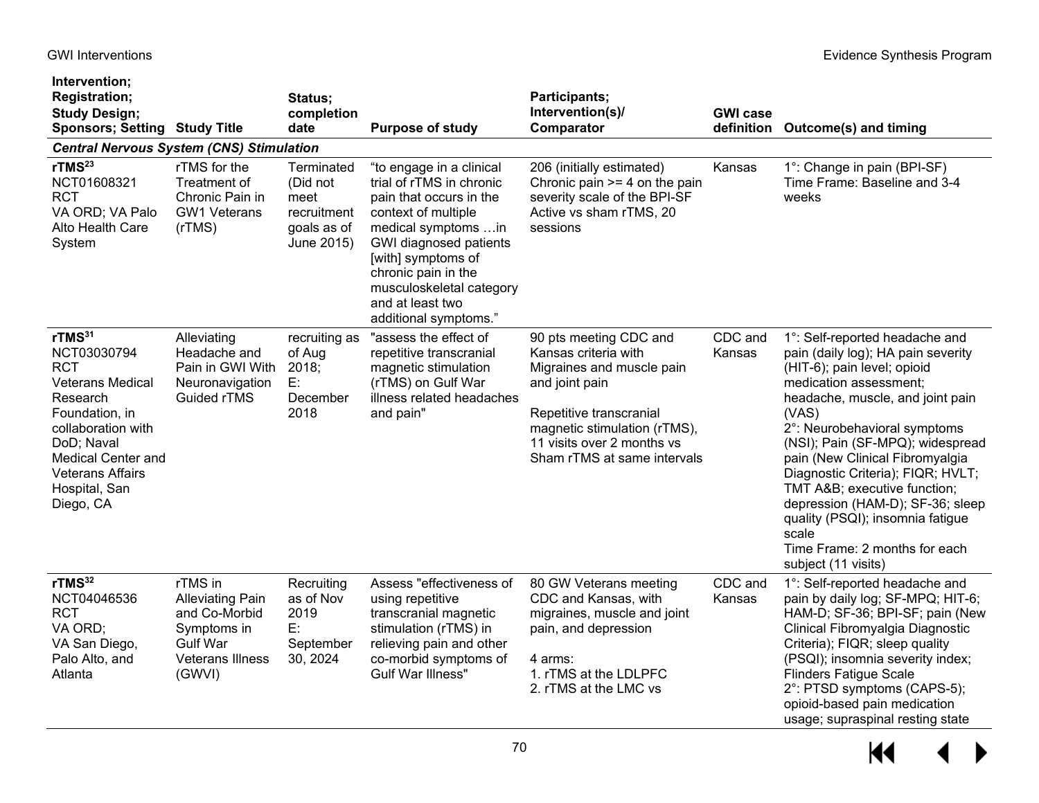| Intervention;<br><b>Registration;</b><br><b>Study Design;</b><br><b>Sponsors; Setting Study Title</b>                                                                                                                              |                                                                                                                            | Status;<br>completion<br>date                                              | <b>Purpose of study</b>                                                                                                                                                                                                                                                       | Participants;<br>Intervention(s)/<br>Comparator                                                                                                                                                                       | <b>GWI case</b>   | definition Outcome(s) and timing                                                                                                                                                                                                                                                                                                                                                                                                                                                               |
|------------------------------------------------------------------------------------------------------------------------------------------------------------------------------------------------------------------------------------|----------------------------------------------------------------------------------------------------------------------------|----------------------------------------------------------------------------|-------------------------------------------------------------------------------------------------------------------------------------------------------------------------------------------------------------------------------------------------------------------------------|-----------------------------------------------------------------------------------------------------------------------------------------------------------------------------------------------------------------------|-------------------|------------------------------------------------------------------------------------------------------------------------------------------------------------------------------------------------------------------------------------------------------------------------------------------------------------------------------------------------------------------------------------------------------------------------------------------------------------------------------------------------|
| <b>Central Nervous System (CNS) Stimulation</b>                                                                                                                                                                                    |                                                                                                                            |                                                                            |                                                                                                                                                                                                                                                                               |                                                                                                                                                                                                                       |                   |                                                                                                                                                                                                                                                                                                                                                                                                                                                                                                |
| rTMS <sup>23</sup><br>NCT01608321<br><b>RCT</b><br>VA ORD; VA Palo<br>Alto Health Care<br>System                                                                                                                                   | rTMS for the<br>Treatment of<br>Chronic Pain in<br><b>GW1 Veterans</b><br>(rTMS)                                           | Terminated<br>(Did not<br>meet<br>recruitment<br>goals as of<br>June 2015) | "to engage in a clinical<br>trial of rTMS in chronic<br>pain that occurs in the<br>context of multiple<br>medical symptoms in<br>GWI diagnosed patients<br>[with] symptoms of<br>chronic pain in the<br>musculoskeletal category<br>and at least two<br>additional symptoms." | 206 (initially estimated)<br>Chronic pain $>=$ 4 on the pain<br>severity scale of the BPI-SF<br>Active vs sham rTMS, 20<br>sessions                                                                                   | Kansas            | 1°: Change in pain (BPI-SF)<br>Time Frame: Baseline and 3-4<br>weeks                                                                                                                                                                                                                                                                                                                                                                                                                           |
| rTMS <sup>31</sup><br>NCT03030794<br><b>RCT</b><br><b>Veterans Medical</b><br>Research<br>Foundation, in<br>collaboration with<br>DoD; Naval<br><b>Medical Center and</b><br><b>Veterans Affairs</b><br>Hospital, San<br>Diego, CA | Alleviating<br>Headache and<br>Pain in GWI With<br>Neuronavigation<br><b>Guided rTMS</b>                                   | recruiting as<br>of Aug<br>2018;<br>E:<br>December<br>2018                 | "assess the effect of<br>repetitive transcranial<br>magnetic stimulation<br>(rTMS) on Gulf War<br>illness related headaches<br>and pain"                                                                                                                                      | 90 pts meeting CDC and<br>Kansas criteria with<br>Migraines and muscle pain<br>and joint pain<br>Repetitive transcranial<br>magnetic stimulation (rTMS),<br>11 visits over 2 months vs<br>Sham rTMS at same intervals | CDC and<br>Kansas | 1°: Self-reported headache and<br>pain (daily log); HA pain severity<br>(HIT-6); pain level; opioid<br>medication assessment;<br>headache, muscle, and joint pain<br>(VAS)<br>2°: Neurobehavioral symptoms<br>(NSI); Pain (SF-MPQ); widespread<br>pain (New Clinical Fibromyalgia<br>Diagnostic Criteria); FIQR; HVLT;<br>TMT A&B executive function;<br>depression (HAM-D); SF-36; sleep<br>quality (PSQI); insomnia fatigue<br>scale<br>Time Frame: 2 months for each<br>subject (11 visits) |
| rTMS <sup>32</sup><br>NCT04046536<br><b>RCT</b><br>VA ORD;<br>VA San Diego,<br>Palo Alto, and<br>Atlanta                                                                                                                           | rTMS in<br><b>Alleviating Pain</b><br>and Co-Morbid<br>Symptoms in<br><b>Gulf War</b><br><b>Veterans Illness</b><br>(GWVI) | Recruiting<br>as of Nov<br>2019<br>E:<br>September<br>30, 2024             | Assess "effectiveness of<br>using repetitive<br>transcranial magnetic<br>stimulation (rTMS) in<br>relieving pain and other<br>co-morbid symptoms of<br><b>Gulf War Illness"</b>                                                                                               | 80 GW Veterans meeting<br>CDC and Kansas, with<br>migraines, muscle and joint<br>pain, and depression<br>4 arms:<br>1. rTMS at the LDLPFC<br>2. rTMS at the LMC vs                                                    | CDC and<br>Kansas | 1°: Self-reported headache and<br>pain by daily log; SF-MPQ; HIT-6;<br>HAM-D; SF-36; BPI-SF; pain (New<br>Clinical Fibromyalgia Diagnostic<br>Criteria); FIQR; sleep quality<br>(PSQI); insomnia severity index;<br><b>Flinders Fatigue Scale</b><br>2°: PTSD symptoms (CAPS-5);<br>opioid-based pain medication<br>usage; supraspinal resting state                                                                                                                                           |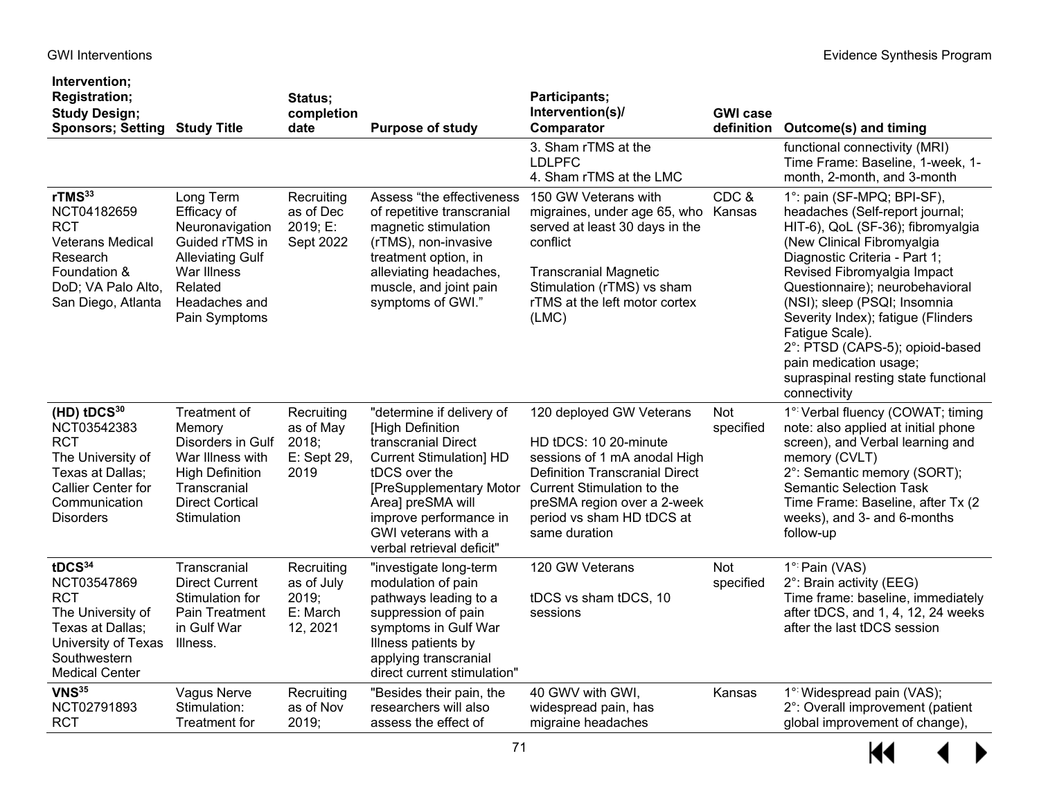# GWI Interventions **Evidence Synthesis Program**

| Intervention;<br><b>Registration;</b><br><b>Study Design;</b><br><b>Sponsors; Setting</b>                                                                | <b>Study Title</b>                                                                                                                                   | Status;<br>completion<br>date                             | <b>Purpose of study</b>                                                                                                                                                                                                                               | Participants;<br>Intervention(s)/<br>Comparator                                                                                                                                                                                       | <b>GWI case</b><br>definition | <b>Outcome(s) and timing</b>                                                                                                                                                                                                                                                                                                                                                                                                                      |
|----------------------------------------------------------------------------------------------------------------------------------------------------------|------------------------------------------------------------------------------------------------------------------------------------------------------|-----------------------------------------------------------|-------------------------------------------------------------------------------------------------------------------------------------------------------------------------------------------------------------------------------------------------------|---------------------------------------------------------------------------------------------------------------------------------------------------------------------------------------------------------------------------------------|-------------------------------|---------------------------------------------------------------------------------------------------------------------------------------------------------------------------------------------------------------------------------------------------------------------------------------------------------------------------------------------------------------------------------------------------------------------------------------------------|
|                                                                                                                                                          |                                                                                                                                                      |                                                           |                                                                                                                                                                                                                                                       | 3. Sham rTMS at the<br><b>LDLPFC</b><br>4. Sham rTMS at the LMC                                                                                                                                                                       |                               | functional connectivity (MRI)<br>Time Frame: Baseline, 1-week, 1-<br>month, 2-month, and 3-month                                                                                                                                                                                                                                                                                                                                                  |
| rTMS <sup>33</sup><br>NCT04182659<br><b>RCT</b><br><b>Veterans Medical</b><br>Research<br>Foundation &<br>DoD; VA Palo Alto,<br>San Diego, Atlanta       | Long Term<br>Efficacy of<br>Neuronavigation<br>Guided rTMS in<br><b>Alleviating Gulf</b><br>War Illness<br>Related<br>Headaches and<br>Pain Symptoms | Recruiting<br>as of Dec<br>2019; E:<br>Sept 2022          | Assess "the effectiveness<br>of repetitive transcranial<br>magnetic stimulation<br>(rTMS), non-invasive<br>treatment option, in<br>alleviating headaches,<br>muscle, and joint pain<br>symptoms of GWI."                                              | 150 GW Veterans with<br>migraines, under age 65, who<br>served at least 30 days in the<br>conflict<br><b>Transcranial Magnetic</b><br>Stimulation (rTMS) vs sham<br>rTMS at the left motor cortex<br>(LMC)                            | CDC&<br>Kansas                | 1°: pain (SF-MPQ; BPI-SF),<br>headaches (Self-report journal;<br>HIT-6), QoL (SF-36); fibromyalgia<br>(New Clinical Fibromyalgia<br>Diagnostic Criteria - Part 1;<br>Revised Fibromyalgia Impact<br>Questionnaire); neurobehavioral<br>(NSI); sleep (PSQI; Insomnia<br>Severity Index); fatigue (Flinders<br>Fatigue Scale).<br>2°: PTSD (CAPS-5); opioid-based<br>pain medication usage;<br>supraspinal resting state functional<br>connectivity |
| $(HD)$ tDCS $30$<br>NCT03542383<br><b>RCT</b><br>The University of<br>Texas at Dallas;<br>Callier Center for<br>Communication<br><b>Disorders</b>        | Treatment of<br>Memory<br>Disorders in Gulf<br>War Illness with<br><b>High Definition</b><br>Transcranial<br><b>Direct Cortical</b><br>Stimulation   | Recruiting<br>as of May<br>2018;<br>E: Sept 29,<br>2019   | "determine if delivery of<br>[High Definition<br>transcranial Direct<br><b>Current Stimulation] HD</b><br>tDCS over the<br>[PreSupplementary Motor<br>Area] preSMA will<br>improve performance in<br>GWI veterans with a<br>verbal retrieval deficit" | 120 deployed GW Veterans<br>HD tDCS: 10 20-minute<br>sessions of 1 mA anodal High<br><b>Definition Transcranial Direct</b><br>Current Stimulation to the<br>preSMA region over a 2-week<br>period vs sham HD tDCS at<br>same duration | <b>Not</b><br>specified       | 1° Verbal fluency (COWAT; timing<br>note: also applied at initial phone<br>screen), and Verbal learning and<br>memory (CVLT)<br>2°: Semantic memory (SORT);<br><b>Semantic Selection Task</b><br>Time Frame: Baseline, after Tx (2)<br>weeks), and 3- and 6-months<br>follow-up                                                                                                                                                                   |
| tDCS <sup>34</sup><br>NCT03547869<br><b>RCT</b><br>The University of<br>Texas at Dallas;<br>University of Texas<br>Southwestern<br><b>Medical Center</b> | Transcranial<br><b>Direct Current</b><br>Stimulation for<br>Pain Treatment<br>in Gulf War<br>Illness.                                                | Recruiting<br>as of July<br>2019;<br>E: March<br>12, 2021 | "investigate long-term<br>modulation of pain<br>pathways leading to a<br>suppression of pain<br>symptoms in Gulf War<br>Illness patients by<br>applying transcranial<br>direct current stimulation"                                                   | 120 GW Veterans<br>tDCS vs sham tDCS, 10<br>sessions                                                                                                                                                                                  | Not<br>specified              | 1° Pain (VAS)<br>2°: Brain activity (EEG)<br>Time frame: baseline, immediately<br>after tDCS, and 1, 4, 12, 24 weeks<br>after the last tDCS session                                                                                                                                                                                                                                                                                               |
| <b>VNS</b> 35<br>NCT02791893<br><b>RCT</b>                                                                                                               | Vagus Nerve<br>Stimulation:<br><b>Treatment for</b>                                                                                                  | Recruiting<br>as of Nov<br>2019;                          | "Besides their pain, the<br>researchers will also<br>assess the effect of                                                                                                                                                                             | 40 GWV with GWI,<br>widespread pain, has<br>migraine headaches                                                                                                                                                                        | Kansas                        | 1° Widespread pain (VAS);<br>2°: Overall improvement (patient<br>global improvement of change),                                                                                                                                                                                                                                                                                                                                                   |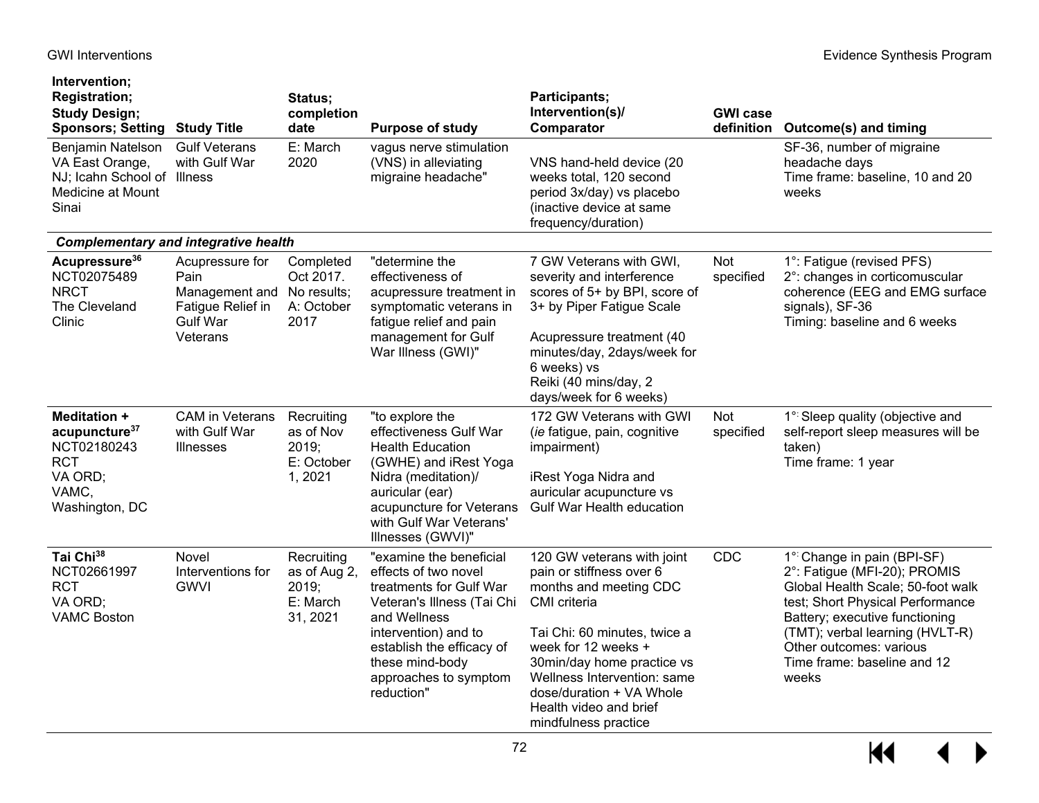# GWI Interventions **Evidence Synthesis Program**

| Intervention;<br><b>Registration;</b><br><b>Study Design;</b><br><b>Sponsors; Setting Study Title</b>               |                                                                                                           | Status;<br>completion<br>date                               | <b>Purpose of study</b>                                                                                                                                                                                                                 | Participants;<br>Intervention(s)/<br>Comparator                                                                                                                                                                                                                                                    | <b>GWI case</b>  | definition Outcome(s) and timing                                                                                                                                                                                                                                            |
|---------------------------------------------------------------------------------------------------------------------|-----------------------------------------------------------------------------------------------------------|-------------------------------------------------------------|-----------------------------------------------------------------------------------------------------------------------------------------------------------------------------------------------------------------------------------------|----------------------------------------------------------------------------------------------------------------------------------------------------------------------------------------------------------------------------------------------------------------------------------------------------|------------------|-----------------------------------------------------------------------------------------------------------------------------------------------------------------------------------------------------------------------------------------------------------------------------|
| Benjamin Natelson<br>VA East Orange,<br>NJ; Icahn School of Illness<br>Medicine at Mount<br>Sinai                   | <b>Gulf Veterans</b><br>with Gulf War                                                                     | E: March<br>2020                                            | vagus nerve stimulation<br>(VNS) in alleviating<br>migraine headache"                                                                                                                                                                   | VNS hand-held device (20<br>weeks total, 120 second<br>period 3x/day) vs placebo<br>(inactive device at same<br>frequency/duration)                                                                                                                                                                |                  | SF-36, number of migraine<br>headache days<br>Time frame: baseline, 10 and 20<br>weeks                                                                                                                                                                                      |
| <b>Complementary and integrative health</b>                                                                         |                                                                                                           |                                                             |                                                                                                                                                                                                                                         |                                                                                                                                                                                                                                                                                                    |                  |                                                                                                                                                                                                                                                                             |
| Acupressure <sup>36</sup><br>NCT02075489<br><b>NRCT</b><br>The Cleveland<br>Clinic                                  | Acupressure for<br>Pain<br>Management and No results;<br>Fatigue Relief in<br><b>Gulf War</b><br>Veterans | Completed<br>Oct 2017.<br>A: October<br>2017                | "determine the<br>effectiveness of<br>acupressure treatment in<br>symptomatic veterans in<br>fatigue relief and pain<br>management for Gulf<br>War Illness (GWI)"                                                                       | 7 GW Veterans with GWI,<br>severity and interference<br>scores of 5+ by BPI, score of<br>3+ by Piper Fatigue Scale<br>Acupressure treatment (40<br>minutes/day, 2days/week for<br>6 weeks) vs<br>Reiki (40 mins/day, 2<br>days/week for 6 weeks)                                                   | Not<br>specified | 1°: Fatigue (revised PFS)<br>2°: changes in corticomuscular<br>coherence (EEG and EMG surface<br>signals), SF-36<br>Timing: baseline and 6 weeks                                                                                                                            |
| <b>Meditation +</b><br>acupuncture <sup>37</sup><br>NCT02180243<br><b>RCT</b><br>VA ORD;<br>VAMC,<br>Washington, DC | <b>CAM</b> in Veterans<br>with Gulf War<br><b>Illnesses</b>                                               | Recruiting<br>as of Nov<br>2019;<br>E: October<br>1, 2021   | "to explore the<br>effectiveness Gulf War<br><b>Health Education</b><br>(GWHE) and iRest Yoga<br>Nidra (meditation)/<br>auricular (ear)<br>acupuncture for Veterans<br>with Gulf War Veterans'<br>Illnesses (GWVI)"                     | 172 GW Veterans with GWI<br>(ie fatigue, pain, cognitive<br>impairment)<br>iRest Yoga Nidra and<br>auricular acupuncture vs<br><b>Gulf War Health education</b>                                                                                                                                    | Not<br>specified | 1° Sleep quality (objective and<br>self-report sleep measures will be<br>taken)<br>Time frame: 1 year                                                                                                                                                                       |
| Tai Chi <sup>38</sup><br>NCT02661997<br><b>RCT</b><br>VA ORD;<br><b>VAMC Boston</b>                                 | Novel<br>Interventions for<br><b>GWVI</b>                                                                 | Recruiting<br>as of Aug 2,<br>2019;<br>E: March<br>31, 2021 | "examine the beneficial<br>effects of two novel<br>treatments for Gulf War<br>Veteran's Illness (Tai Chi<br>and Wellness<br>intervention) and to<br>establish the efficacy of<br>these mind-body<br>approaches to symptom<br>reduction" | 120 GW veterans with joint<br>pain or stiffness over 6<br>months and meeting CDC<br>CMI criteria<br>Tai Chi: 60 minutes, twice a<br>week for 12 weeks +<br>30min/day home practice vs<br>Wellness Intervention: same<br>dose/duration + VA Whole<br>Health video and brief<br>mindfulness practice | CDC              | 1° Change in pain (BPI-SF)<br>2°: Fatigue (MFI-20); PROMIS<br>Global Health Scale; 50-foot walk<br>test; Short Physical Performance<br>Battery; executive functioning<br>(TMT); verbal learning (HVLT-R)<br>Other outcomes: various<br>Time frame: baseline and 12<br>weeks |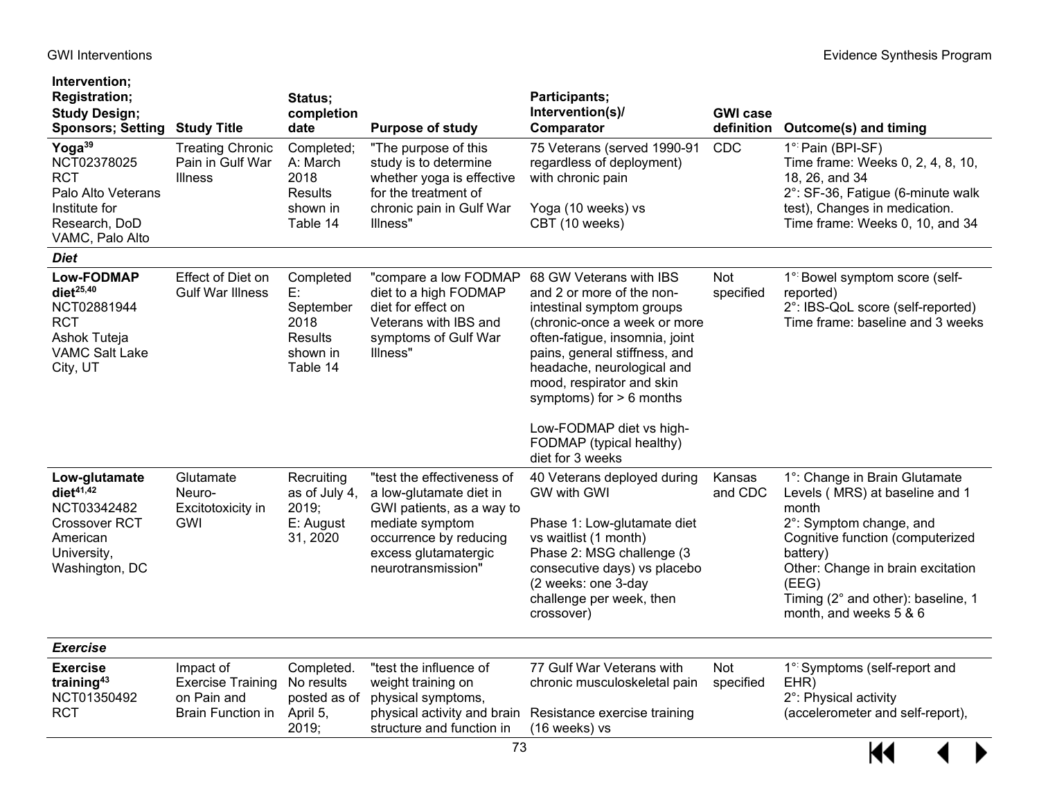| Intervention;<br><b>Registration;</b><br><b>Study Design;</b><br><b>Sponsors; Setting Study Title</b>                      |                                                                                  | Status;<br>completion<br>date                                                  | <b>Purpose of study</b>                                                                                                                                                       | Participants;<br>Intervention(s)/<br>Comparator                                                                                                                                                                                                                                                                                                           | <b>GWI case</b><br>definition | <b>Outcome(s) and timing</b>                                                                                                                                                                                                                                      |
|----------------------------------------------------------------------------------------------------------------------------|----------------------------------------------------------------------------------|--------------------------------------------------------------------------------|-------------------------------------------------------------------------------------------------------------------------------------------------------------------------------|-----------------------------------------------------------------------------------------------------------------------------------------------------------------------------------------------------------------------------------------------------------------------------------------------------------------------------------------------------------|-------------------------------|-------------------------------------------------------------------------------------------------------------------------------------------------------------------------------------------------------------------------------------------------------------------|
| Yoga <sup>39</sup><br>NCT02378025<br><b>RCT</b><br>Palo Alto Veterans<br>Institute for<br>Research, DoD<br>VAMC, Palo Alto | <b>Treating Chronic</b><br>Pain in Gulf War<br><b>Illness</b>                    | Completed;<br>A: March<br>2018<br>Results<br>shown in<br>Table 14              | "The purpose of this<br>study is to determine<br>whether yoga is effective<br>for the treatment of<br>chronic pain in Gulf War<br>Illness"                                    | 75 Veterans (served 1990-91<br>regardless of deployment)<br>with chronic pain<br>Yoga (10 weeks) vs<br>CBT (10 weeks)                                                                                                                                                                                                                                     | CDC                           | 1° Pain (BPI-SF)<br>Time frame: Weeks 0, 2, 4, 8, 10,<br>18, 26, and 34<br>2°: SF-36, Fatigue (6-minute walk<br>test), Changes in medication.<br>Time frame: Weeks 0, 10, and 34                                                                                  |
| <b>Diet</b>                                                                                                                |                                                                                  |                                                                                |                                                                                                                                                                               |                                                                                                                                                                                                                                                                                                                                                           |                               |                                                                                                                                                                                                                                                                   |
| <b>Low-FODMAP</b><br>$diet^{25,40}$<br>NCT02881944<br><b>RCT</b><br>Ashok Tuteja<br><b>VAMC Salt Lake</b><br>City, UT      | Effect of Diet on<br><b>Gulf War Illness</b>                                     | Completed<br>E:<br>September<br>2018<br><b>Results</b><br>shown in<br>Table 14 | "compare a low FODMAP<br>diet to a high FODMAP<br>diet for effect on<br>Veterans with IBS and<br>symptoms of Gulf War<br>Illness"                                             | 68 GW Veterans with IBS<br>and 2 or more of the non-<br>intestinal symptom groups<br>(chronic-once a week or more<br>often-fatigue, insomnia, joint<br>pains, general stiffness, and<br>headache, neurological and<br>mood, respirator and skin<br>symptoms) for $> 6$ months<br>Low-FODMAP diet vs high-<br>FODMAP (typical healthy)<br>diet for 3 weeks | <b>Not</b><br>specified       | 1° Bowel symptom score (self-<br>reported)<br>2°: IBS-QoL score (self-reported)<br>Time frame: baseline and 3 weeks                                                                                                                                               |
| Low-glutamate<br>diet $41,42$<br>NCT03342482<br><b>Crossover RCT</b><br>American<br>University,<br>Washington, DC          | Glutamate<br>Neuro-<br>Excitotoxicity in<br>GWI                                  | Recruiting<br>as of July 4,<br>2019;<br>E: August<br>31, 2020                  | "test the effectiveness of<br>a low-glutamate diet in<br>GWI patients, as a way to<br>mediate symptom<br>occurrence by reducing<br>excess glutamatergic<br>neurotransmission" | 40 Veterans deployed during<br><b>GW with GWI</b><br>Phase 1: Low-glutamate diet<br>vs waitlist (1 month)<br>Phase 2: MSG challenge (3<br>consecutive days) vs placebo<br>(2 weeks: one 3-day<br>challenge per week, then<br>crossover)                                                                                                                   | Kansas<br>and CDC             | 1°: Change in Brain Glutamate<br>Levels (MRS) at baseline and 1<br>month<br>2°: Symptom change, and<br>Cognitive function (computerized<br>battery)<br>Other: Change in brain excitation<br>(EEG)<br>Timing (2° and other): baseline, 1<br>month, and weeks 5 & 6 |
| <b>Exercise</b>                                                                                                            |                                                                                  |                                                                                |                                                                                                                                                                               |                                                                                                                                                                                                                                                                                                                                                           |                               |                                                                                                                                                                                                                                                                   |
| <b>Exercise</b><br>training $43$<br>NCT01350492<br><b>RCT</b>                                                              | Impact of<br><b>Exercise Training</b><br>on Pain and<br><b>Brain Function in</b> | Completed.<br>No results<br>posted as of<br>April 5,<br>2019:                  | "test the influence of<br>weight training on<br>physical symptoms,<br>physical activity and brain<br>structure and function in                                                | 77 Gulf War Veterans with<br>chronic musculoskeletal pain<br>Resistance exercise training<br>(16 weeks) vs                                                                                                                                                                                                                                                | Not<br>specified              | 1° Symptoms (self-report and<br>EHR)<br>2°: Physical activity<br>(accelerometer and self-report),                                                                                                                                                                 |

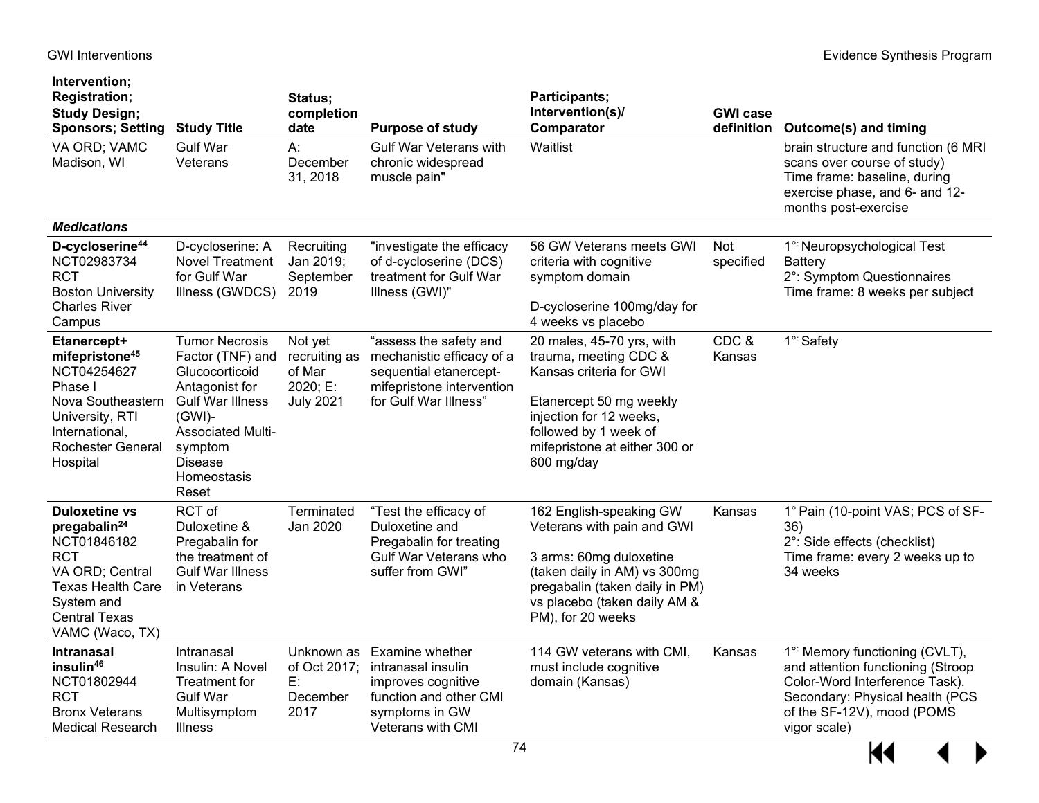| Intervention;<br><b>Registration;</b><br><b>Study Design;</b><br><b>Sponsors; Setting</b>                                                                                      | <b>Study Title</b>                                                                                                                                                                                     | Status;<br>completion<br>date                                      | <b>Purpose of study</b>                                                                                                                 | Participants;<br>Intervention(s)/<br>Comparator                                                                                                                                                             | <b>GWI</b> case<br>definition | <b>Outcome(s) and timing</b>                                                                                                                                                          |
|--------------------------------------------------------------------------------------------------------------------------------------------------------------------------------|--------------------------------------------------------------------------------------------------------------------------------------------------------------------------------------------------------|--------------------------------------------------------------------|-----------------------------------------------------------------------------------------------------------------------------------------|-------------------------------------------------------------------------------------------------------------------------------------------------------------------------------------------------------------|-------------------------------|---------------------------------------------------------------------------------------------------------------------------------------------------------------------------------------|
| VA ORD; VAMC<br>Madison, WI                                                                                                                                                    | <b>Gulf War</b><br>Veterans                                                                                                                                                                            | A:<br>December<br>31, 2018                                         | <b>Gulf War Veterans with</b><br>chronic widespread<br>muscle pain"                                                                     | Waitlist                                                                                                                                                                                                    |                               | brain structure and function (6 MRI<br>scans over course of study)<br>Time frame: baseline, during<br>exercise phase, and 6- and 12-<br>months post-exercise                          |
| <b>Medications</b>                                                                                                                                                             |                                                                                                                                                                                                        |                                                                    |                                                                                                                                         |                                                                                                                                                                                                             |                               |                                                                                                                                                                                       |
| D-cycloserine <sup>44</sup><br>NCT02983734<br><b>RCT</b><br><b>Boston University</b><br><b>Charles River</b><br>Campus                                                         | D-cycloserine: A<br><b>Novel Treatment</b><br>for Gulf War<br>Illness (GWDCS)                                                                                                                          | Recruiting<br>Jan 2019;<br>September<br>2019                       | "investigate the efficacy<br>of d-cycloserine (DCS)<br>treatment for Gulf War<br>Illness (GWI)"                                         | 56 GW Veterans meets GWI<br>criteria with cognitive<br>symptom domain<br>D-cycloserine 100mg/day for<br>4 weeks vs placebo                                                                                  | Not<br>specified              | 1 <sup>°:</sup> Neuropsychological Test<br><b>Battery</b><br>2°: Symptom Questionnaires<br>Time frame: 8 weeks per subject                                                            |
| Etanercept+<br>mifepristone <sup>45</sup><br>NCT04254627<br>Phase I<br>Nova Southeastern<br>University, RTI<br>International,<br>Rochester General<br>Hospital                 | <b>Tumor Necrosis</b><br>Factor (TNF) and<br>Glucocorticoid<br>Antagonist for<br><b>Gulf War Illness</b><br>$(GWI)$ -<br><b>Associated Multi-</b><br>symptom<br><b>Disease</b><br>Homeostasis<br>Reset | Not yet<br>recruiting as<br>of Mar<br>2020; E:<br><b>July 2021</b> | "assess the safety and<br>mechanistic efficacy of a<br>sequential etanercept-<br>mifepristone intervention<br>for Gulf War Illness"     | 20 males, 45-70 yrs, with<br>trauma, meeting CDC &<br>Kansas criteria for GWI<br>Etanercept 50 mg weekly<br>injection for 12 weeks,<br>followed by 1 week of<br>mifepristone at either 300 or<br>600 mg/day | CDC&<br>Kansas                | 1 <sup>°:</sup> Safety                                                                                                                                                                |
| <b>Duloxetine vs</b><br>pregabalin <sup>24</sup><br>NCT01846182<br>RCT<br>VA ORD; Central<br><b>Texas Health Care</b><br>System and<br><b>Central Texas</b><br>VAMC (Waco, TX) | RCT of<br>Duloxetine &<br>Pregabalin for<br>the treatment of<br><b>Gulf War Illness</b><br>in Veterans                                                                                                 | Terminated<br>Jan 2020                                             | "Test the efficacy of<br>Duloxetine and<br>Pregabalin for treating<br>Gulf War Veterans who<br>suffer from GWI"                         | 162 English-speaking GW<br>Veterans with pain and GWI<br>3 arms: 60mg duloxetine<br>(taken daily in AM) vs 300mg<br>pregabalin (taken daily in PM)<br>vs placebo (taken daily AM &<br>PM), for 20 weeks     | Kansas                        | 1° Pain (10-point VAS; PCS of SF-<br>36)<br>2°: Side effects (checklist)<br>Time frame: every 2 weeks up to<br>34 weeks                                                               |
| <b>Intranasal</b><br>insulin <sup>46</sup><br>NCT01802944<br>RCT<br><b>Bronx Veterans</b><br><b>Medical Research</b>                                                           | Intranasal<br>Insulin: A Novel<br>Treatment for<br><b>Gulf War</b><br>Multisymptom<br><b>Illness</b>                                                                                                   | of Oct 2017;<br>E:<br>December<br>2017                             | Unknown as Examine whether<br>intranasal insulin<br>improves cognitive<br>function and other CMI<br>symptoms in GW<br>Veterans with CMI | 114 GW veterans with CMI,<br>must include cognitive<br>domain (Kansas)                                                                                                                                      | Kansas                        | 1° Memory functioning (CVLT),<br>and attention functioning (Stroop<br>Color-Word Interference Task).<br>Secondary: Physical health (PCS<br>of the SF-12V), mood (POMS<br>vigor scale) |

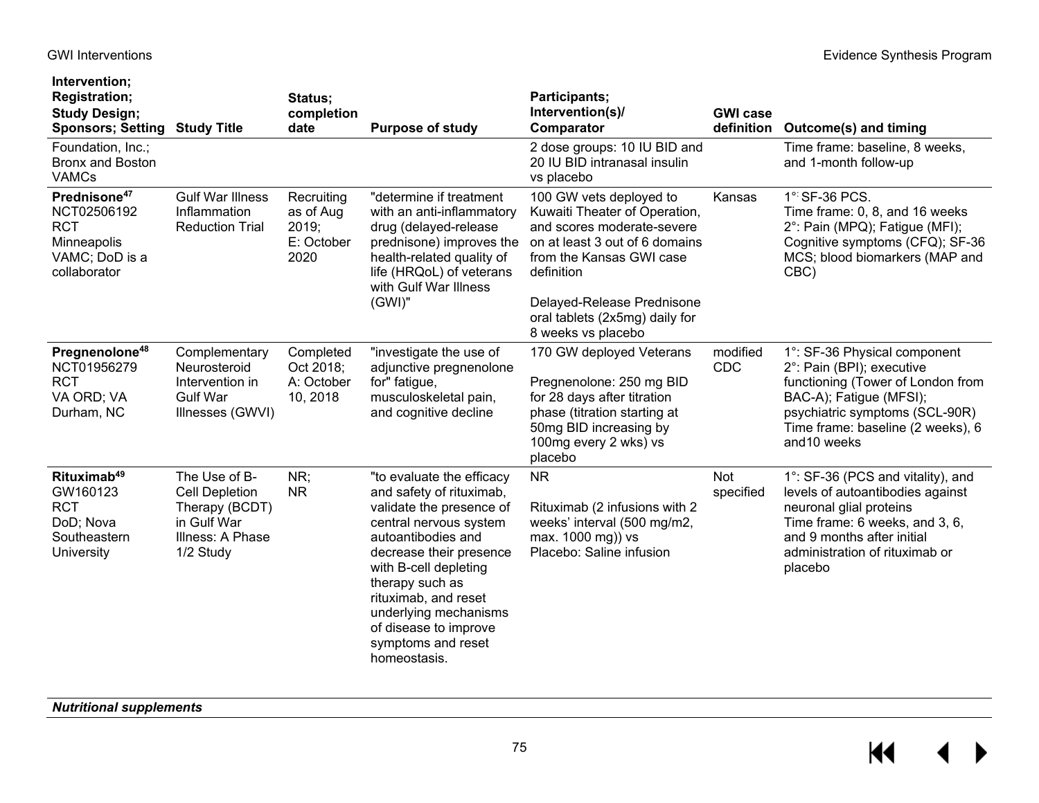| Intervention;<br><b>Registration;</b><br><b>Study Design;</b><br><b>Sponsors; Setting Study Title</b>  |                                                                                                          | Status;<br>completion<br>date                          | <b>Purpose of study</b>                                                                                                                                                                                                                                                                                                  | Participants;<br>Intervention(s)/<br>Comparator                                                                                                                                                                                                          | <b>GWI case</b><br>definition | <b>Outcome(s) and timing</b>                                                                                                                                                                                    |
|--------------------------------------------------------------------------------------------------------|----------------------------------------------------------------------------------------------------------|--------------------------------------------------------|--------------------------------------------------------------------------------------------------------------------------------------------------------------------------------------------------------------------------------------------------------------------------------------------------------------------------|----------------------------------------------------------------------------------------------------------------------------------------------------------------------------------------------------------------------------------------------------------|-------------------------------|-----------------------------------------------------------------------------------------------------------------------------------------------------------------------------------------------------------------|
| Foundation, Inc.;<br><b>Bronx and Boston</b><br><b>VAMCs</b>                                           |                                                                                                          |                                                        |                                                                                                                                                                                                                                                                                                                          | 2 dose groups: 10 IU BID and<br>20 IU BID intranasal insulin<br>vs placebo                                                                                                                                                                               |                               | Time frame: baseline, 8 weeks,<br>and 1-month follow-up                                                                                                                                                         |
| Prednisone <sup>47</sup><br>NCT02506192<br><b>RCT</b><br>Minneapolis<br>VAMC; DoD is a<br>collaborator | <b>Gulf War Illness</b><br>Inflammation<br><b>Reduction Trial</b>                                        | Recruiting<br>as of Aug<br>2019;<br>E: October<br>2020 | "determine if treatment<br>with an anti-inflammatory<br>drug (delayed-release<br>prednisone) improves the<br>health-related quality of<br>life (HRQoL) of veterans<br>with Gulf War Illness<br>$(GWI)$ "                                                                                                                 | 100 GW vets deployed to<br>Kuwaiti Theater of Operation,<br>and scores moderate-severe<br>on at least 3 out of 6 domains<br>from the Kansas GWI case<br>definition<br>Delayed-Release Prednisone<br>oral tablets (2x5mg) daily for<br>8 weeks vs placebo | Kansas                        | 1° SF-36 PCS.<br>Time frame: 0, 8, and 16 weeks<br>2°: Pain (MPQ); Fatigue (MFI);<br>Cognitive symptoms (CFQ); SF-36<br>MCS; blood biomarkers (MAP and<br>CBC)                                                  |
| Pregnenolone <sup>48</sup><br>NCT01956279<br><b>RCT</b><br>VA ORD; VA<br>Durham, NC                    | Complementary<br>Neurosteroid<br>Intervention in<br><b>Gulf War</b><br>Illnesses (GWVI)                  | Completed<br>Oct 2018;<br>A: October<br>10, 2018       | "investigate the use of<br>adjunctive pregnenolone<br>for" fatigue,<br>musculoskeletal pain,<br>and cognitive decline                                                                                                                                                                                                    | 170 GW deployed Veterans<br>Pregnenolone: 250 mg BID<br>for 28 days after titration<br>phase (titration starting at<br>50mg BID increasing by<br>100mg every 2 wks) vs<br>placebo                                                                        | modified<br><b>CDC</b>        | 1°: SF-36 Physical component<br>2°: Pain (BPI); executive<br>functioning (Tower of London from<br>BAC-A); Fatigue (MFSI);<br>psychiatric symptoms (SCL-90R)<br>Time frame: baseline (2 weeks), 6<br>and10 weeks |
| Rituximab <sup>49</sup><br>GW160123<br><b>RCT</b><br>DoD; Nova<br>Southeastern<br>University           | The Use of B-<br><b>Cell Depletion</b><br>Therapy (BCDT)<br>in Gulf War<br>Illness: A Phase<br>1/2 Study | NR;<br><b>NR</b>                                       | "to evaluate the efficacy<br>and safety of rituximab,<br>validate the presence of<br>central nervous system<br>autoantibodies and<br>decrease their presence<br>with B-cell depleting<br>therapy such as<br>rituximab, and reset<br>underlying mechanisms<br>of disease to improve<br>symptoms and reset<br>homeostasis. | <b>NR</b><br>Rituximab (2 infusions with 2<br>weeks' interval (500 mg/m2,<br>max. 1000 mg)) vs<br>Placebo: Saline infusion                                                                                                                               | Not<br>specified              | 1°: SF-36 (PCS and vitality), and<br>levels of autoantibodies against<br>neuronal glial proteins<br>Time frame: 6 weeks, and 3, 6,<br>and 9 months after initial<br>administration of rituximab or<br>placebo   |

*Nutritional supplements*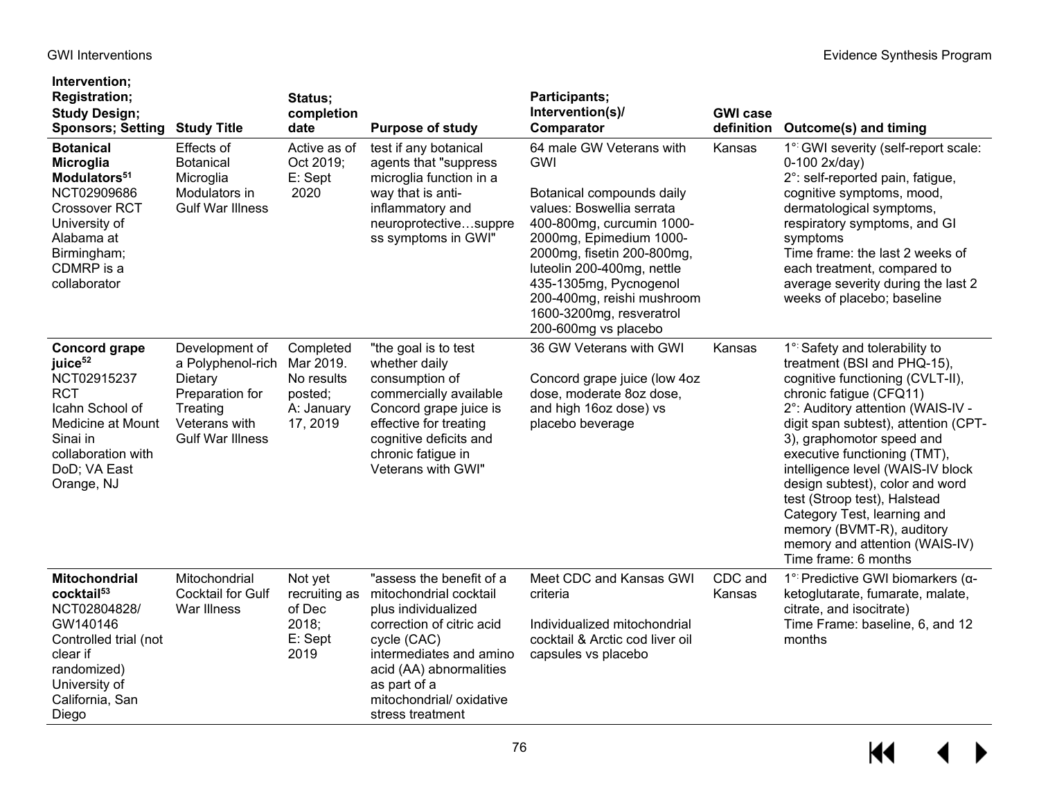California, San

Diego

| Intervention;<br><b>Registration;</b><br><b>Study Design;</b><br><b>Sponsors; Setting</b>                                                                                           | <b>Study Title</b>                                                                                                        | Status;<br>completion<br>date                                             | <b>Purpose of study</b>                                                                                                                                                                                     | Participants;<br>Intervention(s)/<br>Comparator                                                                                                                                                                                                                                                                           | <b>GWI case</b><br>definition | Outcome(s) and timing                                                                                                                                                                                                                                                                                                                                                                                                                                                                               |
|-------------------------------------------------------------------------------------------------------------------------------------------------------------------------------------|---------------------------------------------------------------------------------------------------------------------------|---------------------------------------------------------------------------|-------------------------------------------------------------------------------------------------------------------------------------------------------------------------------------------------------------|---------------------------------------------------------------------------------------------------------------------------------------------------------------------------------------------------------------------------------------------------------------------------------------------------------------------------|-------------------------------|-----------------------------------------------------------------------------------------------------------------------------------------------------------------------------------------------------------------------------------------------------------------------------------------------------------------------------------------------------------------------------------------------------------------------------------------------------------------------------------------------------|
| <b>Botanical</b><br><b>Microglia</b><br>Modulators <sup>51</sup><br>NCT02909686<br><b>Crossover RCT</b><br>University of<br>Alabama at<br>Birmingham;<br>CDMRP is a<br>collaborator | Effects of<br><b>Botanical</b><br>Microglia<br>Modulators in<br><b>Gulf War Illness</b>                                   | Active as of<br>Oct 2019;<br>E: Sept<br>2020                              | test if any botanical<br>agents that "suppress<br>microglia function in a<br>way that is anti-<br>inflammatory and<br>neuroprotectivesuppre<br>ss symptoms in GWI"                                          | 64 male GW Veterans with<br>GWI<br>Botanical compounds daily<br>values: Boswellia serrata<br>400-800mg, curcumin 1000-<br>2000mg, Epimedium 1000-<br>2000mg, fisetin 200-800mg,<br>luteolin 200-400mg, nettle<br>435-1305mg, Pycnogenol<br>200-400mg, reishi mushroom<br>1600-3200mg, resveratrol<br>200-600mg vs placebo | Kansas                        | 1° GWI severity (self-report scale:<br>0-100 2x/day)<br>2°: self-reported pain, fatigue,<br>cognitive symptoms, mood,<br>dermatological symptoms,<br>respiratory symptoms, and GI<br>symptoms<br>Time frame: the last 2 weeks of<br>each treatment, compared to<br>average severity during the last 2<br>weeks of placebo; baseline                                                                                                                                                                 |
| <b>Concord grape</b><br>juice <sup>52</sup><br>NCT02915237<br><b>RCT</b><br>Icahn School of<br>Medicine at Mount<br>Sinai in<br>collaboration with<br>DoD; VA East<br>Orange, NJ    | Development of<br>a Polyphenol-rich<br>Dietary<br>Preparation for<br>Treating<br>Veterans with<br><b>Gulf War Illness</b> | Completed<br>Mar 2019.<br>No results<br>posted;<br>A: January<br>17, 2019 | "the goal is to test<br>whether daily<br>consumption of<br>commercially available<br>Concord grape juice is<br>effective for treating<br>cognitive deficits and<br>chronic fatigue in<br>Veterans with GWI" | 36 GW Veterans with GWI<br>Concord grape juice (low 4oz<br>dose, moderate 8oz dose,<br>and high 16oz dose) vs<br>placebo beverage                                                                                                                                                                                         | Kansas                        | 1° Safety and tolerability to<br>treatment (BSI and PHQ-15),<br>cognitive functioning (CVLT-II),<br>chronic fatigue (CFQ11)<br>2°: Auditory attention (WAIS-IV -<br>digit span subtest), attention (CPT-<br>3), graphomotor speed and<br>executive functioning (TMT),<br>intelligence level (WAIS-IV block<br>design subtest), color and word<br>test (Stroop test), Halstead<br>Category Test, learning and<br>memory (BVMT-R), auditory<br>memory and attention (WAIS-IV)<br>Time frame: 6 months |
| <b>Mitochondrial</b><br>cocktail <sup>53</sup><br>NCT02804828/<br>GW140146<br>Controlled trial (not<br>clear if<br>randomized)<br>University of                                     | Mitochondrial<br><b>Cocktail for Gulf</b><br>War Illness                                                                  | Not yet<br>recruiting as<br>of Dec<br>2018;<br>E: Sept<br>2019            | "assess the benefit of a<br>mitochondrial cocktail<br>plus individualized<br>correction of citric acid<br>cycle (CAC)<br>intermediates and amino<br>acid (AA) abnormalities<br>as part of a                 | Meet CDC and Kansas GWI<br>criteria<br>Individualized mitochondrial<br>cocktail & Arctic cod liver oil<br>capsules vs placebo                                                                                                                                                                                             | CDC and<br>Kansas             | 1 <sup>°</sup> Predictive GWI biomarkers (α-<br>ketoglutarate, fumarate, malate,<br>citrate, and isocitrate)<br>Time Frame: baseline, 6, and 12<br>months                                                                                                                                                                                                                                                                                                                                           |

mitochondrial/ oxidative

stress treatment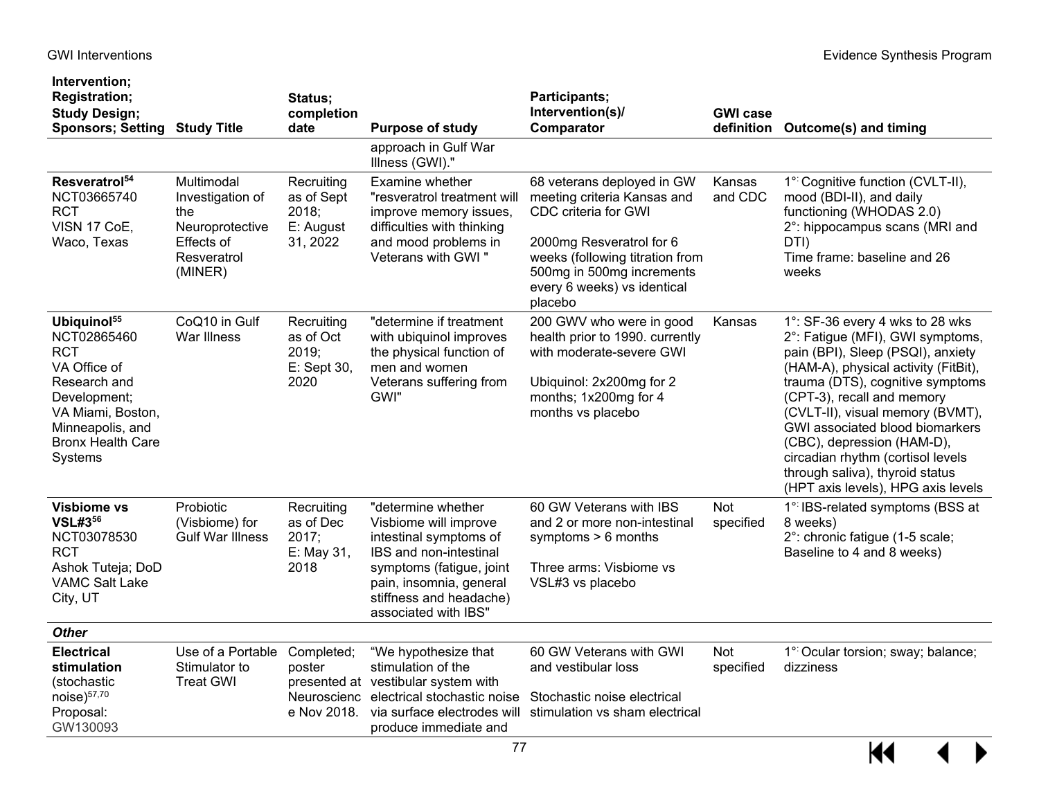| Intervention;<br><b>Registration;</b><br><b>Study Design;</b><br><b>Sponsors; Setting Study Title</b>                                                                                |                                                                                                  | Status;<br>completion<br>date                              | <b>Purpose of study</b>                                                                                                                                                                                   | Participants;<br>Intervention(s)/<br>Comparator                                                                                                                                                                         | <b>GWI case</b>   | definition Outcome(s) and timing                                                                                                                                                                                                                                                                                                                                                                                                      |
|--------------------------------------------------------------------------------------------------------------------------------------------------------------------------------------|--------------------------------------------------------------------------------------------------|------------------------------------------------------------|-----------------------------------------------------------------------------------------------------------------------------------------------------------------------------------------------------------|-------------------------------------------------------------------------------------------------------------------------------------------------------------------------------------------------------------------------|-------------------|---------------------------------------------------------------------------------------------------------------------------------------------------------------------------------------------------------------------------------------------------------------------------------------------------------------------------------------------------------------------------------------------------------------------------------------|
|                                                                                                                                                                                      |                                                                                                  |                                                            | approach in Gulf War<br>Illness (GWI)."                                                                                                                                                                   |                                                                                                                                                                                                                         |                   |                                                                                                                                                                                                                                                                                                                                                                                                                                       |
| Resveratrol <sup>54</sup><br>NCT03665740<br>RCT<br>VISN 17 CoE,<br>Waco, Texas                                                                                                       | Multimodal<br>Investigation of<br>the<br>Neuroprotective<br>Effects of<br>Resveratrol<br>(MINER) | Recruiting<br>as of Sept<br>2018;<br>E: August<br>31, 2022 | Examine whether<br>"resveratrol treatment will<br>improve memory issues,<br>difficulties with thinking<br>and mood problems in<br>Veterans with GWI"                                                      | 68 veterans deployed in GW<br>meeting criteria Kansas and<br>CDC criteria for GWI<br>2000mg Resveratrol for 6<br>weeks (following titration from<br>500mg in 500mg increments<br>every 6 weeks) vs identical<br>placebo | Kansas<br>and CDC | 1° Cognitive function (CVLT-II),<br>mood (BDI-II), and daily<br>functioning (WHODAS 2.0)<br>2°: hippocampus scans (MRI and<br>DTI)<br>Time frame: baseline and 26<br>weeks                                                                                                                                                                                                                                                            |
| Ubiquinol <sup>55</sup><br>NCT02865460<br><b>RCT</b><br>VA Office of<br>Research and<br>Development;<br>VA Miami, Boston,<br>Minneapolis, and<br><b>Bronx Health Care</b><br>Systems | CoQ10 in Gulf<br>War Illness                                                                     | Recruiting<br>as of Oct<br>2019;<br>E: Sept 30,<br>2020    | "determine if treatment<br>with ubiquinol improves<br>the physical function of<br>men and women<br>Veterans suffering from<br>GWI"                                                                        | 200 GWV who were in good<br>health prior to 1990. currently<br>with moderate-severe GWI<br>Ubiquinol: 2x200mg for 2<br>months; 1x200mg for 4<br>months vs placebo                                                       | Kansas            | 1°: SF-36 every 4 wks to 28 wks<br>2°: Fatigue (MFI), GWI symptoms,<br>pain (BPI), Sleep (PSQI), anxiety<br>(HAM-A), physical activity (FitBit),<br>trauma (DTS), cognitive symptoms<br>(CPT-3), recall and memory<br>(CVLT-II), visual memory (BVMT),<br>GWI associated blood biomarkers<br>(CBC), depression (HAM-D),<br>circadian rhythm (cortisol levels<br>through saliva), thyroid status<br>(HPT axis levels), HPG axis levels |
| <b>Visbiome vs</b><br><b>VSL#356</b><br>NCT03078530<br>RCT<br>Ashok Tuteja; DoD<br><b>VAMC Salt Lake</b><br>City, UT                                                                 | Probiotic<br>(Visbiome) for<br><b>Gulf War Illness</b>                                           | Recruiting<br>as of Dec<br>2017:<br>E: May 31,<br>2018     | "determine whether<br>Visbiome will improve<br>intestinal symptoms of<br>IBS and non-intestinal<br>symptoms (fatigue, joint<br>pain, insomnia, general<br>stiffness and headache)<br>associated with IBS" | 60 GW Veterans with IBS<br>and 2 or more non-intestinal<br>symptoms $> 6$ months<br>Three arms: Visbiome vs<br>VSL#3 vs placebo                                                                                         | Not<br>specified  | 1° IBS-related symptoms (BSS at<br>8 weeks)<br>2°: chronic fatigue (1-5 scale;<br>Baseline to 4 and 8 weeks)                                                                                                                                                                                                                                                                                                                          |
| <b>Other</b>                                                                                                                                                                         |                                                                                                  |                                                            |                                                                                                                                                                                                           |                                                                                                                                                                                                                         |                   |                                                                                                                                                                                                                                                                                                                                                                                                                                       |
| <b>Electrical</b><br>stimulation<br>(stochastic<br>noise $5^{57,70}$<br>Proposal:<br>GW130093                                                                                        | Use of a Portable<br>Stimulator to<br><b>Treat GWI</b>                                           | Completed;<br>poster<br>e Nov 2018.                        | "We hypothesize that<br>stimulation of the<br>presented at vestibular system with<br>Neuroscienc electrical stochastic noise<br>via surface electrodes will<br>produce immediate and                      | 60 GW Veterans with GWI<br>and vestibular loss<br>Stochastic noise electrical<br>stimulation vs sham electrical                                                                                                         | Not<br>specified  | 1° Ocular torsion; sway; balance;<br>dizziness                                                                                                                                                                                                                                                                                                                                                                                        |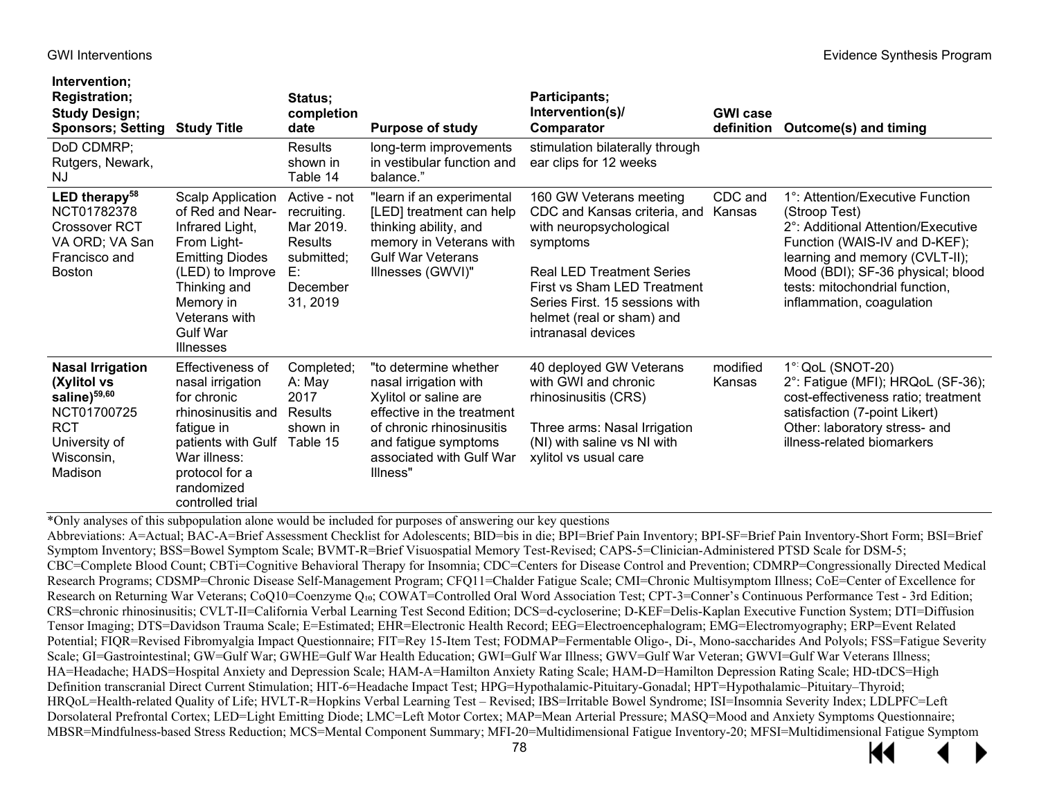**Intervention;** 

| intervention;<br><b>Registration;</b><br><b>Study Design;</b><br><b>Sponsors; Setting Study Title</b><br>DoD CDMRP;                       |                                                                                                                                                                                                                   | Status;<br>completion<br>date<br>Results                                                               | <b>Purpose of study</b><br>long-term improvements                                                                                                                                                  | Participants;<br>Intervention(s)/<br>Comparator<br>stimulation bilaterally through                                                                                                                                                                     | <b>GWI case</b><br>definition | Outcome(s) and timing                                                                                                                                                                                                                                                       |
|-------------------------------------------------------------------------------------------------------------------------------------------|-------------------------------------------------------------------------------------------------------------------------------------------------------------------------------------------------------------------|--------------------------------------------------------------------------------------------------------|----------------------------------------------------------------------------------------------------------------------------------------------------------------------------------------------------|--------------------------------------------------------------------------------------------------------------------------------------------------------------------------------------------------------------------------------------------------------|-------------------------------|-----------------------------------------------------------------------------------------------------------------------------------------------------------------------------------------------------------------------------------------------------------------------------|
| Rutgers, Newark,<br>ΝJ                                                                                                                    |                                                                                                                                                                                                                   | shown in<br>Table 14                                                                                   | in vestibular function and<br>balance."                                                                                                                                                            | ear clips for 12 weeks                                                                                                                                                                                                                                 |                               |                                                                                                                                                                                                                                                                             |
| LED therapy $58$<br>NCT01782378<br><b>Crossover RCT</b><br>VA ORD; VA San<br>Francisco and<br><b>Boston</b>                               | <b>Scalp Application</b><br>of Red and Near-<br>Infrared Light,<br>From Light-<br><b>Emitting Diodes</b><br>(LED) to Improve<br>Thinking and<br>Memory in<br>Veterans with<br><b>Gulf War</b><br><b>Illnesses</b> | Active - not<br>recruiting.<br>Mar 2019.<br><b>Results</b><br>submitted;<br>E:<br>December<br>31, 2019 | "learn if an experimental<br>[LED] treatment can help<br>thinking ability, and<br>memory in Veterans with<br><b>Gulf War Veterans</b><br>Illnesses (GWVI)"                                         | 160 GW Veterans meeting<br>CDC and Kansas criteria, and<br>with neuropsychological<br>symptoms<br><b>Real LED Treatment Series</b><br>First vs Sham LED Treatment<br>Series First. 15 sessions with<br>helmet (real or sham) and<br>intranasal devices | CDC and<br>Kansas             | 1 <sup>o</sup> : Attention/Executive Function<br>(Stroop Test)<br>2°: Additional Attention/Executive<br>Function (WAIS-IV and D-KEF);<br>learning and memory (CVLT-II);<br>Mood (BDI); SF-36 physical; blood<br>tests: mitochondrial function,<br>inflammation, coagulation |
| <b>Nasal Irrigation</b><br>(Xylitol vs<br>saline) <sup>59,60</sup><br>NCT01700725<br><b>RCT</b><br>University of<br>Wisconsin,<br>Madison | Effectiveness of<br>nasal irrigation<br>for chronic<br>rhinosinusitis and<br>fatigue in<br>patients with Gulf<br>War illness:<br>protocol for a<br>randomized<br>controlled trial                                 | Completed;<br>A: May<br>2017<br>Results<br>shown in<br>Table 15                                        | "to determine whether<br>nasal irrigation with<br>Xylitol or saline are<br>effective in the treatment<br>of chronic rhinosinusitis<br>and fatigue symptoms<br>associated with Gulf War<br>Illness" | 40 deployed GW Veterans<br>with GWI and chronic<br>rhinosinusitis (CRS)<br>Three arms: Nasal Irrigation<br>(NI) with saline vs NI with<br>xylitol vs usual care                                                                                        | modified<br>Kansas            | 1° QoL (SNOT-20)<br>2°: Fatigue (MFI); HRQoL (SF-36);<br>cost-effectiveness ratio; treatment<br>satisfaction (7-point Likert)<br>Other: laboratory stress- and<br>illness-related biomarkers                                                                                |

\*Only analyses of this subpopulation alone would be included for purposes of answering our key questions

Abbreviations: A=Actual; BAC-A=Brief Assessment Checklist for Adolescents; BID=bis in die; BPI=Brief Pain Inventory; BPI-SF=Brief Pain Inventory-Short Form; BSI=Brief Symptom Inventory; BSS=Bowel Symptom Scale; BVMT-R=Brief Visuospatial Memory Test-Revised; CAPS-5=Clinician-Administered PTSD Scale for DSM-5; CBC=Complete Blood Count; CBTi=Cognitive Behavioral Therapy for Insomnia; CDC=Centers for Disease Control and Prevention; CDMRP=Congressionally Directed Medical Research Programs; CDSMP=Chronic Disease Self-Management Program; CFQ11=Chalder Fatigue Scale; CMI=Chronic Multisymptom Illness; CoE=Center of Excellence for Research on Returning War Veterans; CoQ10=Coenzyme Q<sub>10</sub>; COWAT=Controlled Oral Word Association Test; CPT-3=Conner's Continuous Performance Test - 3rd Edition; CRS=chronic rhinosinusitis; CVLT-II=California Verbal Learning Test Second Edition; DCS=d-cycloserine; D-KEF=Delis-Kaplan Executive Function System; DTI=Diffusion Tensor Imaging; DTS=Davidson Trauma Scale; E=Estimated; EHR=Electronic Health Record; EEG=Electroencephalogram; EMG=Electromyography; ERP=Event Related Potential; FIQR=Revised Fibromyalgia Impact Questionnaire; FIT=Rey 15-Item Test; FODMAP=Fermentable Oligo-, Di-, Mono-saccharides And Polyols; FSS=Fatigue Severity Scale; GI=Gastrointestinal; GW=Gulf War; GWHE=Gulf War Health Education; GWI=Gulf War Illness; GWV=Gulf War Veteran; GWVI=Gulf War Veterans Illness; HA=Headache; HADS=Hospital Anxiety and Depression Scale; HAM-A=Hamilton Anxiety Rating Scale; HAM-D=Hamilton Depression Rating Scale; HD-tDCS=High Definition transcranial Direct Current Stimulation; HIT-6=Headache Impact Test; HPG=Hypothalamic-Pituitary-Gonadal; HPT=Hypothalamic–Pituitary–Thyroid; HRQoL=Health-related Quality of Life; HVLT-R=Hopkins Verbal Learning Test – Revised; IBS=Irritable Bowel Syndrome; ISI=Insomnia Severity Index; LDLPFC=Left Dorsolateral Prefrontal Cortex; LED=Light Emitting Diode; LMC=Left Motor Cortex; MAP=Mean Arterial Pressure; MASQ=Mood and Anxiety Symptoms Questionnaire; MBSR=Mindfulness-based Stress Reduction; MCS=Mental Component Summary; MFI-20=Multidimensional Fatigue Inventory-20; MFSI=Multidimensional Fatigue Symptom

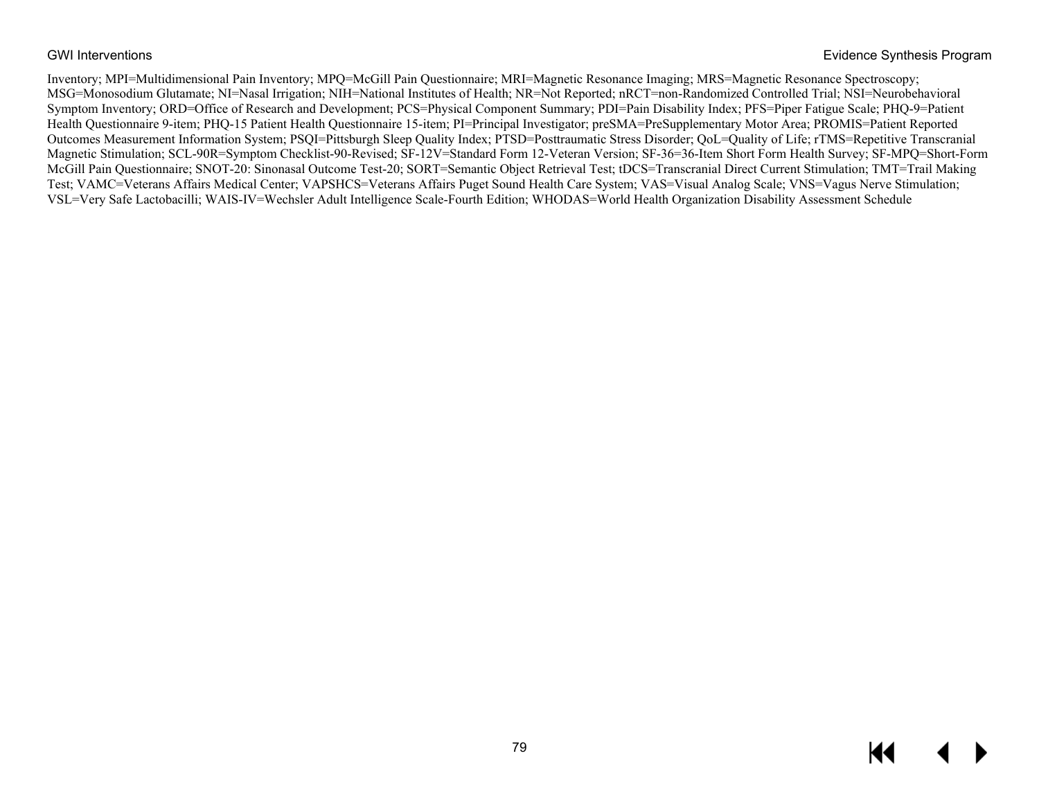Inventory; MPI=Multidimensional Pain Inventory; MPQ=McGill Pain Questionnaire; MRI=Magnetic Resonance Imaging; MRS=Magnetic Resonance Spectroscopy; MSG=Monosodium Glutamate; NI=Nasal Irrigation; NIH=National Institutes of Health; NR=Not Reported; nRCT=non-Randomized Controlled Trial; NSI=Neurobehavioral Symptom Inventory; ORD=Office of Research and Development; PCS=Physical Component Summary; PDI=Pain Disability Index; PFS=Piper Fatigue Scale; PHQ-9=Patient Health Questionnaire 9-item; PHQ-15 Patient Health Questionnaire 15-item; PI=Principal Investigator; preSMA=PreSupplementary Motor Area; PROMIS=Patient Reported Outcomes Measurement Information System; PSQI=Pittsburgh Sleep Quality Index; PTSD=Posttraumatic Stress Disorder; QoL=Quality of Life; rTMS=Repetitive Transcranial Magnetic Stimulation; SCL-90R=Symptom Checklist-90-Revised; SF-12V=Standard Form 12-Veteran Version; SF-36=36-Item Short Form Health Survey; SF-MPQ=Short-Form McGill Pain Questionnaire; SNOT-20: Sinonasal Outcome Test-20; SORT=Semantic Object Retrieval Test; tDCS=Transcranial Direct Current Stimulation; TMT=Trail Making Test; VAMC=Veterans Affairs Medical Center; VAPSHCS=Veterans Affairs Puget Sound Health Care System; VAS=Visual Analog Scale; VNS=Vagus Nerve Stimulation; VSL=Very Safe Lactobacilli; WAIS-IV=Wechsler Adult Intelligence Scale-Fourth Edition; WHODAS=World Health Organization Disability Assessment Schedule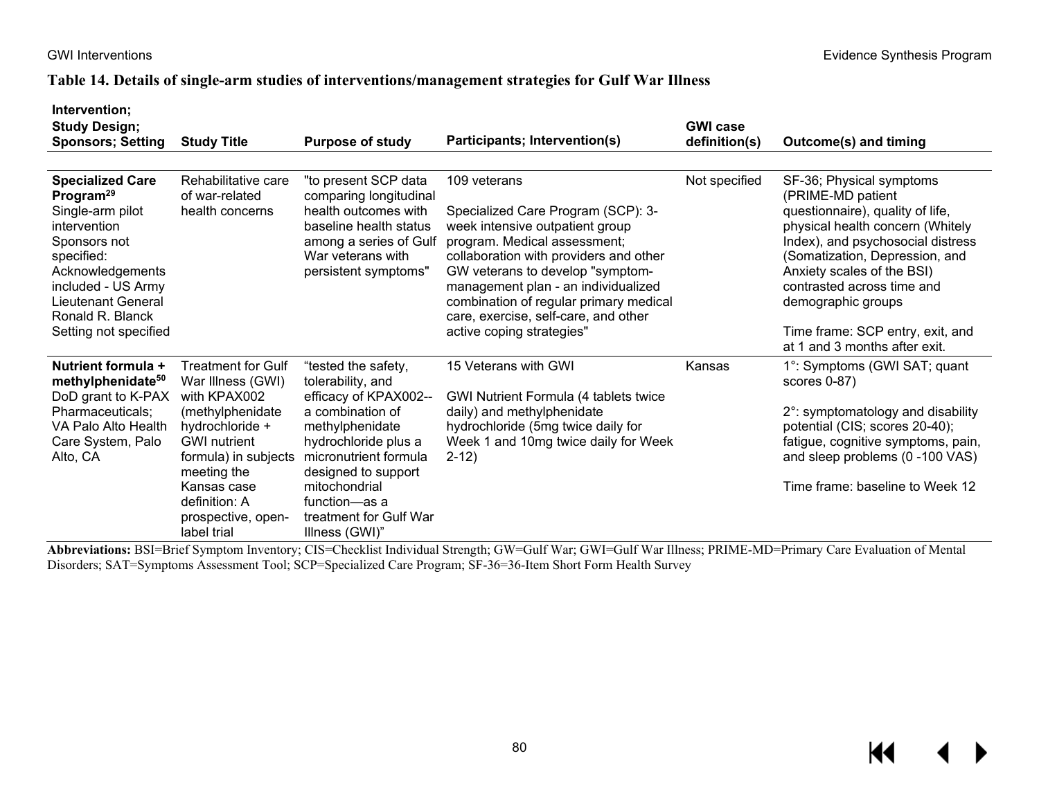### **Table 14. Details of single-arm studies of interventions/management strategies for Gulf War Illness**

| Intervention:<br><b>Study Design;</b><br><b>Sponsors; Setting</b>                                                                                                                                                                      | <b>Study Title</b>                                                                                                                                                                                                                       | <b>Purpose of study</b>                                                                                                                                                                                                                                                                              | Participants; Intervention(s)                                                                                                                                                                                                                                                                                                                                                                                                                                                                                                                                                 | <b>GWI case</b><br>definition(s) | Outcome(s) and timing                                                                                                                                                                                                                                                                                                                               |
|----------------------------------------------------------------------------------------------------------------------------------------------------------------------------------------------------------------------------------------|------------------------------------------------------------------------------------------------------------------------------------------------------------------------------------------------------------------------------------------|------------------------------------------------------------------------------------------------------------------------------------------------------------------------------------------------------------------------------------------------------------------------------------------------------|-------------------------------------------------------------------------------------------------------------------------------------------------------------------------------------------------------------------------------------------------------------------------------------------------------------------------------------------------------------------------------------------------------------------------------------------------------------------------------------------------------------------------------------------------------------------------------|----------------------------------|-----------------------------------------------------------------------------------------------------------------------------------------------------------------------------------------------------------------------------------------------------------------------------------------------------------------------------------------------------|
|                                                                                                                                                                                                                                        |                                                                                                                                                                                                                                          |                                                                                                                                                                                                                                                                                                      |                                                                                                                                                                                                                                                                                                                                                                                                                                                                                                                                                                               |                                  |                                                                                                                                                                                                                                                                                                                                                     |
| <b>Specialized Care</b><br>Program <sup>29</sup><br>Single-arm pilot<br>intervention<br>Sponsors not<br>specified:<br>Acknowledgements<br>included - US Army<br><b>Lieutenant General</b><br>Ronald R. Blanck<br>Setting not specified | Rehabilitative care<br>of war-related<br>health concerns                                                                                                                                                                                 | "to present SCP data<br>comparing longitudinal<br>health outcomes with<br>baseline health status<br>among a series of Gulf<br>War veterans with<br>persistent symptoms"                                                                                                                              | 109 veterans<br>Specialized Care Program (SCP): 3-<br>week intensive outpatient group<br>program. Medical assessment;<br>collaboration with providers and other<br>GW veterans to develop "symptom-<br>management plan - an individualized<br>combination of regular primary medical<br>care, exercise, self-care, and other<br>active coping strategies"                                                                                                                                                                                                                     | Not specified                    | SF-36; Physical symptoms<br>(PRIME-MD patient<br>questionnaire), quality of life,<br>physical health concern (Whitely<br>Index), and psychosocial distress<br>(Somatization, Depression, and<br>Anxiety scales of the BSI)<br>contrasted across time and<br>demographic groups<br>Time frame: SCP entry, exit, and<br>at 1 and 3 months after exit. |
| Nutrient formula +<br>methylphenidate <sup>50</sup><br>DoD grant to K-PAX<br>Pharmaceuticals;<br>VA Palo Alto Health<br>Care System, Palo<br>Alto, CA<br>$\mathbf{D}$ $\alpha$ $\mathbf{D}$ $\alpha$                                   | <b>Treatment for Gulf</b><br>War Illness (GWI)<br>with KPAX002<br>(methylphenidate<br>hydrochloride +<br><b>GWI</b> nutrient<br>formula) in subjects<br>meeting the<br>Kansas case<br>definition: A<br>prospective, open-<br>label trial | "tested the safety,<br>tolerability, and<br>efficacy of KPAX002--<br>a combination of<br>methylphenidate<br>hydrochloride plus a<br>micronutrient formula<br>designed to support<br>mitochondrial<br>function—as a<br>treatment for Gulf War<br>Illness (GWI)"<br>$C1C$ $C1$ $11'$ $17'$ $11'$ $11'$ | 15 Veterans with GWI<br>GWI Nutrient Formula (4 tablets twice<br>daily) and methylphenidate<br>hydrochloride (5mg twice daily for<br>Week 1 and 10mg twice daily for Week<br>$2 - 12$<br>$\overline{d}$ $\overline{c}$ $\overline{u}$ $\overline{c}$ $\overline{u}$ $\overline{u}$ $\overline{c}$ $\overline{u}$ $\overline{u}$ $\overline{c}$ $\overline{u}$ $\overline{u}$ $\overline{u}$ $\overline{u}$ $\overline{u}$ $\overline{u}$ $\overline{u}$ $\overline{u}$ $\overline{u}$ $\overline{u}$ $\overline{u}$ $\overline{u}$ $\overline{u}$ $\overline{u}$ $\overline{$ | Kansas<br>min(T, m, n')          | 1 <sup>o</sup> : Symptoms (GWI SAT; quant<br>scores 0-87)<br>2°: symptomatology and disability<br>potential (CIS; scores 20-40);<br>fatigue, cognitive symptoms, pain,<br>and sleep problems (0-100 VAS)<br>Time frame: baseline to Week 12<br>$\alpha$ m i $\beta$<br>$C = 1$                                                                      |

**Abbreviations:** BSI=Brief Symptom Inventory; CIS=Checklist Individual Strength; GW=Gulf War; GWI=Gulf War Illness; PRIME-MD=Primary Care Evaluation of Mental Disorders; SAT=Symptoms Assessment Tool; SCP=Specialized Care Program; SF-36=36-Item Short Form Health Survey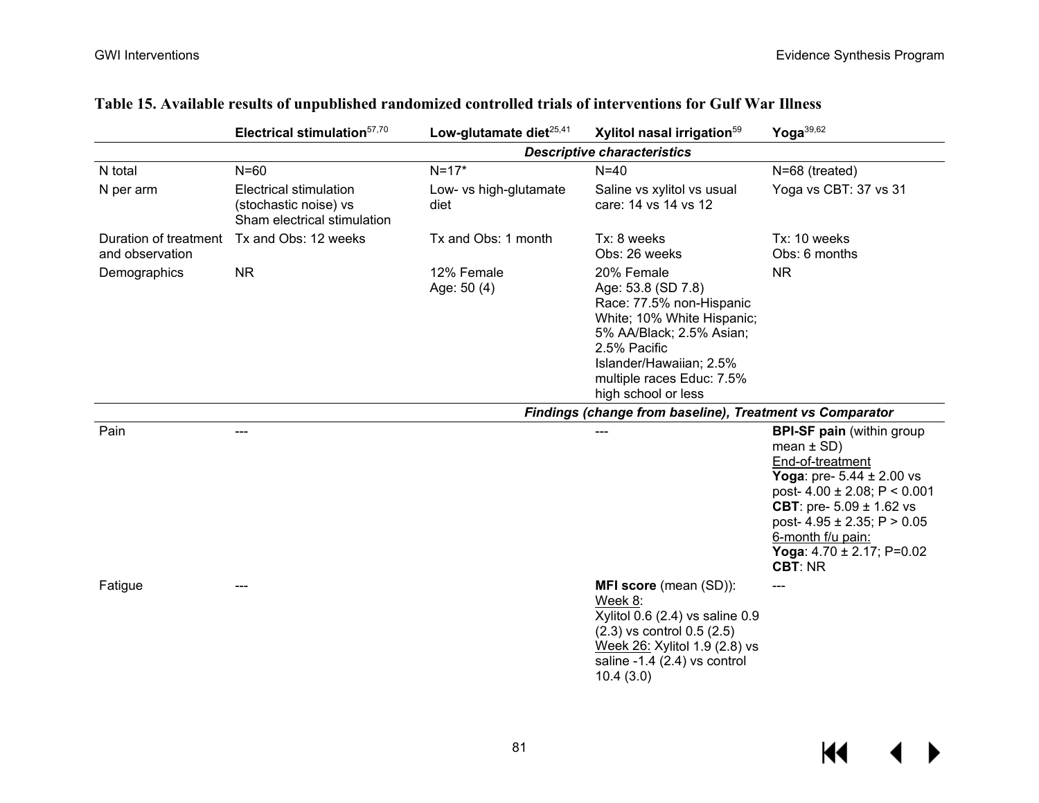|                                          | Electrical stimulation <sup>57,70</sup>                                        | Low-glutamate diet <sup>25,41</sup> | Xylitol nasal irrigation <sup>59</sup>                                                                                                                                                                                | Yoga $39,62$                                                                                                                                                                                                                                                                                             |
|------------------------------------------|--------------------------------------------------------------------------------|-------------------------------------|-----------------------------------------------------------------------------------------------------------------------------------------------------------------------------------------------------------------------|----------------------------------------------------------------------------------------------------------------------------------------------------------------------------------------------------------------------------------------------------------------------------------------------------------|
|                                          |                                                                                |                                     | <b>Descriptive characteristics</b>                                                                                                                                                                                    |                                                                                                                                                                                                                                                                                                          |
| N total                                  | $N=60$                                                                         | $N = 17*$                           | $N=40$                                                                                                                                                                                                                | N=68 (treated)                                                                                                                                                                                                                                                                                           |
| N per arm                                | Electrical stimulation<br>(stochastic noise) vs<br>Sham electrical stimulation | Low- vs high-glutamate<br>diet      | Saline vs xylitol vs usual<br>care: 14 vs 14 vs 12                                                                                                                                                                    | Yoga vs CBT: 37 vs 31                                                                                                                                                                                                                                                                                    |
| Duration of treatment<br>and observation | Tx and Obs: 12 weeks                                                           | Tx and Obs: 1 month                 | Tx: 8 weeks<br>Obs: 26 weeks                                                                                                                                                                                          | Tx: 10 weeks<br>Obs: 6 months                                                                                                                                                                                                                                                                            |
| Demographics                             | <b>NR</b>                                                                      | 12% Female<br>Age: 50 (4)           | 20% Female<br>Age: 53.8 (SD 7.8)<br>Race: 77.5% non-Hispanic<br>White; 10% White Hispanic;<br>5% AA/Black; 2.5% Asian;<br>2.5% Pacific<br>Islander/Hawaiian; 2.5%<br>multiple races Educ: 7.5%<br>high school or less | <b>NR</b>                                                                                                                                                                                                                                                                                                |
|                                          |                                                                                |                                     | Findings (change from baseline), Treatment vs Comparator                                                                                                                                                              |                                                                                                                                                                                                                                                                                                          |
| Pain                                     |                                                                                |                                     | ---                                                                                                                                                                                                                   | <b>BPI-SF pain (within group</b><br>mean $\pm$ SD)<br>End-of-treatment<br><b>Yoga:</b> pre- $5.44 \pm 2.00$ vs<br>post- $4.00 \pm 2.08$ ; P < 0.001<br><b>CBT</b> : pre- $5.09 \pm 1.62$ vs<br>post- $4.95 \pm 2.35$ ; P > 0.05<br>6-month f/u pain:<br>Yoga: $4.70 \pm 2.17$ ; P=0.02<br><b>CBT: NR</b> |
| Fatigue                                  |                                                                                |                                     | MFI score (mean (SD)):<br>Week 8:<br>Xylitol 0.6 (2.4) vs saline 0.9<br>$(2.3)$ vs control $0.5$ $(2.5)$<br>Week 26: Xylitol 1.9 (2.8) vs<br>saline -1.4 $(2.4)$ vs control<br>10.4(3.0)                              | $---$                                                                                                                                                                                                                                                                                                    |

## **Table 15. Available results of unpublished randomized controlled trials of interventions for Gulf War Illness**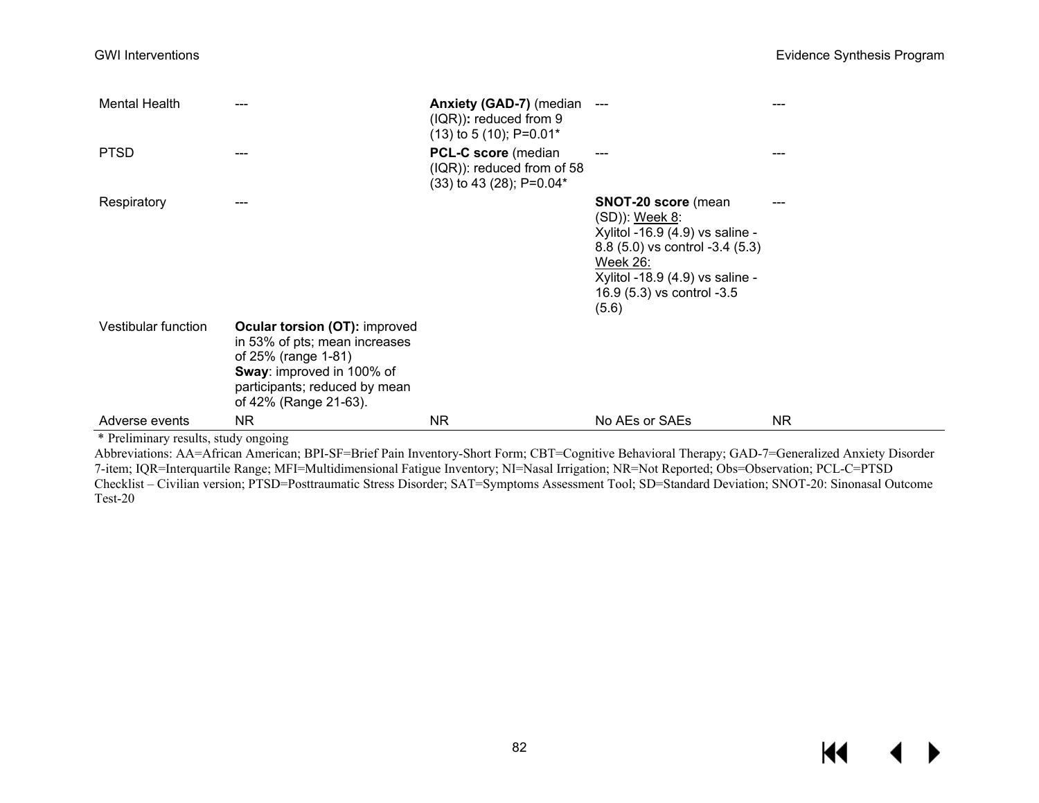| <b>Mental Health</b> | ---                                                                                                                                                                                 | <b>Anxiety (GAD-7)</b> (median<br>$(IQR)$ : reduced from 9<br>$(13)$ to 5 $(10)$ ; P=0.01* | $---$                                                                                                                                                                                                    | --- |
|----------------------|-------------------------------------------------------------------------------------------------------------------------------------------------------------------------------------|--------------------------------------------------------------------------------------------|----------------------------------------------------------------------------------------------------------------------------------------------------------------------------------------------------------|-----|
| <b>PTSD</b>          | ---                                                                                                                                                                                 | <b>PCL-C score</b> (median<br>$(IQR)$ : reduced from of 58<br>(33) to 43 (28); P=0.04*     | ---                                                                                                                                                                                                      | --- |
| Respiratory          | ---                                                                                                                                                                                 |                                                                                            | <b>SNOT-20 score</b> (mean<br>(SD)): Week 8:<br>Xylitol -16.9 (4.9) vs saline -<br>8.8 (5.0) vs control -3.4 (5.3)<br>Week 26:<br>Xylitol -18.9 (4.9) vs saline -<br>16.9 (5.3) vs control -3.5<br>(5.6) |     |
| Vestibular function  | <b>Ocular torsion (OT): improved</b><br>in 53% of pts; mean increases<br>of 25% (range 1-81)<br>Sway: improved in 100% of<br>participants; reduced by mean<br>of 42% (Range 21-63). |                                                                                            |                                                                                                                                                                                                          |     |
| Adverse events       | <b>NR</b>                                                                                                                                                                           | <b>NR</b>                                                                                  | No AEs or SAEs                                                                                                                                                                                           | NR. |

\* Preliminary results, study ongoing

Abbreviations: AA=African American; BPI-SF=Brief Pain Inventory-Short Form; CBT=Cognitive Behavioral Therapy; GAD-7=Generalized Anxiety Disorder 7-item; IQR=Interquartile Range; MFI=Multidimensional Fatigue Inventory; NI=Nasal Irrigation; NR=Not Reported; Obs=Observation; PCL-C=PTSD Checklist – Civilian version; PTSD=Posttraumatic Stress Disorder; SAT=Symptoms Assessment Tool; SD=Standard Deviation; SNOT-20: Sinonasal Outcome Test-20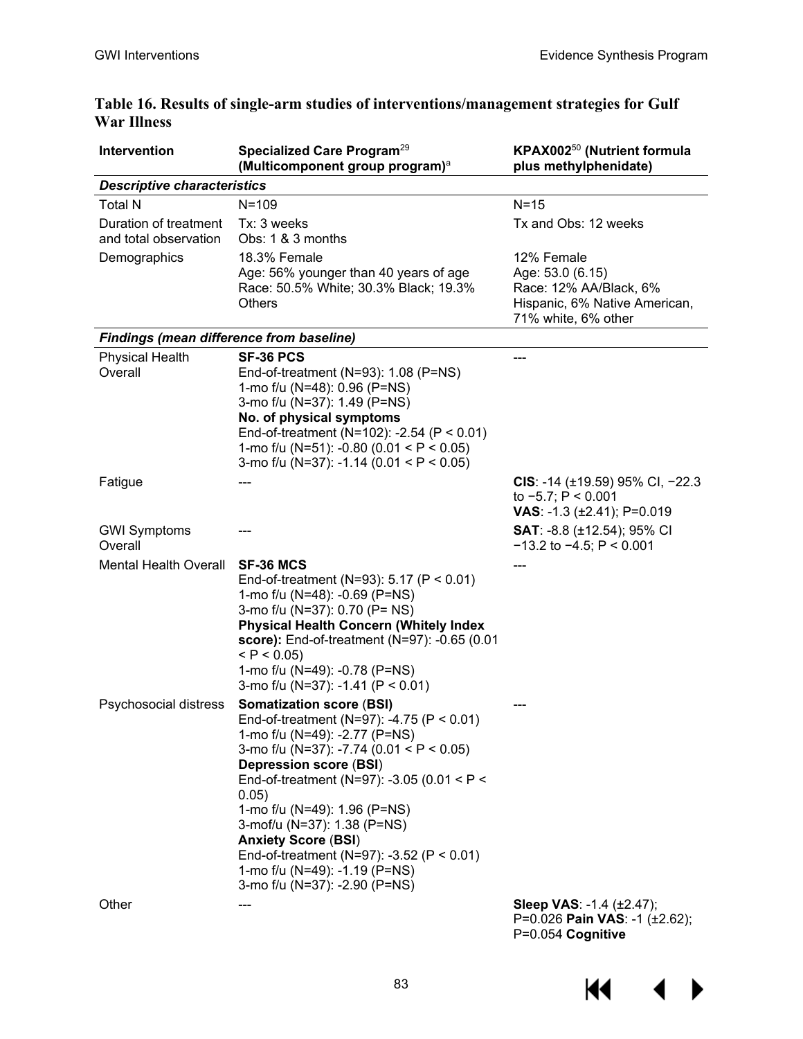| Intervention                                    | Specialized Care Program <sup>29</sup><br>(Multicomponent group program) <sup>a</sup>                                                                                                                                                                                                                                                                                                                                                                                | KPAX002 <sup>50</sup> (Nutrient formula<br>plus methylphenidate)                                                 |
|-------------------------------------------------|----------------------------------------------------------------------------------------------------------------------------------------------------------------------------------------------------------------------------------------------------------------------------------------------------------------------------------------------------------------------------------------------------------------------------------------------------------------------|------------------------------------------------------------------------------------------------------------------|
| <b>Descriptive characteristics</b>              |                                                                                                                                                                                                                                                                                                                                                                                                                                                                      |                                                                                                                  |
| <b>Total N</b>                                  | $N = 109$                                                                                                                                                                                                                                                                                                                                                                                                                                                            | $N = 15$                                                                                                         |
| Duration of treatment<br>and total observation  | Tx: 3 weeks<br>Obs: 1 & 3 months                                                                                                                                                                                                                                                                                                                                                                                                                                     | Tx and Obs: 12 weeks                                                                                             |
| Demographics                                    | 18.3% Female<br>Age: 56% younger than 40 years of age<br>Race: 50.5% White; 30.3% Black; 19.3%<br><b>Others</b>                                                                                                                                                                                                                                                                                                                                                      | 12% Female<br>Age: 53.0 (6.15)<br>Race: 12% AA/Black, 6%<br>Hispanic, 6% Native American,<br>71% white, 6% other |
| <b>Findings (mean difference from baseline)</b> |                                                                                                                                                                                                                                                                                                                                                                                                                                                                      |                                                                                                                  |
| <b>Physical Health</b><br>Overall               | SF-36 PCS<br>End-of-treatment (N=93): 1.08 (P=NS)<br>1-mo f/u (N=48): 0.96 (P=NS)<br>3-mo f/u (N=37): 1.49 (P=NS)<br>No. of physical symptoms<br>End-of-treatment (N=102): -2.54 (P < 0.01)<br>1-mo f/u (N=51): -0.80 (0.01 < $P$ < 0.05)<br>3-mo f/u (N=37): -1.14 (0.01 < $P$ < 0.05)                                                                                                                                                                              |                                                                                                                  |
| Fatigue                                         |                                                                                                                                                                                                                                                                                                                                                                                                                                                                      | CIS: -14 ( $\pm$ 19.59) 95% CI, -22.3<br>to $-5.7$ ; P < 0.001<br>VAS: -1.3 ( $\pm$ 2.41); P=0.019               |
| <b>GWI Symptoms</b><br>Overall                  |                                                                                                                                                                                                                                                                                                                                                                                                                                                                      | SAT: -8.8 (±12.54); 95% CI<br>$-13.2$ to $-4.5$ ; P < 0.001                                                      |
| <b>Mental Health Overall</b>                    | SF-36 MCS<br>End-of-treatment (N=93): $5.17$ (P < 0.01)<br>1-mo f/u (N=48): -0.69 (P=NS)<br>3-mo f/u (N=37): 0.70 (P= NS)<br><b>Physical Health Concern (Whitely Index</b><br>score): End-of-treatment (N=97): -0.65 (0.01<br>< P < 0.05<br>1-mo f/u (N=49): -0.78 (P=NS)<br>3-mo f/u (N=37): -1.41 (P < 0.01)                                                                                                                                                       |                                                                                                                  |
| Psychosocial distress                           | <b>Somatization score (BSI)</b><br>End-of-treatment (N=97): -4.75 (P < $0.01$ )<br>1-mo f/u (N=49): -2.77 (P=NS)<br>3-mo f/u (N=37): -7.74 (0.01 < $P$ < 0.05)<br><b>Depression score (BSI)</b><br>End-of-treatment (N=97): -3.05 (0.01 < $P$ <<br>0.05)<br>1-mo f/u (N=49): 1.96 (P=NS)<br>3-mof/u (N=37): 1.38 (P=NS)<br><b>Anxiety Score (BSI)</b><br>End-of-treatment (N=97): -3.52 (P < 0.01)<br>1-mo f/u (N=49): -1.19 (P=NS)<br>3-mo f/u (N=37): -2.90 (P=NS) |                                                                                                                  |
| Other                                           |                                                                                                                                                                                                                                                                                                                                                                                                                                                                      | <b>Sleep VAS: -1.4 (±2.47);</b><br>P=0.026 Pain VAS: -1 (±2.62);<br>P=0.054 Cognitive                            |

## **Table 16. Results of single-arm studies of interventions/management strategies for Gulf War Illness**

 $M \cdot 1$  $\blacktriangleright$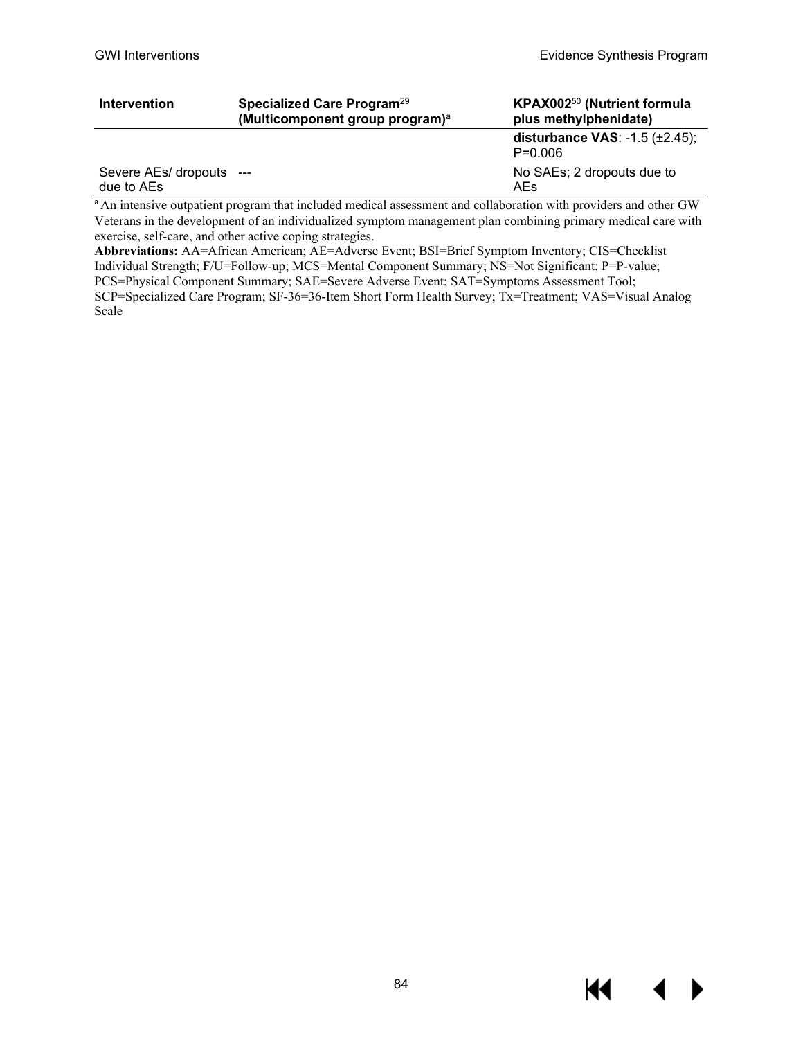| <b>Intervention</b>                    | Specialized Care Program <sup>29</sup><br>(Multicomponent group program) <sup>a</sup> | KPAX002 <sup>50</sup> (Nutrient formula<br>plus methylphenidate) |
|----------------------------------------|---------------------------------------------------------------------------------------|------------------------------------------------------------------|
|                                        |                                                                                       | disturbance VAS: $-1.5$ ( $\pm 2.45$ );<br>$P = 0.006$           |
| Severe AEs/ dropouts ---<br>due to AEs |                                                                                       | No SAEs; 2 dropouts due to<br>AEs                                |

<sup>a</sup>An intensive outpatient program that included medical assessment and collaboration with providers and other GW Veterans in the development of an individualized symptom management plan combining primary medical care with exercise, self-care, and other active coping strategies.

**Abbreviations:** AA=African American; AE=Adverse Event; BSI=Brief Symptom Inventory; CIS=Checklist Individual Strength; F/U=Follow-up; MCS=Mental Component Summary; NS=Not Significant; P=P-value; PCS=Physical Component Summary; SAE=Severe Adverse Event; SAT=Symptoms Assessment Tool; SCP=Specialized Care Program; SF-36=36-Item Short Form Health Survey; Tx=Treatment; VAS=Visual Analog Scale

KI

▶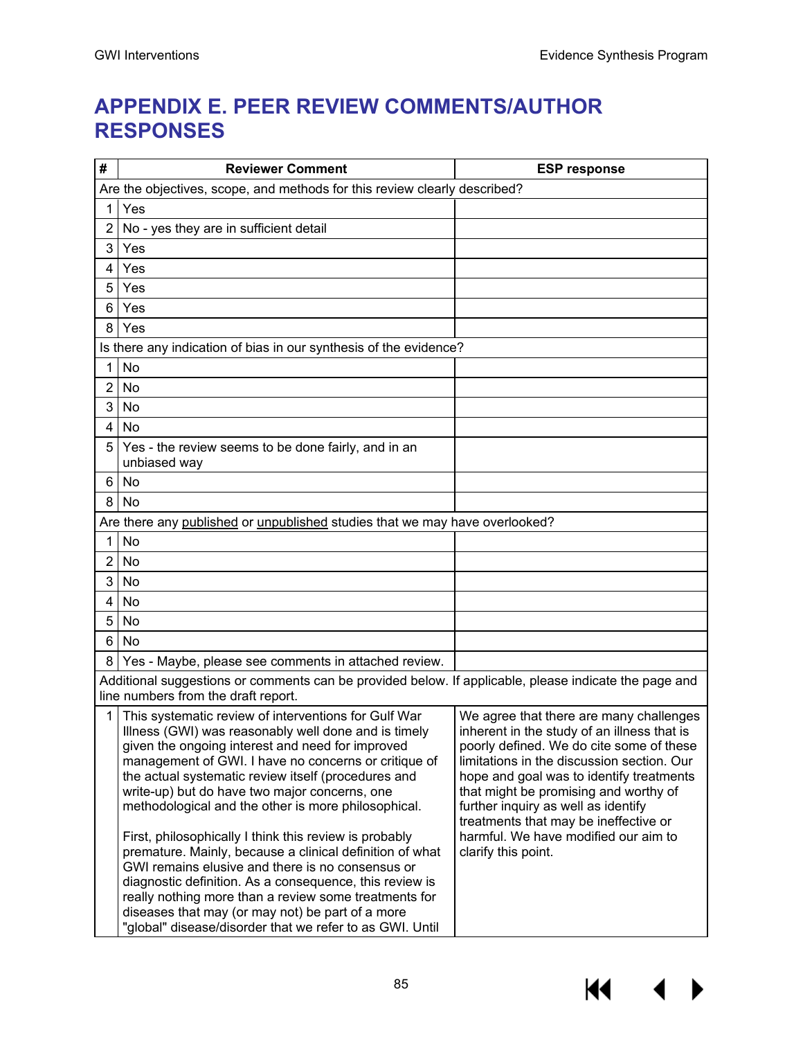**KK** 

▶

# **APPENDIX E. PEER REVIEW COMMENTS/AUTHOR RESPONSES**

| #                                                                                                                                            | <b>Reviewer Comment</b>                                                                                                                                                                                                                                                                                                                                                                                                                                                                                                                                                                                                                                                                                                                   | <b>ESP response</b>                                                                                                                                                                                                                                                                                                                                                                                                  |  |  |
|----------------------------------------------------------------------------------------------------------------------------------------------|-------------------------------------------------------------------------------------------------------------------------------------------------------------------------------------------------------------------------------------------------------------------------------------------------------------------------------------------------------------------------------------------------------------------------------------------------------------------------------------------------------------------------------------------------------------------------------------------------------------------------------------------------------------------------------------------------------------------------------------------|----------------------------------------------------------------------------------------------------------------------------------------------------------------------------------------------------------------------------------------------------------------------------------------------------------------------------------------------------------------------------------------------------------------------|--|--|
|                                                                                                                                              | Are the objectives, scope, and methods for this review clearly described?                                                                                                                                                                                                                                                                                                                                                                                                                                                                                                                                                                                                                                                                 |                                                                                                                                                                                                                                                                                                                                                                                                                      |  |  |
| 1                                                                                                                                            | Yes                                                                                                                                                                                                                                                                                                                                                                                                                                                                                                                                                                                                                                                                                                                                       |                                                                                                                                                                                                                                                                                                                                                                                                                      |  |  |
| 2                                                                                                                                            | No - yes they are in sufficient detail                                                                                                                                                                                                                                                                                                                                                                                                                                                                                                                                                                                                                                                                                                    |                                                                                                                                                                                                                                                                                                                                                                                                                      |  |  |
| 3                                                                                                                                            | Yes                                                                                                                                                                                                                                                                                                                                                                                                                                                                                                                                                                                                                                                                                                                                       |                                                                                                                                                                                                                                                                                                                                                                                                                      |  |  |
| 4                                                                                                                                            | Yes                                                                                                                                                                                                                                                                                                                                                                                                                                                                                                                                                                                                                                                                                                                                       |                                                                                                                                                                                                                                                                                                                                                                                                                      |  |  |
| 5                                                                                                                                            | Yes                                                                                                                                                                                                                                                                                                                                                                                                                                                                                                                                                                                                                                                                                                                                       |                                                                                                                                                                                                                                                                                                                                                                                                                      |  |  |
| 6                                                                                                                                            | Yes                                                                                                                                                                                                                                                                                                                                                                                                                                                                                                                                                                                                                                                                                                                                       |                                                                                                                                                                                                                                                                                                                                                                                                                      |  |  |
| 8                                                                                                                                            | Yes                                                                                                                                                                                                                                                                                                                                                                                                                                                                                                                                                                                                                                                                                                                                       |                                                                                                                                                                                                                                                                                                                                                                                                                      |  |  |
|                                                                                                                                              | Is there any indication of bias in our synthesis of the evidence?                                                                                                                                                                                                                                                                                                                                                                                                                                                                                                                                                                                                                                                                         |                                                                                                                                                                                                                                                                                                                                                                                                                      |  |  |
| 1                                                                                                                                            | No                                                                                                                                                                                                                                                                                                                                                                                                                                                                                                                                                                                                                                                                                                                                        |                                                                                                                                                                                                                                                                                                                                                                                                                      |  |  |
| $\overline{2}$                                                                                                                               | No                                                                                                                                                                                                                                                                                                                                                                                                                                                                                                                                                                                                                                                                                                                                        |                                                                                                                                                                                                                                                                                                                                                                                                                      |  |  |
| 3                                                                                                                                            | No                                                                                                                                                                                                                                                                                                                                                                                                                                                                                                                                                                                                                                                                                                                                        |                                                                                                                                                                                                                                                                                                                                                                                                                      |  |  |
| 4                                                                                                                                            | No                                                                                                                                                                                                                                                                                                                                                                                                                                                                                                                                                                                                                                                                                                                                        |                                                                                                                                                                                                                                                                                                                                                                                                                      |  |  |
| 5                                                                                                                                            | Yes - the review seems to be done fairly, and in an<br>unbiased way                                                                                                                                                                                                                                                                                                                                                                                                                                                                                                                                                                                                                                                                       |                                                                                                                                                                                                                                                                                                                                                                                                                      |  |  |
| 6                                                                                                                                            | No                                                                                                                                                                                                                                                                                                                                                                                                                                                                                                                                                                                                                                                                                                                                        |                                                                                                                                                                                                                                                                                                                                                                                                                      |  |  |
| 8                                                                                                                                            | No                                                                                                                                                                                                                                                                                                                                                                                                                                                                                                                                                                                                                                                                                                                                        |                                                                                                                                                                                                                                                                                                                                                                                                                      |  |  |
|                                                                                                                                              | Are there any published or unpublished studies that we may have overlooked?                                                                                                                                                                                                                                                                                                                                                                                                                                                                                                                                                                                                                                                               |                                                                                                                                                                                                                                                                                                                                                                                                                      |  |  |
| $\mathbf 1$                                                                                                                                  | No                                                                                                                                                                                                                                                                                                                                                                                                                                                                                                                                                                                                                                                                                                                                        |                                                                                                                                                                                                                                                                                                                                                                                                                      |  |  |
| 2                                                                                                                                            | No                                                                                                                                                                                                                                                                                                                                                                                                                                                                                                                                                                                                                                                                                                                                        |                                                                                                                                                                                                                                                                                                                                                                                                                      |  |  |
| 3                                                                                                                                            | No                                                                                                                                                                                                                                                                                                                                                                                                                                                                                                                                                                                                                                                                                                                                        |                                                                                                                                                                                                                                                                                                                                                                                                                      |  |  |
| 4                                                                                                                                            | No                                                                                                                                                                                                                                                                                                                                                                                                                                                                                                                                                                                                                                                                                                                                        |                                                                                                                                                                                                                                                                                                                                                                                                                      |  |  |
| 5                                                                                                                                            | No                                                                                                                                                                                                                                                                                                                                                                                                                                                                                                                                                                                                                                                                                                                                        |                                                                                                                                                                                                                                                                                                                                                                                                                      |  |  |
| 6                                                                                                                                            | No                                                                                                                                                                                                                                                                                                                                                                                                                                                                                                                                                                                                                                                                                                                                        |                                                                                                                                                                                                                                                                                                                                                                                                                      |  |  |
| 8                                                                                                                                            | Yes - Maybe, please see comments in attached review.                                                                                                                                                                                                                                                                                                                                                                                                                                                                                                                                                                                                                                                                                      |                                                                                                                                                                                                                                                                                                                                                                                                                      |  |  |
| Additional suggestions or comments can be provided below. If applicable, please indicate the page and<br>line numbers from the draft report. |                                                                                                                                                                                                                                                                                                                                                                                                                                                                                                                                                                                                                                                                                                                                           |                                                                                                                                                                                                                                                                                                                                                                                                                      |  |  |
| $\mathbf 1$                                                                                                                                  | This systematic review of interventions for Gulf War<br>Illness (GWI) was reasonably well done and is timely<br>given the ongoing interest and need for improved<br>management of GWI. I have no concerns or critique of<br>the actual systematic review itself (procedures and<br>write-up) but do have two major concerns, one<br>methodological and the other is more philosophical.<br>First, philosophically I think this review is probably<br>premature. Mainly, because a clinical definition of what<br>GWI remains elusive and there is no consensus or<br>diagnostic definition. As a consequence, this review is<br>really nothing more than a review some treatments for<br>diseases that may (or may not) be part of a more | We agree that there are many challenges<br>inherent in the study of an illness that is<br>poorly defined. We do cite some of these<br>limitations in the discussion section. Our<br>hope and goal was to identify treatments<br>that might be promising and worthy of<br>further inquiry as well as identify<br>treatments that may be ineffective or<br>harmful. We have modified our aim to<br>clarify this point. |  |  |
|                                                                                                                                              | "global" disease/disorder that we refer to as GWI. Until                                                                                                                                                                                                                                                                                                                                                                                                                                                                                                                                                                                                                                                                                  |                                                                                                                                                                                                                                                                                                                                                                                                                      |  |  |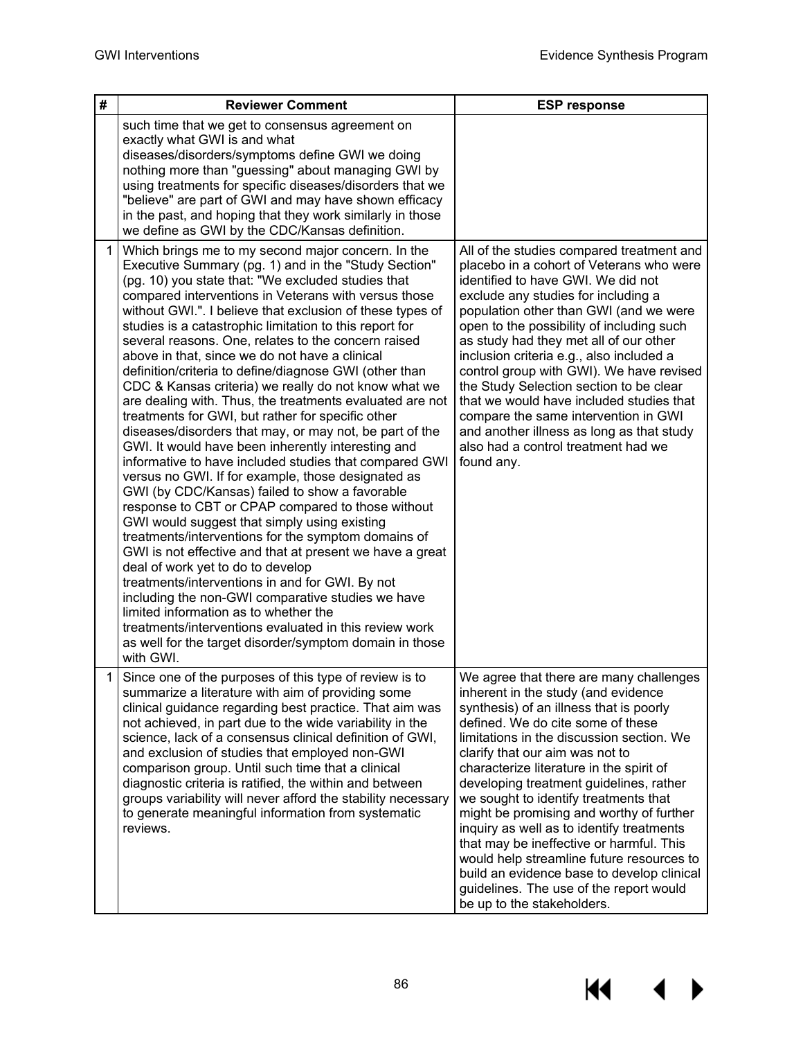$M \rightarrow$ 

| #              | <b>Reviewer Comment</b>                                                                                                                                                                                                                                                                                                                                                                                                                                                                                                                                                                                                                                                                                                                                                                                                                                                                                                                                                                                                                                                                                                                                                                                                                                                                                                                                                                                                                                                                                                         | <b>ESP response</b>                                                                                                                                                                                                                                                                                                                                                                                                                                                                                                                                                                                                                                                                     |
|----------------|---------------------------------------------------------------------------------------------------------------------------------------------------------------------------------------------------------------------------------------------------------------------------------------------------------------------------------------------------------------------------------------------------------------------------------------------------------------------------------------------------------------------------------------------------------------------------------------------------------------------------------------------------------------------------------------------------------------------------------------------------------------------------------------------------------------------------------------------------------------------------------------------------------------------------------------------------------------------------------------------------------------------------------------------------------------------------------------------------------------------------------------------------------------------------------------------------------------------------------------------------------------------------------------------------------------------------------------------------------------------------------------------------------------------------------------------------------------------------------------------------------------------------------|-----------------------------------------------------------------------------------------------------------------------------------------------------------------------------------------------------------------------------------------------------------------------------------------------------------------------------------------------------------------------------------------------------------------------------------------------------------------------------------------------------------------------------------------------------------------------------------------------------------------------------------------------------------------------------------------|
|                | such time that we get to consensus agreement on<br>exactly what GWI is and what<br>diseases/disorders/symptoms define GWI we doing<br>nothing more than "guessing" about managing GWI by<br>using treatments for specific diseases/disorders that we<br>"believe" are part of GWI and may have shown efficacy<br>in the past, and hoping that they work similarly in those<br>we define as GWI by the CDC/Kansas definition.                                                                                                                                                                                                                                                                                                                                                                                                                                                                                                                                                                                                                                                                                                                                                                                                                                                                                                                                                                                                                                                                                                    |                                                                                                                                                                                                                                                                                                                                                                                                                                                                                                                                                                                                                                                                                         |
| 1 <sup>1</sup> | Which brings me to my second major concern. In the<br>Executive Summary (pg. 1) and in the "Study Section"<br>(pg. 10) you state that: "We excluded studies that<br>compared interventions in Veterans with versus those<br>without GWI.". I believe that exclusion of these types of<br>studies is a catastrophic limitation to this report for<br>several reasons. One, relates to the concern raised<br>above in that, since we do not have a clinical<br>definition/criteria to define/diagnose GWI (other than<br>CDC & Kansas criteria) we really do not know what we<br>are dealing with. Thus, the treatments evaluated are not<br>treatments for GWI, but rather for specific other<br>diseases/disorders that may, or may not, be part of the<br>GWI. It would have been inherently interesting and<br>informative to have included studies that compared GWI<br>versus no GWI. If for example, those designated as<br>GWI (by CDC/Kansas) failed to show a favorable<br>response to CBT or CPAP compared to those without<br>GWI would suggest that simply using existing<br>treatments/interventions for the symptom domains of<br>GWI is not effective and that at present we have a great<br>deal of work yet to do to develop<br>treatments/interventions in and for GWI. By not<br>including the non-GWI comparative studies we have<br>limited information as to whether the<br>treatments/interventions evaluated in this review work<br>as well for the target disorder/symptom domain in those<br>with GWI. | All of the studies compared treatment and<br>placebo in a cohort of Veterans who were<br>identified to have GWI. We did not<br>exclude any studies for including a<br>population other than GWI (and we were<br>open to the possibility of including such<br>as study had they met all of our other<br>inclusion criteria e.g., also included a<br>control group with GWI). We have revised<br>the Study Selection section to be clear<br>that we would have included studies that<br>compare the same intervention in GWI<br>and another illness as long as that study<br>also had a control treatment had we<br>found any.                                                            |
| 1              | Since one of the purposes of this type of review is to<br>summarize a literature with aim of providing some<br>clinical guidance regarding best practice. That aim was<br>not achieved, in part due to the wide variability in the<br>science, lack of a consensus clinical definition of GWI,<br>and exclusion of studies that employed non-GWI<br>comparison group. Until such time that a clinical<br>diagnostic criteria is ratified, the within and between<br>groups variability will never afford the stability necessary<br>to generate meaningful information from systematic<br>reviews.                                                                                                                                                                                                                                                                                                                                                                                                                                                                                                                                                                                                                                                                                                                                                                                                                                                                                                                              | We agree that there are many challenges<br>inherent in the study (and evidence<br>synthesis) of an illness that is poorly<br>defined. We do cite some of these<br>limitations in the discussion section. We<br>clarify that our aim was not to<br>characterize literature in the spirit of<br>developing treatment guidelines, rather<br>we sought to identify treatments that<br>might be promising and worthy of further<br>inquiry as well as to identify treatments<br>that may be ineffective or harmful. This<br>would help streamline future resources to<br>build an evidence base to develop clinical<br>guidelines. The use of the report would<br>be up to the stakeholders. |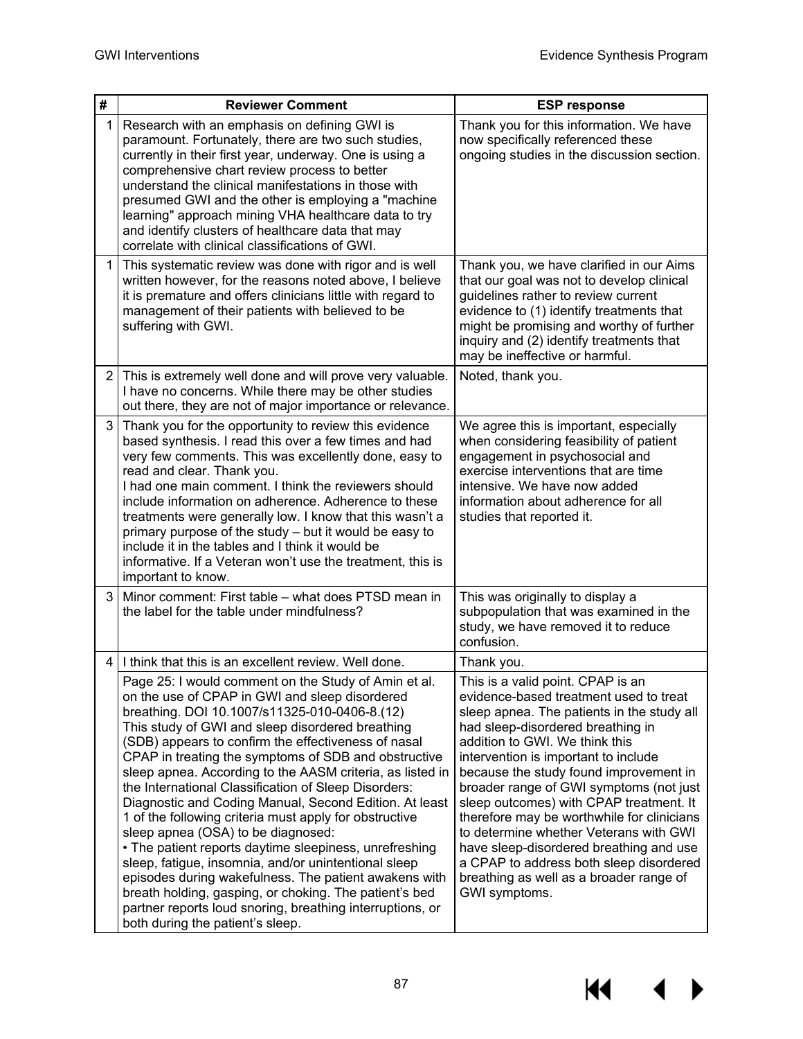$M \rightarrow$ 

| #              | <b>Reviewer Comment</b>                                                                                                                                                                                                                                                                                                                                                                                                                                                                                                                                                                                                                                                                                                                                                                                                                                                                                                                         | <b>ESP response</b>                                                                                                                                                                                                                                                                                                                                                                                                                                                                                                                                                                                                |
|----------------|-------------------------------------------------------------------------------------------------------------------------------------------------------------------------------------------------------------------------------------------------------------------------------------------------------------------------------------------------------------------------------------------------------------------------------------------------------------------------------------------------------------------------------------------------------------------------------------------------------------------------------------------------------------------------------------------------------------------------------------------------------------------------------------------------------------------------------------------------------------------------------------------------------------------------------------------------|--------------------------------------------------------------------------------------------------------------------------------------------------------------------------------------------------------------------------------------------------------------------------------------------------------------------------------------------------------------------------------------------------------------------------------------------------------------------------------------------------------------------------------------------------------------------------------------------------------------------|
| 1              | Research with an emphasis on defining GWI is<br>paramount. Fortunately, there are two such studies,<br>currently in their first year, underway. One is using a<br>comprehensive chart review process to better<br>understand the clinical manifestations in those with<br>presumed GWI and the other is employing a "machine<br>learning" approach mining VHA healthcare data to try<br>and identify clusters of healthcare data that may<br>correlate with clinical classifications of GWI.                                                                                                                                                                                                                                                                                                                                                                                                                                                    | Thank you for this information. We have<br>now specifically referenced these<br>ongoing studies in the discussion section.                                                                                                                                                                                                                                                                                                                                                                                                                                                                                         |
| $\mathbf 1$    | This systematic review was done with rigor and is well<br>written however, for the reasons noted above, I believe<br>it is premature and offers clinicians little with regard to<br>management of their patients with believed to be<br>suffering with GWI.                                                                                                                                                                                                                                                                                                                                                                                                                                                                                                                                                                                                                                                                                     | Thank you, we have clarified in our Aims<br>that our goal was not to develop clinical<br>guidelines rather to review current<br>evidence to (1) identify treatments that<br>might be promising and worthy of further<br>inquiry and (2) identify treatments that<br>may be ineffective or harmful.                                                                                                                                                                                                                                                                                                                 |
| 2 <sub>1</sub> | This is extremely well done and will prove very valuable.<br>I have no concerns. While there may be other studies<br>out there, they are not of major importance or relevance.                                                                                                                                                                                                                                                                                                                                                                                                                                                                                                                                                                                                                                                                                                                                                                  | Noted, thank you.                                                                                                                                                                                                                                                                                                                                                                                                                                                                                                                                                                                                  |
| 3 <sup>1</sup> | Thank you for the opportunity to review this evidence<br>based synthesis. I read this over a few times and had<br>very few comments. This was excellently done, easy to<br>read and clear. Thank you.<br>I had one main comment. I think the reviewers should<br>include information on adherence. Adherence to these<br>treatments were generally low. I know that this wasn't a<br>primary purpose of the study - but it would be easy to<br>include it in the tables and I think it would be<br>informative. If a Veteran won't use the treatment, this is<br>important to know.                                                                                                                                                                                                                                                                                                                                                             | We agree this is important, especially<br>when considering feasibility of patient<br>engagement in psychosocial and<br>exercise interventions that are time<br>intensive. We have now added<br>information about adherence for all<br>studies that reported it.                                                                                                                                                                                                                                                                                                                                                    |
| 3              | Minor comment: First table – what does PTSD mean in<br>the label for the table under mindfulness?                                                                                                                                                                                                                                                                                                                                                                                                                                                                                                                                                                                                                                                                                                                                                                                                                                               | This was originally to display a<br>subpopulation that was examined in the<br>study, we have removed it to reduce<br>confusion.                                                                                                                                                                                                                                                                                                                                                                                                                                                                                    |
| 4              | I think that this is an excellent review. Well done.                                                                                                                                                                                                                                                                                                                                                                                                                                                                                                                                                                                                                                                                                                                                                                                                                                                                                            | Thank you.                                                                                                                                                                                                                                                                                                                                                                                                                                                                                                                                                                                                         |
|                | Page 25: I would comment on the Study of Amin et al.<br>on the use of CPAP in GWI and sleep disordered<br>breathing. DOI 10.1007/s11325-010-0406-8.(12)<br>This study of GWI and sleep disordered breathing<br>(SDB) appears to confirm the effectiveness of nasal<br>CPAP in treating the symptoms of SDB and obstructive<br>sleep apnea. According to the AASM criteria, as listed in<br>the International Classification of Sleep Disorders:<br>Diagnostic and Coding Manual, Second Edition. At least<br>1 of the following criteria must apply for obstructive<br>sleep apnea (OSA) to be diagnosed:<br>• The patient reports daytime sleepiness, unrefreshing<br>sleep, fatigue, insomnia, and/or unintentional sleep<br>episodes during wakefulness. The patient awakens with<br>breath holding, gasping, or choking. The patient's bed<br>partner reports loud snoring, breathing interruptions, or<br>both during the patient's sleep. | This is a valid point. CPAP is an<br>evidence-based treatment used to treat<br>sleep apnea. The patients in the study all<br>had sleep-disordered breathing in<br>addition to GWI. We think this<br>intervention is important to include<br>because the study found improvement in<br>broader range of GWI symptoms (not just<br>sleep outcomes) with CPAP treatment. It<br>therefore may be worthwhile for clinicians<br>to determine whether Veterans with GWI<br>have sleep-disordered breathing and use<br>a CPAP to address both sleep disordered<br>breathing as well as a broader range of<br>GWI symptoms. |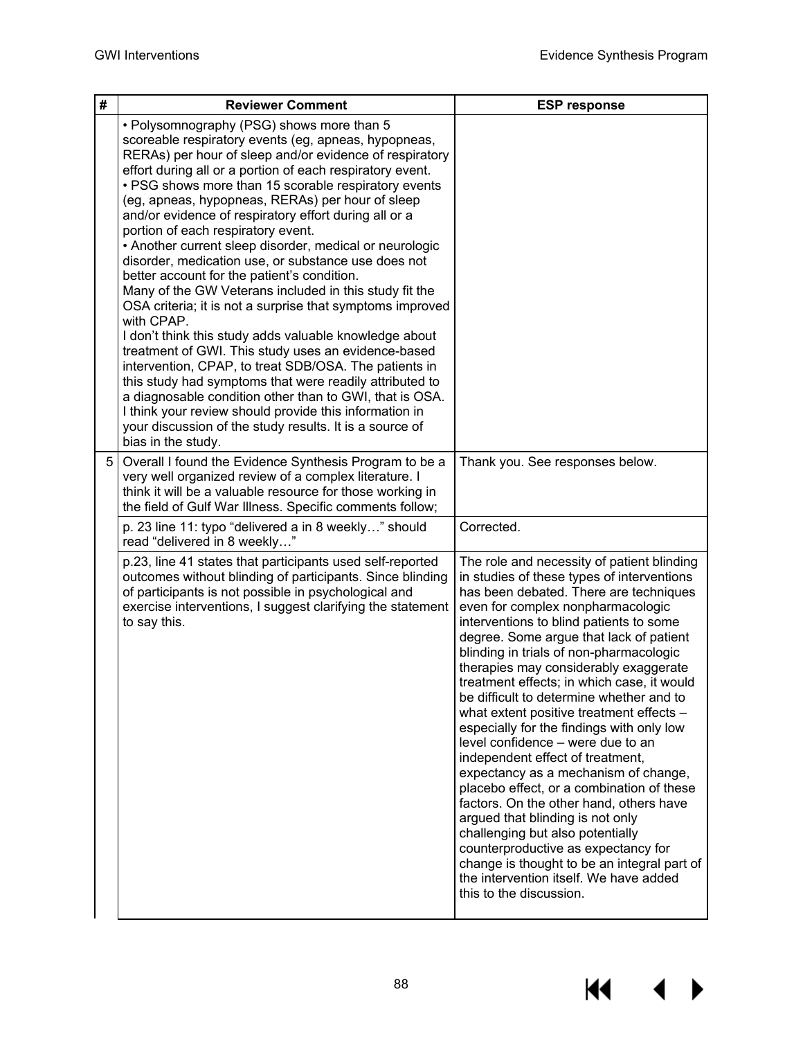$\blacktriangleleft$ 

 $\blacktriangleright$ 

**KK** 

| # | <b>Reviewer Comment</b>                                                                                                                                                                                                                                                                                                                                                                                                                                                                                                                                                                                                                                                                                                                                                                                                                                                                                                                                                                                                                                                                                                                                                               | <b>ESP response</b>                                                                                                                                                                                                                                                                                                                                                                                                                                                                                                                                                                                                                                                                                                                                                                                                                                                                                                                                                              |
|---|---------------------------------------------------------------------------------------------------------------------------------------------------------------------------------------------------------------------------------------------------------------------------------------------------------------------------------------------------------------------------------------------------------------------------------------------------------------------------------------------------------------------------------------------------------------------------------------------------------------------------------------------------------------------------------------------------------------------------------------------------------------------------------------------------------------------------------------------------------------------------------------------------------------------------------------------------------------------------------------------------------------------------------------------------------------------------------------------------------------------------------------------------------------------------------------|----------------------------------------------------------------------------------------------------------------------------------------------------------------------------------------------------------------------------------------------------------------------------------------------------------------------------------------------------------------------------------------------------------------------------------------------------------------------------------------------------------------------------------------------------------------------------------------------------------------------------------------------------------------------------------------------------------------------------------------------------------------------------------------------------------------------------------------------------------------------------------------------------------------------------------------------------------------------------------|
|   | • Polysomnography (PSG) shows more than 5<br>scoreable respiratory events (eg, apneas, hypopneas,<br>RERAs) per hour of sleep and/or evidence of respiratory<br>effort during all or a portion of each respiratory event.<br>• PSG shows more than 15 scorable respiratory events<br>(eg, apneas, hypopneas, RERAs) per hour of sleep<br>and/or evidence of respiratory effort during all or a<br>portion of each respiratory event.<br>• Another current sleep disorder, medical or neurologic<br>disorder, medication use, or substance use does not<br>better account for the patient's condition.<br>Many of the GW Veterans included in this study fit the<br>OSA criteria; it is not a surprise that symptoms improved<br>with CPAP.<br>I don't think this study adds valuable knowledge about<br>treatment of GWI. This study uses an evidence-based<br>intervention, CPAP, to treat SDB/OSA. The patients in<br>this study had symptoms that were readily attributed to<br>a diagnosable condition other than to GWI, that is OSA.<br>I think your review should provide this information in<br>your discussion of the study results. It is a source of<br>bias in the study. |                                                                                                                                                                                                                                                                                                                                                                                                                                                                                                                                                                                                                                                                                                                                                                                                                                                                                                                                                                                  |
| 5 | Overall I found the Evidence Synthesis Program to be a<br>very well organized review of a complex literature. I<br>think it will be a valuable resource for those working in<br>the field of Gulf War Illness. Specific comments follow;                                                                                                                                                                                                                                                                                                                                                                                                                                                                                                                                                                                                                                                                                                                                                                                                                                                                                                                                              | Thank you. See responses below.                                                                                                                                                                                                                                                                                                                                                                                                                                                                                                                                                                                                                                                                                                                                                                                                                                                                                                                                                  |
|   | p. 23 line 11: typo "delivered a in 8 weekly" should<br>read "delivered in 8 weekly"                                                                                                                                                                                                                                                                                                                                                                                                                                                                                                                                                                                                                                                                                                                                                                                                                                                                                                                                                                                                                                                                                                  | Corrected.                                                                                                                                                                                                                                                                                                                                                                                                                                                                                                                                                                                                                                                                                                                                                                                                                                                                                                                                                                       |
|   | p.23, line 41 states that participants used self-reported<br>outcomes without blinding of participants. Since blinding<br>of participants is not possible in psychological and<br>exercise interventions, I suggest clarifying the statement<br>to say this.                                                                                                                                                                                                                                                                                                                                                                                                                                                                                                                                                                                                                                                                                                                                                                                                                                                                                                                          | The role and necessity of patient blinding<br>in studies of these types of interventions<br>has been debated. There are techniques<br>even for complex nonpharmacologic<br>interventions to blind patients to some<br>degree. Some argue that lack of patient<br>blinding in trials of non-pharmacologic<br>therapies may considerably exaggerate<br>treatment effects; in which case, it would<br>be difficult to determine whether and to<br>what extent positive treatment effects -<br>especially for the findings with only low<br>level confidence - were due to an<br>independent effect of treatment,<br>expectancy as a mechanism of change,<br>placebo effect, or a combination of these<br>factors. On the other hand, others have<br>argued that blinding is not only<br>challenging but also potentially<br>counterproductive as expectancy for<br>change is thought to be an integral part of<br>the intervention itself. We have added<br>this to the discussion. |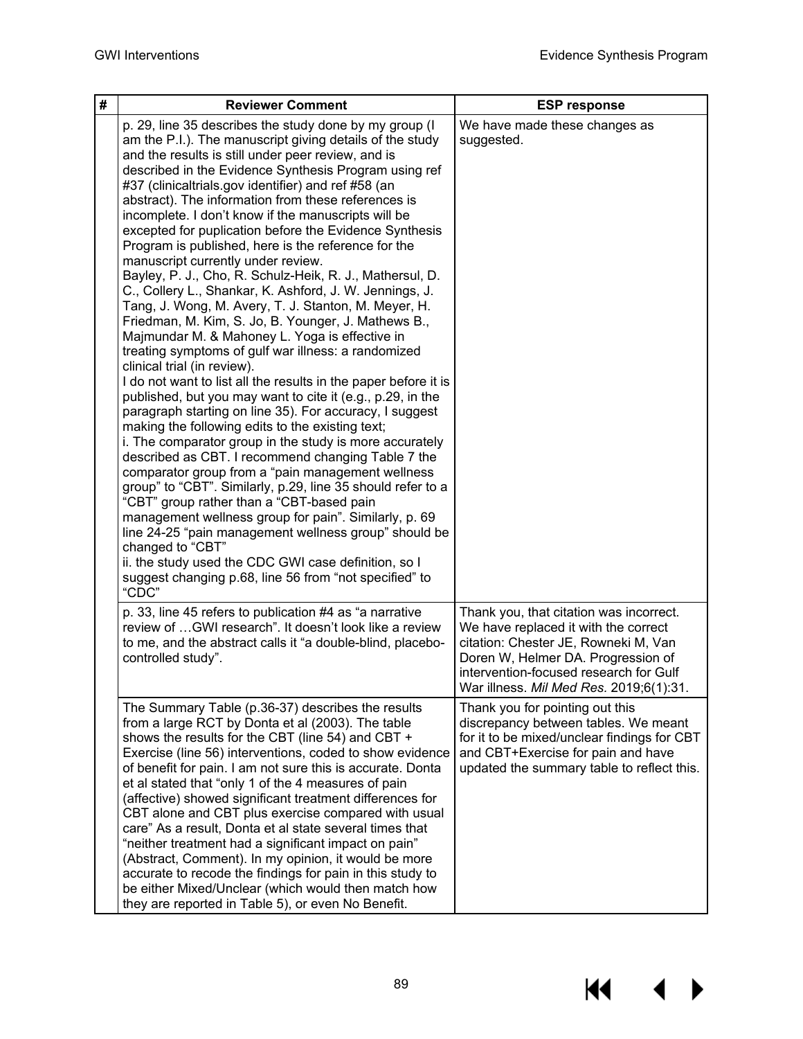$\blacklozenge$ 

▶

**K4** 

| # | <b>Reviewer Comment</b>                                                                                                                                                                                                                                                                                                                                                                                                                                                                                                                                                                                                                                                                                                                                                                                                                                                                                                                                                                                                                                                                                                                                                                                                                                                                                                                                                                                                                                                                                                                                                                                                                                                                                                                        | <b>ESP response</b>                                                                                                                                                                                                                                |
|---|------------------------------------------------------------------------------------------------------------------------------------------------------------------------------------------------------------------------------------------------------------------------------------------------------------------------------------------------------------------------------------------------------------------------------------------------------------------------------------------------------------------------------------------------------------------------------------------------------------------------------------------------------------------------------------------------------------------------------------------------------------------------------------------------------------------------------------------------------------------------------------------------------------------------------------------------------------------------------------------------------------------------------------------------------------------------------------------------------------------------------------------------------------------------------------------------------------------------------------------------------------------------------------------------------------------------------------------------------------------------------------------------------------------------------------------------------------------------------------------------------------------------------------------------------------------------------------------------------------------------------------------------------------------------------------------------------------------------------------------------|----------------------------------------------------------------------------------------------------------------------------------------------------------------------------------------------------------------------------------------------------|
|   | p. 29, line 35 describes the study done by my group (I<br>am the P.I.). The manuscript giving details of the study<br>and the results is still under peer review, and is<br>described in the Evidence Synthesis Program using ref<br>#37 (clinicaltrials.gov identifier) and ref #58 (an<br>abstract). The information from these references is<br>incomplete. I don't know if the manuscripts will be<br>excepted for puplication before the Evidence Synthesis<br>Program is published, here is the reference for the<br>manuscript currently under review.<br>Bayley, P. J., Cho, R. Schulz-Heik, R. J., Mathersul, D.<br>C., Collery L., Shankar, K. Ashford, J. W. Jennings, J.<br>Tang, J. Wong, M. Avery, T. J. Stanton, M. Meyer, H.<br>Friedman, M. Kim, S. Jo, B. Younger, J. Mathews B.,<br>Majmundar M. & Mahoney L. Yoga is effective in<br>treating symptoms of gulf war illness: a randomized<br>clinical trial (in review).<br>I do not want to list all the results in the paper before it is<br>published, but you may want to cite it (e.g., p.29, in the<br>paragraph starting on line 35). For accuracy, I suggest<br>making the following edits to the existing text;<br>i. The comparator group in the study is more accurately<br>described as CBT. I recommend changing Table 7 the<br>comparator group from a "pain management wellness<br>group" to "CBT". Similarly, p.29, line 35 should refer to a<br>"CBT" group rather than a "CBT-based pain<br>management wellness group for pain". Similarly, p. 69<br>line 24-25 "pain management wellness group" should be<br>changed to "CBT"<br>ii. the study used the CDC GWI case definition, so I<br>suggest changing p.68, line 56 from "not specified" to<br>"CDC" | We have made these changes as<br>suggested.                                                                                                                                                                                                        |
|   | p. 33, line 45 refers to publication #4 as "a narrative<br>review of GWI research". It doesn't look like a review<br>to me, and the abstract calls it "a double-blind, placebo-<br>controlled study".                                                                                                                                                                                                                                                                                                                                                                                                                                                                                                                                                                                                                                                                                                                                                                                                                                                                                                                                                                                                                                                                                                                                                                                                                                                                                                                                                                                                                                                                                                                                          | Thank you, that citation was incorrect.<br>We have replaced it with the correct<br>citation: Chester JE, Rowneki M, Van<br>Doren W, Helmer DA. Progression of<br>intervention-focused research for Gulf<br>War illness. Mil Med Res. 2019;6(1):31. |
|   | The Summary Table (p.36-37) describes the results<br>from a large RCT by Donta et al (2003). The table<br>shows the results for the CBT (line 54) and CBT +<br>Exercise (line 56) interventions, coded to show evidence<br>of benefit for pain. I am not sure this is accurate. Donta<br>et al stated that "only 1 of the 4 measures of pain<br>(affective) showed significant treatment differences for<br>CBT alone and CBT plus exercise compared with usual<br>care" As a result, Donta et al state several times that<br>"neither treatment had a significant impact on pain"<br>(Abstract, Comment). In my opinion, it would be more<br>accurate to recode the findings for pain in this study to<br>be either Mixed/Unclear (which would then match how<br>they are reported in Table 5), or even No Benefit.                                                                                                                                                                                                                                                                                                                                                                                                                                                                                                                                                                                                                                                                                                                                                                                                                                                                                                                           | Thank you for pointing out this<br>discrepancy between tables. We meant<br>for it to be mixed/unclear findings for CBT<br>and CBT+Exercise for pain and have<br>updated the summary table to reflect this.                                         |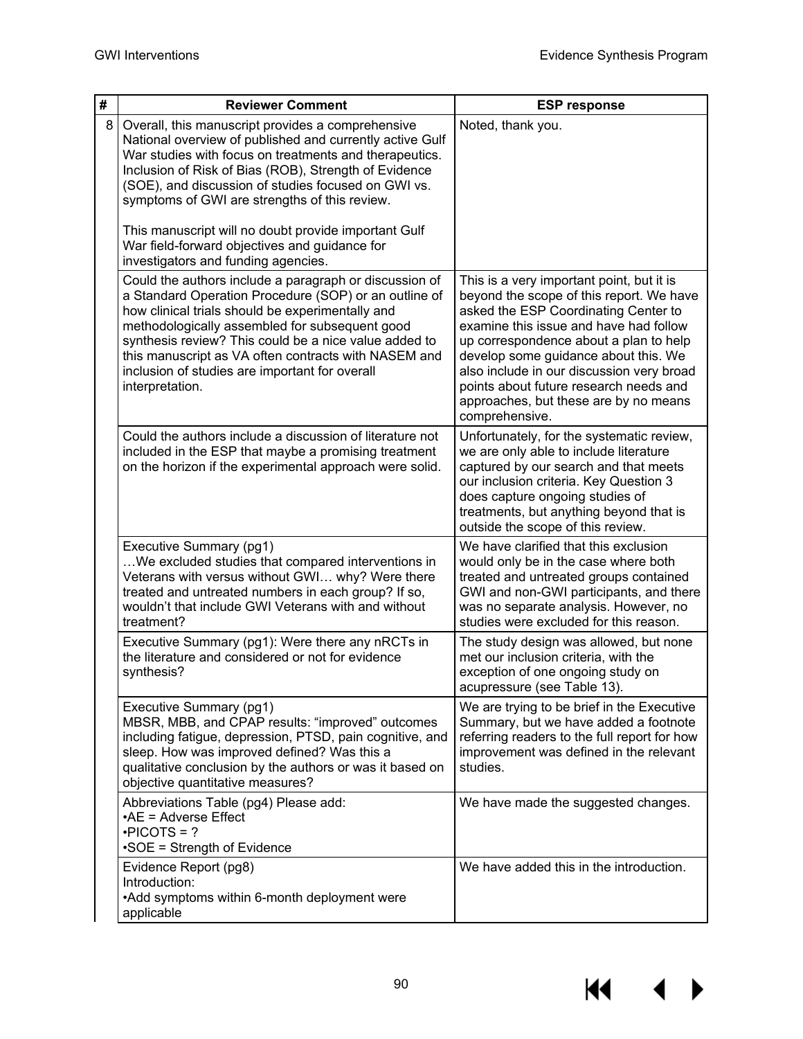$\overline{\mathbf{A}}$ 

▶

**K4** 

| # | <b>Reviewer Comment</b>                                                                                                                                                                                                                                                                                                                                                                                     | <b>ESP response</b>                                                                                                                                                                                                                                                                                                                                                                                         |
|---|-------------------------------------------------------------------------------------------------------------------------------------------------------------------------------------------------------------------------------------------------------------------------------------------------------------------------------------------------------------------------------------------------------------|-------------------------------------------------------------------------------------------------------------------------------------------------------------------------------------------------------------------------------------------------------------------------------------------------------------------------------------------------------------------------------------------------------------|
| 8 | Overall, this manuscript provides a comprehensive<br>National overview of published and currently active Gulf<br>War studies with focus on treatments and therapeutics.<br>Inclusion of Risk of Bias (ROB), Strength of Evidence<br>(SOE), and discussion of studies focused on GWI vs.<br>symptoms of GWI are strengths of this review.                                                                    | Noted, thank you.                                                                                                                                                                                                                                                                                                                                                                                           |
|   | This manuscript will no doubt provide important Gulf<br>War field-forward objectives and guidance for<br>investigators and funding agencies.                                                                                                                                                                                                                                                                |                                                                                                                                                                                                                                                                                                                                                                                                             |
|   | Could the authors include a paragraph or discussion of<br>a Standard Operation Procedure (SOP) or an outline of<br>how clinical trials should be experimentally and<br>methodologically assembled for subsequent good<br>synthesis review? This could be a nice value added to<br>this manuscript as VA often contracts with NASEM and<br>inclusion of studies are important for overall<br>interpretation. | This is a very important point, but it is<br>beyond the scope of this report. We have<br>asked the ESP Coordinating Center to<br>examine this issue and have had follow<br>up correspondence about a plan to help<br>develop some guidance about this. We<br>also include in our discussion very broad<br>points about future research needs and<br>approaches, but these are by no means<br>comprehensive. |
|   | Could the authors include a discussion of literature not<br>included in the ESP that maybe a promising treatment<br>on the horizon if the experimental approach were solid.                                                                                                                                                                                                                                 | Unfortunately, for the systematic review,<br>we are only able to include literature<br>captured by our search and that meets<br>our inclusion criteria. Key Question 3<br>does capture ongoing studies of<br>treatments, but anything beyond that is<br>outside the scope of this review.                                                                                                                   |
|   | Executive Summary (pg1)<br>We excluded studies that compared interventions in<br>Veterans with versus without GWI why? Were there<br>treated and untreated numbers in each group? If so,<br>wouldn't that include GWI Veterans with and without<br>treatment?                                                                                                                                               | We have clarified that this exclusion<br>would only be in the case where both<br>treated and untreated groups contained<br>GWI and non-GWI participants, and there<br>was no separate analysis. However, no<br>studies were excluded for this reason.                                                                                                                                                       |
|   | Executive Summary (pg1): Were there any nRCTs in<br>the literature and considered or not for evidence<br>synthesis?                                                                                                                                                                                                                                                                                         | The study design was allowed, but none<br>met our inclusion criteria, with the<br>exception of one ongoing study on<br>acupressure (see Table 13).                                                                                                                                                                                                                                                          |
|   | Executive Summary (pg1)<br>MBSR, MBB, and CPAP results: "improved" outcomes<br>including fatigue, depression, PTSD, pain cognitive, and<br>sleep. How was improved defined? Was this a<br>qualitative conclusion by the authors or was it based on<br>objective quantitative measures?                                                                                                                      | We are trying to be brief in the Executive<br>Summary, but we have added a footnote<br>referring readers to the full report for how<br>improvement was defined in the relevant<br>studies.                                                                                                                                                                                                                  |
|   | Abbreviations Table (pg4) Please add:<br>$\cdot$ AE = Adverse Effect<br>$\cdot$ PICOTS = ?<br>•SOE = Strength of Evidence                                                                                                                                                                                                                                                                                   | We have made the suggested changes.                                                                                                                                                                                                                                                                                                                                                                         |
|   | Evidence Report (pg8)<br>Introduction:<br>•Add symptoms within 6-month deployment were<br>applicable                                                                                                                                                                                                                                                                                                        | We have added this in the introduction.                                                                                                                                                                                                                                                                                                                                                                     |